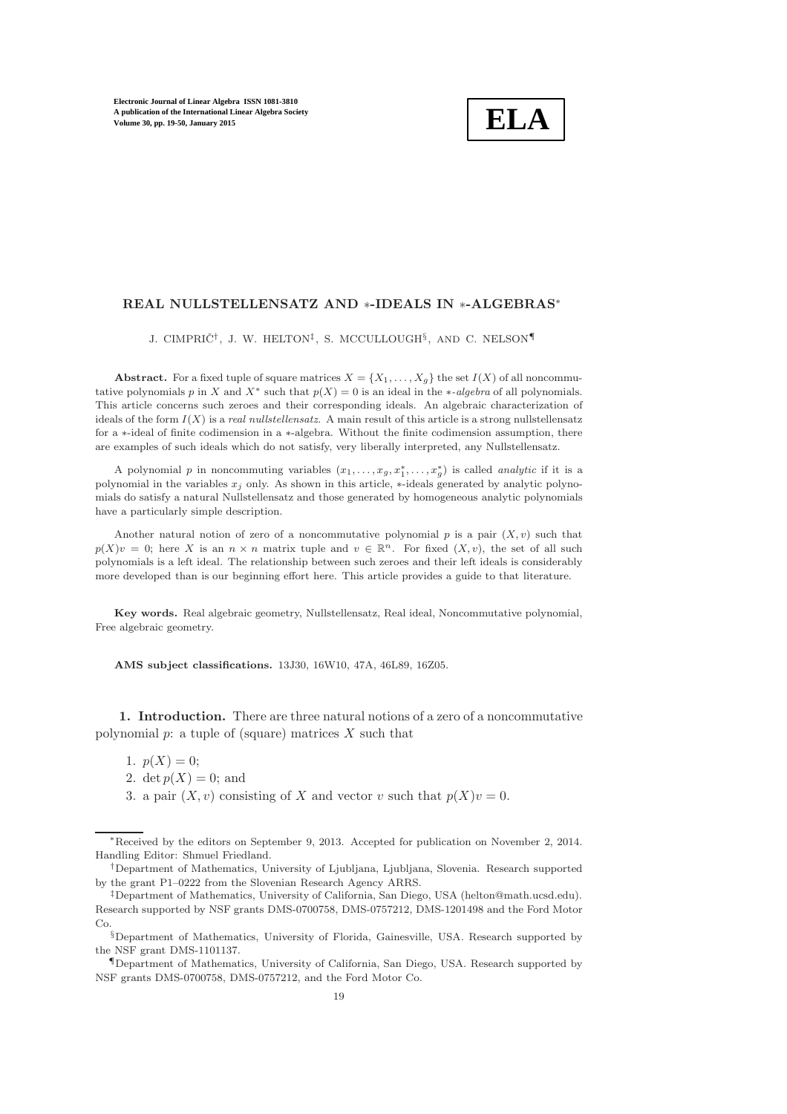# **ELA**

# REAL NULLSTELLENSATZ AND <sup>∗</sup>-IDEALS IN <sup>∗</sup>-ALGEBRAS<sup>∗</sup>

J. CIMPRIČ<sup>†</sup>, J. W. HELTON<sup>‡</sup>, S. MCCULLOUGH<sup>§</sup>, AND C. NELSON¶

**Abstract.** For a fixed tuple of square matrices  $X = \{X_1, \ldots, X_g\}$  the set  $I(X)$  of all noncommutative polynomials p in X and  $X^*$  such that  $p(X) = 0$  is an ideal in the \*-algebra of all polynomials. This article concerns such zeroes and their corresponding ideals. An algebraic characterization of ideals of the form  $I(X)$  is a real nullstellensatz. A main result of this article is a strong nullstellensatz for a ∗-ideal of finite codimension in a ∗-algebra. Without the finite codimension assumption, there are examples of such ideals which do not satisfy, very liberally interpreted, any Nullstellensatz.

A polynomial p in noncommuting variables  $(x_1, \ldots, x_g, x_1^*, \ldots, x_g^*)$  is called *analytic* if it is a polynomial in the variables  $x_j$  only. As shown in this article, ∗-ideals generated by analytic polynomials do satisfy a natural Nullstellensatz and those generated by homogeneous analytic polynomials have a particularly simple description.

Another natural notion of zero of a noncommutative polynomial p is a pair  $(X, v)$  such that  $p(X)v = 0$ ; here X is an  $n \times n$  matrix tuple and  $v \in \mathbb{R}^n$ . For fixed  $(X, v)$ , the set of all such polynomials is a left ideal. The relationship between such zeroes and their left ideals is considerably more developed than is our beginning effort here. This article provides a guide to that literature.

Key words. Real algebraic geometry, Nullstellensatz, Real ideal, Noncommutative polynomial, Free algebraic geometry.

AMS subject classifications. 13J30, 16W10, 47A, 46L89, 16Z05.

1. Introduction. There are three natural notions of a zero of a noncommutative polynomial  $p$ : a tuple of (square) matrices  $X$  such that

- 1.  $p(X) = 0$ ;
- <span id="page-0-0"></span>2. det  $p(X) = 0$ ; and
- 3. a pair  $(X, v)$  consisting of X and vector v such that  $p(X)v = 0$ .

<sup>∗</sup>Received by the editors on September 9, 2013. Accepted for publication on November 2, 2014. Handling Editor: Shmuel Friedland.

<sup>†</sup>Department of Mathematics, University of Ljubljana, Ljubljana, Slovenia. Research supported by the grant P1–0222 from the Slovenian Research Agency ARRS.

<sup>‡</sup>Department of Mathematics, University of California, San Diego, USA (helton@math.ucsd.edu). Research supported by NSF grants DMS-0700758, DMS-0757212, DMS-1201498 and the Ford Motor Co.

<sup>§</sup>Department of Mathematics, University of Florida, Gainesville, USA. Research supported by the NSF grant DMS-1101137.

<sup>¶</sup>Department of Mathematics, University of California, San Diego, USA. Research supported by NSF grants DMS-0700758, DMS-0757212, and the Ford Motor Co.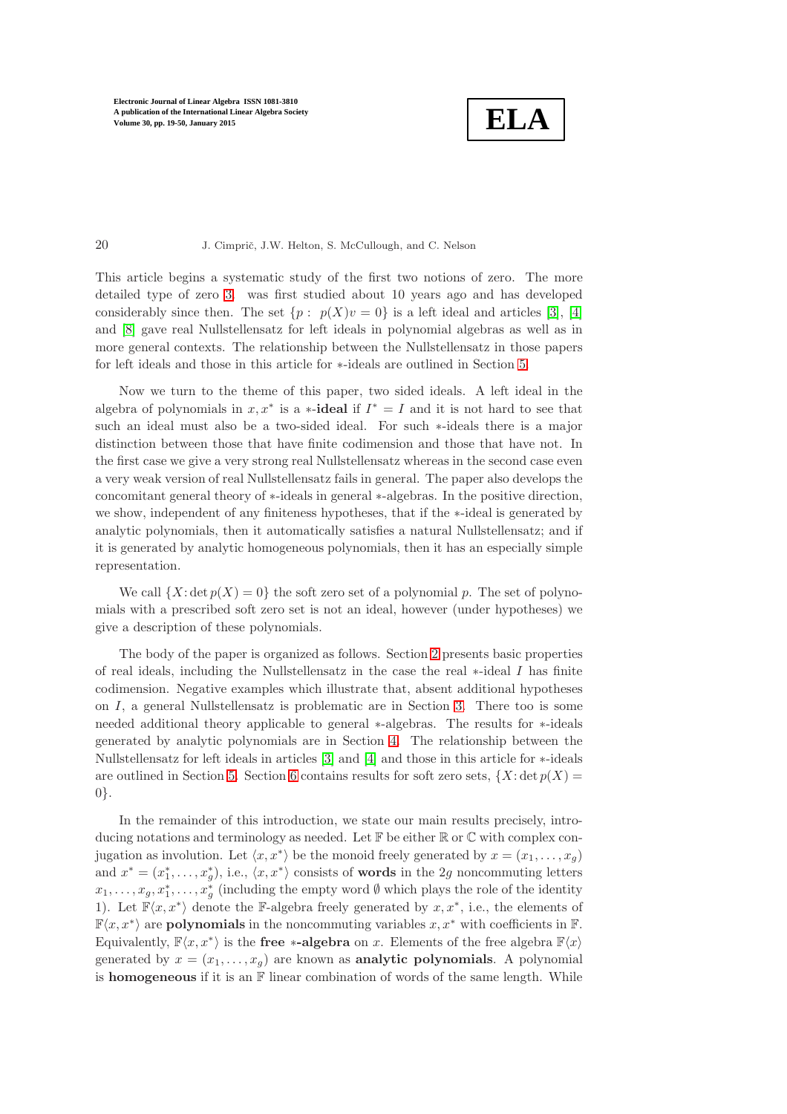**ELA**

#### 20 J. Cimprič, J.W. Helton, S. McCullough, and C. Nelson

This article begins a systematic study of the first two notions of zero. The more detailed type of zero [3.](#page-0-0) was first studied about 10 years ago and has developed considerably since then. The set  $\{p : p(X)v = 0\}$  is a left ideal and articles [\[3\]](#page-30-0), [\[4\]](#page-30-1) and [\[8\]](#page-30-2) gave real Nullstellensatz for left ideals in polynomial algebras as well as in more general contexts. The relationship between the Nullstellensatz in those papers for left ideals and those in this article for  $\ast$ -ideals are outlined in Section [5.](#page-22-0)

Now we turn to the theme of this paper, two sided ideals. A left ideal in the algebra of polynomials in  $x, x^*$  is a  $\ast$ -**ideal** if  $I^* = I$  and it is not hard to see that such an ideal must also be a two-sided ideal. For such ∗-ideals there is a major distinction between those that have finite codimension and those that have not. In the first case we give a very strong real Nullstellensatz whereas in the second case even a very weak version of real Nullstellensatz fails in general. The paper also develops the concomitant general theory of ∗-ideals in general ∗-algebras. In the positive direction, we show, independent of any finiteness hypotheses, that if the ∗-ideal is generated by analytic polynomials, then it automatically satisfies a natural Nullstellensatz; and if it is generated by analytic homogeneous polynomials, then it has an especially simple representation.

We call  $\{X: \det p(X) = 0\}$  the soft zero set of a polynomial p. The set of polynomials with a prescribed soft zero set is not an ideal, however (under hypotheses) we give a description of these polynomials.

The body of the paper is organized as follows. Section [2](#page-5-0) presents basic properties of real ideals, including the Nullstellensatz in the case the real ∗-ideal I has finite codimension. Negative examples which illustrate that, absent additional hypotheses on I, a general Nullstellensatz is problematic are in Section [3.](#page-9-0) There too is some needed additional theory applicable to general ∗-algebras. The results for ∗-ideals generated by analytic polynomials are in Section [4.](#page-13-0) The relationship between the Nullstellensatz for left ideals in articles [\[3\]](#page-30-0) and [\[4\]](#page-30-1) and those in this article for ∗-ideals are outlined in Section [5.](#page-22-0) Section [6](#page-25-0) contains results for soft zero sets,  $\{X: \det p(X) =$ 0}.

In the remainder of this introduction, we state our main results precisely, introducing notations and terminology as needed. Let  $\mathbb F$  be either  $\mathbb R$  or  $\mathbb C$  with complex conjugation as involution. Let  $\langle x, x^* \rangle$  be the monoid freely generated by  $x = (x_1, \ldots, x_g)$ and  $x^* = (x_1^*, \ldots, x_g^*)$ , i.e.,  $\langle x, x^* \rangle$  consists of **words** in the 2g noncommuting letters  $x_1, \ldots, x_g, x_1^*, \ldots, x_g^*$  (including the empty word  $\emptyset$  which plays the role of the identity 1). Let  $\mathbb{F}\langle x, x^*\rangle$  denote the F-algebra freely generated by  $x, x^*$ , i.e., the elements of  $\mathbb{F}\langle x, x^*\rangle$  are **polynomials** in the noncommuting variables  $x, x^*$  with coefficients in  $\mathbb{F}$ . Equivalently,  $\mathbb{F}\langle x, x^*\rangle$  is the **free ∗-algebra** on x. Elements of the free algebra  $\mathbb{F}\langle x \rangle$ generated by  $x = (x_1, \ldots, x_g)$  are known as **analytic polynomials**. A polynomial is **homogeneous** if it is an  $\mathbb{F}$  linear combination of words of the same length. While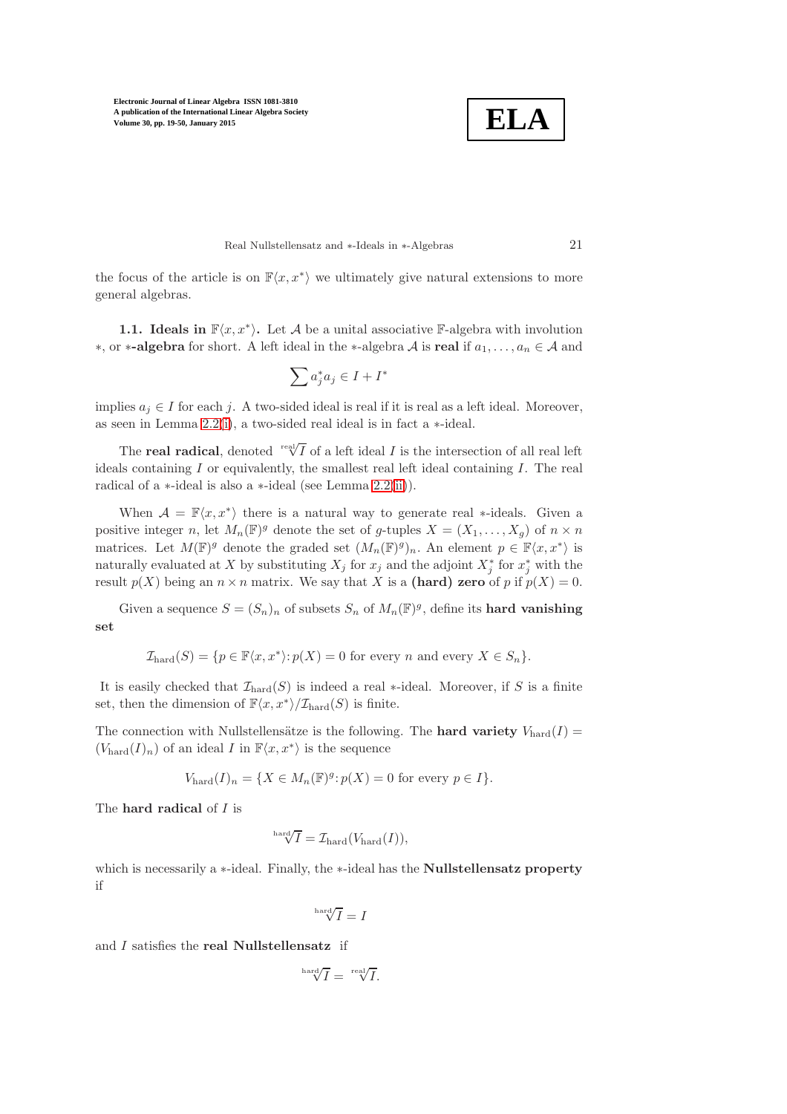

Real Nullstellensatz and ∗-Ideals in ∗-Algebras 21

<span id="page-2-0"></span>the focus of the article is on  $\mathbb{F}\langle x, x^*\rangle$  we ultimately give natural extensions to more general algebras.

**1.1.** Ideals in  $\mathbb{F}\langle x, x^* \rangle$ . Let A be a unital associative F-algebra with involution ∗, or ∗-algebra for short. A left ideal in the ∗-algebra  $A$  is real if  $a_1, \ldots, a_n \in A$  and

$$
\sum a_j^*a_j\in I+I^*
$$

implies  $a_j \in I$  for each j. A two-sided ideal is real if it is real as a left ideal. Moreover, as seen in Lemma [2.2\(](#page-6-0)[i\)](#page-6-1), a two-sided real ideal is in fact a ∗-ideal.

The **real radical**, denoted  $\sqrt{\text{rad}}$  of a left ideal *I* is the intersection of all real left ideals containing  $I$  or equivalently, the smallest real left ideal containing  $I$ . The real radical of a ∗-ideal is also a ∗-ideal (see Lemma [2.2](#page-6-0)[\(ii\)](#page-6-2)).

When  $\mathcal{A} = \mathbb{F}\langle x, x^* \rangle$  there is a natural way to generate real \*-ideals. Given a positive integer n, let  $M_n(\mathbb{F})^g$  denote the set of g-tuples  $X = (X_1, \ldots, X_g)$  of  $n \times n$ matrices. Let  $M(\mathbb{F})^g$  denote the graded set  $(M_n(\mathbb{F})^g)_n$ . An element  $p \in \mathbb{F}\langle x, x^*\rangle$  is naturally evaluated at X by substituting  $X_j$  for  $x_j$  and the adjoint  $X_j^*$  for  $x_j^*$  with the result  $p(X)$  being an  $n \times n$  matrix. We say that X is a (hard) zero of p if  $p(X) = 0$ .

Given a sequence  $S = (S_n)_n$  of subsets  $S_n$  of  $M_n(\mathbb{F})^g$ , define its **hard vanishing** set

$$
\mathcal{I}_{\text{hard}}(S) = \{ p \in \mathbb{F}\langle x, x^* \rangle : p(X) = 0 \text{ for every } n \text{ and every } X \in S_n \}.
$$

It is easily checked that  $\mathcal{I}_{\text{hard}}(S)$  is indeed a real ∗-ideal. Moreover, if S is a finite set, then the dimension of  $\mathbb{F}\langle x, x^*\rangle/\mathcal{I}_{\text{hard}}(S)$  is finite.

The connection with Nullstellensätze is the following. The **hard variety**  $V_{\text{hard}}(I)$  =  $(V_{\text{hard}}(I)_n)$  of an ideal I in  $\mathbb{F}\langle x, x^*\rangle$  is the sequence

$$
V_{\text{hard}}(I)_n = \{ X \in M_n(\mathbb{F})^g : p(X) = 0 \text{ for every } p \in I \}.
$$

The **hard radical** of *I* is

$$
\sqrt[\text{hard}]{I} = \mathcal{I}_{\text{hard}}(V_{\text{hard}}(I)),
$$

which is necessarily a ∗-ideal. Finally, the ∗-ideal has the Nullstellensatz property if

$$
\sqrt[\mathrm{hard}]{I}=I
$$

and I satisfies the real Nullstellensatz if

$$
\sqrt[\mathrm{hard}]{I} = \sqrt[\mathrm{real}]{I}.
$$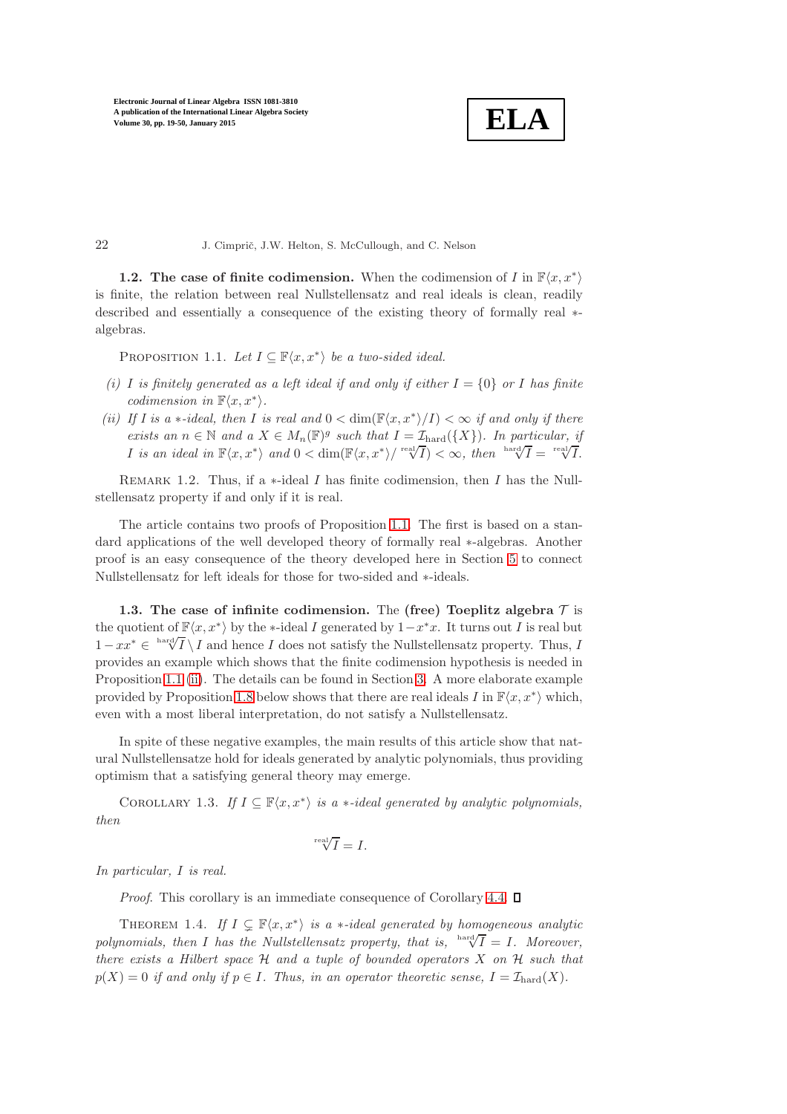**ELA**

**1.2.** The case of finite codimension. When the codimension of I in  $\mathbb{F}\langle x, x^* \rangle$ is finite, the relation between real Nullstellensatz and real ideals is clean, readily described and essentially a consequence of the existing theory of formally real ∗ algebras.

<span id="page-3-0"></span>PROPOSITION 1.1. *Let*  $I \subseteq \mathbb{F}\langle x, x^* \rangle$  *be a two-sided ideal.* 

- <span id="page-3-3"></span>*(i)* I is finitely generated as a left ideal if and only if either  $I = \{0\}$  or I has finite  $codimension \ in \ \mathbb{F}\langle x, x^*\rangle.$
- <span id="page-3-1"></span>*(ii)* If I is a \*-ideal, then I is real and  $0 < \dim(\mathbb{F}\langle x, x^* \rangle / I) < \infty$  if and only if there *exists an*  $n \in \mathbb{N}$  *and a*  $X \in M_n(\mathbb{F})^g$  *such that*  $I = \mathcal{I}_{\text{hard}}(\{X\})$ *. In particular, if I* is an ideal in  $\mathbb{F}\langle x, x^* \rangle$  and  $0 < \dim(\mathbb{F}\langle x, x^* \rangle / \sqrt{\sqrt[m]{I}}) < \infty$ , then  $\sqrt{\ln x} \sqrt{\sqrt{I}} = \sqrt[\text{real}]{I}$ .

REMARK 1.2. Thus, if a  $*$ -ideal I has finite codimension, then I has the Nullstellensatz property if and only if it is real.

The article contains two proofs of Proposition [1.1.](#page-3-0) The first is based on a standard applications of the well developed theory of formally real ∗-algebras. Another proof is an easy consequence of the theory developed here in Section [5](#page-22-0) to connect Nullstellensatz for left ideals for those for two-sided and ∗-ideals.

<span id="page-3-4"></span>1.3. The case of infinite codimension. The (free) Toeplitz algebra  $\mathcal T$  is the quotient of  $\mathbb{F}\langle x, x^*\rangle$  by the ∗-ideal I generated by  $1-x^*x$ . It turns out I is real but  $1-x^* \in \sqrt[\text{hard}]{I} \setminus I$  and hence I does not satisfy the Nullstellensatz property. Thus, I provides an example which shows that the finite codimension hypothesis is needed in Proposition [1.1](#page-3-0) [\(ii\)](#page-3-1). The details can be found in Section [3.](#page-9-0) A more elaborate example provided by Proposition [1.8](#page-5-1) below shows that there are real ideals  $I$  in  $\mathbb{F}\langle x, x^*\rangle$  which, even with a most liberal interpretation, do not satisfy a Nullstellensatz.

In spite of these negative examples, the main results of this article show that natural Nullstellensatze hold for ideals generated by analytic polynomials, thus providing optimism that a satisfying general theory may emerge.

COROLLARY 1.3. *If*  $I \subseteq \mathbb{F}\langle x, x^* \rangle$  *is a* \*-*ideal generated by analytic polynomials, then*

$$
\sqrt[\text{real}]{I} = I.
$$

*In particular,* I *is real.*

<span id="page-3-2"></span>*Proof.* This corollary is an immediate consequence of Corollary [4.4.](#page-17-0)  $\square$ 

THEOREM 1.4. If  $I \subsetneq \mathbb{F}\langle x, x^*\rangle$  is a  $\ast$ -ideal generated by homogeneous analytic *polynomials, then* I has the Nullstellensatz property, that is,  $\sqrt[3]{I} = I$ . Moreover, *there exists a Hilbert space* H *and a tuple of bounded operators* X *on* H *such that*  $p(X) = 0$  *if and only if*  $p \in I$ *. Thus, in an operator theoretic sense,*  $I = \mathcal{I}_{\text{hard}}(X)$ *.*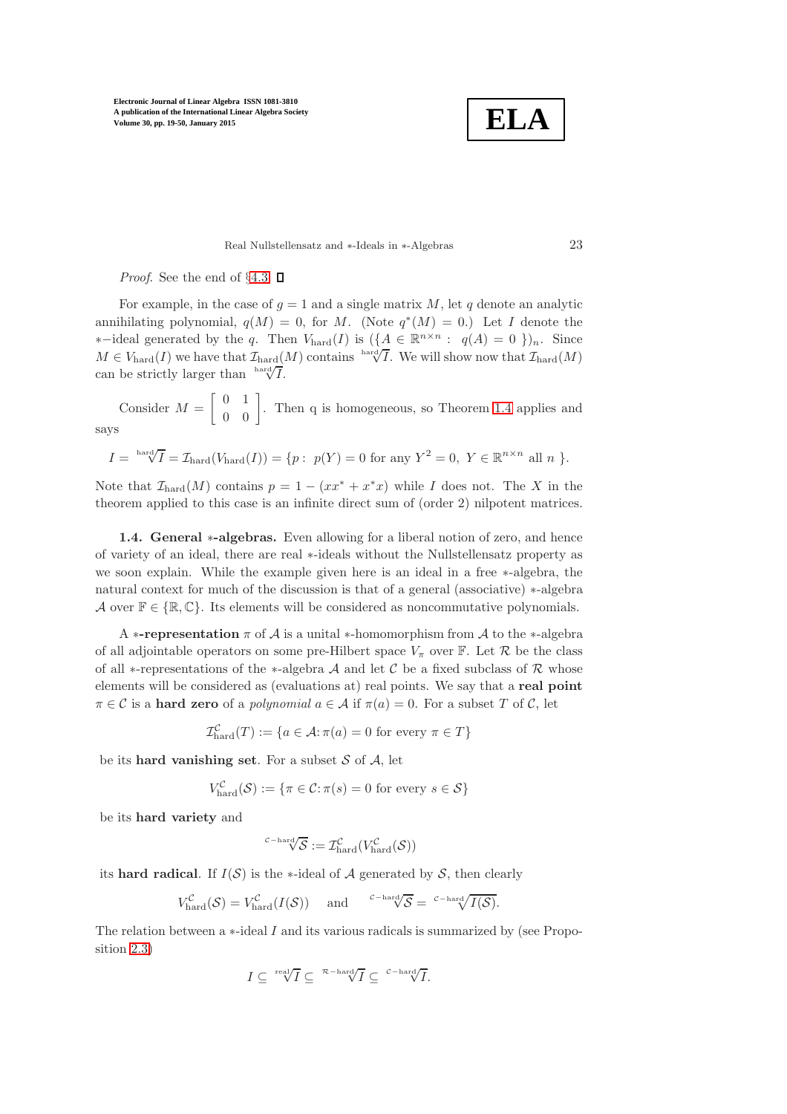**ELA**

Real Nullstellensatz and ∗-Ideals in ∗-Algebras 23

*Proof.* See the end of §[4.3.](#page-20-0)  $\Box$ 

For example, in the case of  $g = 1$  and a single matrix M, let q denote an analytic annihilating polynomial,  $q(M) = 0$ , for M. (Note  $q^*(M) = 0$ .) Let I denote the  $*$ −ideal generated by the q. Then  $V_{\text{hard}}(I)$  is  $(\{\underline{A} \in \mathbb{R}^{n \times n} : q(A) = 0\})_n$ . Since  $M \in V_{\text{hard}}(I)$  we have that  $\mathcal{I}_{\text{hard}}(M)$  contains hard $\sqrt{I}$ . We will show now that  $\mathcal{I}_{\text{hard}}(M)$ can be strictly larger than  $\int_{0}^{\ln 2} \sqrt{\sqrt{f}}$ .

Consider  $M =$  $\begin{bmatrix} 0 & 1 \\ 0 & 0 \end{bmatrix}$ . Then q is homogeneous, so Theorem [1.4](#page-3-2) applies and says

$$
I = \sqrt[\mathrm{hard}]{I} = \mathcal{I}_{\mathrm{hard}}(V_{\mathrm{hard}}(I)) = \{p:\ p(Y) = 0\ \mathrm{for\ any}\ Y^2 = 0,\ Y \in \mathbb{R}^{n \times n}\ \mathrm{all}\ n\ \}.
$$

Note that  $\mathcal{I}_{\text{hard}}(M)$  contains  $p = 1 - (xx^* + x^*x)$  while I does not. The X in the theorem applied to this case is an infinite direct sum of (order 2) nilpotent matrices.

1.4. General ∗-algebras. Even allowing for a liberal notion of zero, and hence of variety of an ideal, there are real ∗-ideals without the Nullstellensatz property as we soon explain. While the example given here is an ideal in a free ∗-algebra, the natural context for much of the discussion is that of a general (associative) ∗-algebra A over  $\mathbb{F} \in \{\mathbb{R}, \mathbb{C}\}.$  Its elements will be considered as noncommutative polynomials.

A \*-representation  $\pi$  of  $\mathcal A$  is a unital \*-homomorphism from  $\mathcal A$  to the \*-algebra of all adjointable operators on some pre-Hilbert space  $V_{\pi}$  over F. Let  $\mathcal{R}$  be the class of all \*-representations of the \*-algebra A and let C be a fixed subclass of R whose elements will be considered as (evaluations at) real points. We say that a real point  $\pi \in \mathcal{C}$  is a **hard zero** of a *polynomial*  $a \in \mathcal{A}$  if  $\pi(a) = 0$ . For a subset T of C, let

$$
\mathcal{I}_{\text{hard}}^{\mathcal{C}}(T) := \{ a \in \mathcal{A} : \pi(a) = 0 \text{ for every } \pi \in T \}
$$

be its **hard vanishing set**. For a subset  $S$  of  $A$ , let

$$
V_{\text{hard}}^{\mathcal{C}}(\mathcal{S}) := \{ \pi \in \mathcal{C} : \pi(s) = 0 \text{ for every } s \in \mathcal{S} \}
$$

be its hard variety and

$$
{}^{\mathcal{C}\mathrm{-hard}}\hspace{-0.1cm}\sqrt{\mathcal{S}}:=\mathcal{I}^{\mathcal{C}}_{\mathrm{hard}}(V^{\mathcal{C}}_{\mathrm{hard}}(\mathcal{S}))
$$

its hard radical. If  $I(S)$  is the ∗-ideal of A generated by S, then clearly

$$
V_{\text{hard}}^{\mathcal{C}}(\mathcal{S}) = V_{\text{hard}}^{\mathcal{C}}(I(\mathcal{S})) \quad \text{and} \quad {}^{\mathcal{C}-\text{hard}}\sqrt{\mathcal{S}} = {}^{\mathcal{C}-\text{hard}}\sqrt{I(\mathcal{S})}.
$$

The relation between a ∗-ideal I and its various radicals is summarized by (see Proposition [2.3\)](#page-6-3)

$$
I \subseteq \sqrt[\mathrm{real}]{I} \subseteq \sqrt[\mathcal{R}-\mathrm{hard}}{I} \subseteq \sqrt[\mathcal{C}-\mathrm{hard}}{I}.
$$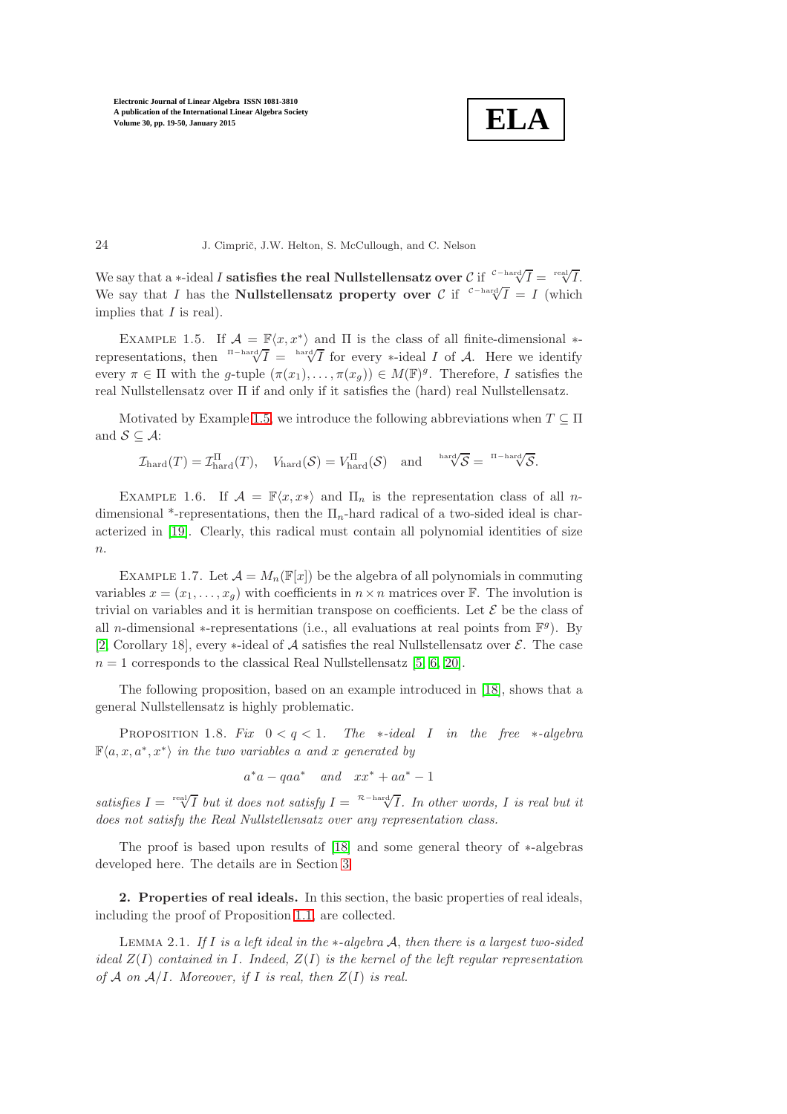**ELA**

24 J. Cimprič, J.W. Helton, S. McCullough, and C. Nelson

We say that a ∗-ideal I satisfies the real Nullstellensatz over  $\mathcal{C}$  if  $\sqrt{I} = \sqrt{\sqrt{I}}$  =  $\sqrt{\sqrt{I}}$ . We say that I has the **Nullstellensatz property over** C if <sup>c-hard</sup> $\sqrt{T} = I$  (which implies that  $I$  is real).

<span id="page-5-2"></span>EXAMPLE 1.5. If  $\mathcal{A} = \mathbb{F}\langle x, x^* \rangle$  and  $\Pi$  is the class of all finite-dimensional  $*$ representations, then  $\prod_{n=1}^{\infty}$   $\prod_{r=1}^{\infty}$  for every \*-ideal I of A. Here we identify every  $\pi \in \Pi$  with the g-tuple  $(\pi(x_1), \ldots, \pi(x_g)) \in M(\mathbb{F})^g$ . Therefore, I satisfies the real Nullstellensatz over Π if and only if it satisfies the (hard) real Nullstellensatz.

Motivated by Example [1.5,](#page-5-2) we introduce the following abbreviations when  $T \subseteq \Pi$ and  $S \subseteq A$ :

$$
\mathcal{I}_{\textup{hard}}(T)=\mathcal{I}_{\textup{hard}}^\Pi(T),\quad V_{\textup{hard}}(\mathcal{S})=V_{\textup{hard}}^\Pi(\mathcal{S})\quad\text{and}\quad \sqrt[\textup{hard}]{\mathcal{S}}=\sqrt[\textup{I}-\textup{hard}]{\mathcal{S}}.
$$

EXAMPLE 1.6. If  $\mathcal{A} = \mathbb{F}\langle x, x^*\rangle$  and  $\Pi_n$  is the representation class of all ndimensional \*-representations, then the  $\Pi_n$ -hard radical of a two-sided ideal is characterized in [\[19\]](#page-31-0). Clearly, this radical must contain all polynomial identities of size  $n$ .

EXAMPLE 1.7. Let  $\mathcal{A} = M_n(\mathbb{F}[x])$  be the algebra of all polynomials in commuting variables  $x = (x_1, \ldots, x_q)$  with coefficients in  $n \times n$  matrices over F. The involution is trivial on variables and it is hermitian transpose on coefficients. Let  $\mathcal E$  be the class of all *n*-dimensional ∗-representations (i.e., all evaluations at real points from  $\mathbb{F}^g$ ). By [\[2,](#page-30-3) Corollary 18], every  $\ast$ -ideal of A satisfies the real Nullstellensatz over  $\mathcal{E}$ . The case  $n = 1$  corresponds to the classical Real Nullstellensatz [\[5,](#page-30-4) [6,](#page-30-5) [20\]](#page-31-1).

<span id="page-5-1"></span>The following proposition, based on an example introduced in [\[18\]](#page-31-2), shows that a general Nullstellensatz is highly problematic.

Proposition 1.8. *Fix* 0 < q < 1*. The* ∗*-ideal* I *in the free* ∗*-algebra*  $\mathbb{F}\langle a, x, a^*, x^* \rangle$  *in the two variables* a *and* x generated by

$$
a^*a - qaa^* \quad and \quad xx^* + aa^* - 1
$$

*satisfies*  $I = \sqrt[\text{real}]{I}$  *but it does not satisfy*  $I = \sqrt[\text{real}]{I}$ . In other words, I is real but it *does not satisfy the Real Nullstellensatz over any representation class.*

<span id="page-5-0"></span>The proof is based upon results of [\[18\]](#page-31-2) and some general theory of ∗-algebras developed here. The details are in Section [3](#page-9-0)

<span id="page-5-3"></span>2. Properties of real ideals. In this section, the basic properties of real ideals, including the proof of Proposition [1.1,](#page-3-0) are collected.

Lemma 2.1. *If* I *is a left ideal in the* ∗*-algebra* A, *then there is a largest two-sided ideal* Z(I) *contained in* I*. Indeed,* Z(I) *is the kernel of the left regular representation of*  $A$  *on*  $A/I$ *. Moreover, if*  $I$  *is real, then*  $Z(I)$  *is real.*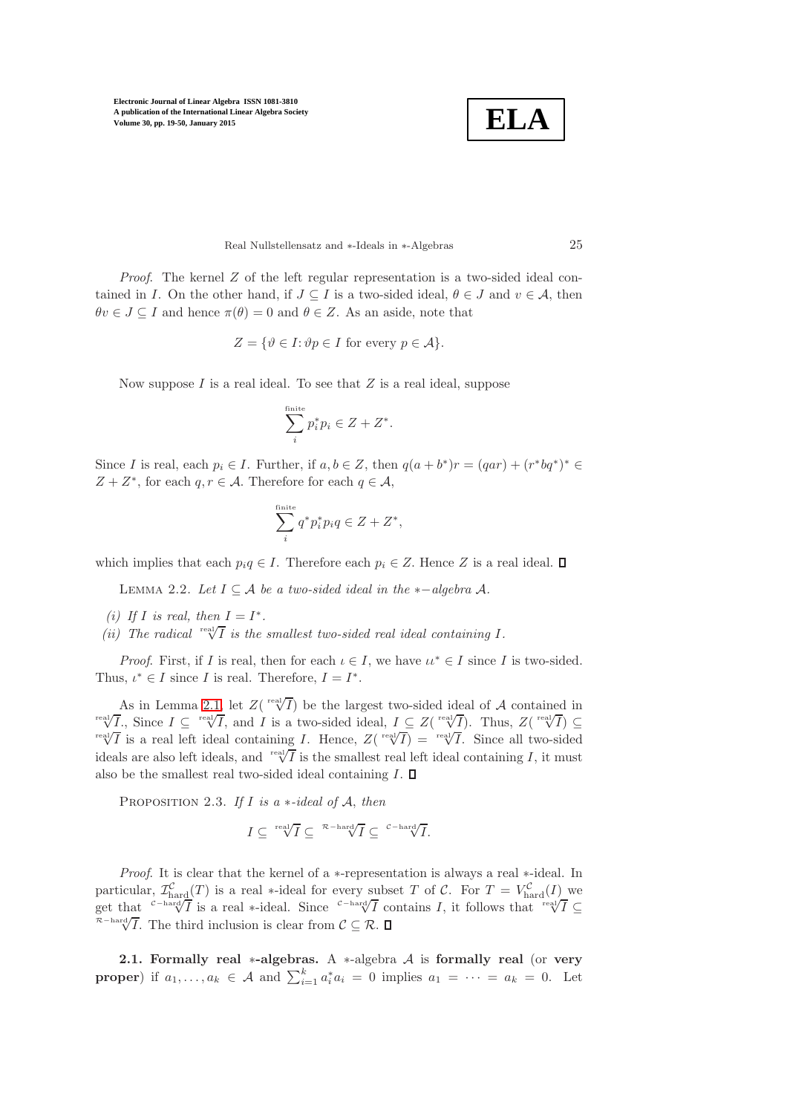

Real Nullstellensatz and ∗-Ideals in ∗-Algebras 25

*Proof.* The kernel Z of the left regular representation is a two-sided ideal contained in I. On the other hand, if  $J \subseteq I$  is a two-sided ideal,  $\theta \in J$  and  $v \in A$ , then  $\theta v \in J \subseteq I$  and hence  $\pi(\theta) = 0$  and  $\theta \in Z$ . As an aside, note that

$$
Z = \{ \vartheta \in I : \vartheta p \in I \text{ for every } p \in \mathcal{A} \}.
$$

Now suppose  $I$  is a real ideal. To see that  $Z$  is a real ideal, suppose

$$
\sum_i^{\text{finite}} p_i^* p_i \in Z + Z^*.
$$

Since I is real, each  $p_i \in I$ . Further, if  $a, b \in Z$ , then  $q(a+b^*)r = (qar) + (r^*bq^*)^* \in$  $Z + Z^*$ , for each  $q, r \in \mathcal{A}$ . Therefore for each  $q \in \mathcal{A}$ ,

$$
\sum_{i}^{\text{finite}} q^* p_i^* p_i q \in Z + Z^*,
$$

<span id="page-6-0"></span>which implies that each  $p_i q \in I$ . Therefore each  $p_i \in Z$ . Hence Z is a real ideal.  $\Box$ 

LEMMA 2.2. Let  $I ⊆ A$  *be a two-sided ideal in the*  $*− algebra A$ .

- <span id="page-6-2"></span><span id="page-6-1"></span>*(i)* If I is real, then  $I = I^*$ .
- *(ii)* The radical  $\sqrt{\text{rel}}$  *is the smallest two-sided real ideal containing* I.

*Proof.* First, if I is real, then for each  $\iota \in I$ , we have  $\iota \iota^* \in I$  since I is two-sided. Thus,  $\iota^* \in I$  since I is real. Therefore,  $I = I^*$ .

As in Lemma [2.1,](#page-5-3) let  $Z(\sqrt{\text{real}/I})$  be the largest two-sided ideal of A contained in  $\overline{X}^{\text{real}}$ , Since  $I \subseteq \overline{X}^{\text{real}}$ , and I is a two-sided ideal,  $I \subseteq Z(\overline{X}^{\text{real}})$ . Thus,  $Z(\overline{X}) \subseteq$  $\overline{X^{\text{real}}/\overline{I}}$  is a real left ideal containing *I*. Hence,  $Z(\sqrt{\text{real}}/\overline{I}) = \sqrt{\text{real}}/\overline{I}$ . Since all two-sided ideals are also left ideals, and  $\sqrt[\text{real}]{\overline{I}}$  is the smallest real left ideal containing I, it must also be the smallest real two-sided ideal containing  $I$ .  $\Box$ 

<span id="page-6-3"></span>Proposition 2.3. *If* I *is a* ∗*-ideal of* A, *then*

$$
I \subseteq \sqrt[\text{real}]{I} \subseteq \sqrt[\mathcal{R}-\text{hard}]{I} \subseteq \sqrt[\mathcal{C}-\text{hard}]{I}.
$$

*Proof.* It is clear that the kernel of a ∗-representation is always a real ∗-ideal. In particular,  $\mathcal{I}_{\text{hard}}^{\mathcal{C}}(T)$  is a real ∗-ideal for every subset T of C. For  $T = V_{\text{hard}}^{\mathcal{C}}(I)$  we get that  $C-\text{hard}/\overline{I}$  is a real ∗-ideal. Since  $C-\text{hard}/\overline{I}$  contains I, it follows that  $\text{val}/\overline{I} \subseteq$  $\mathbb{R}$ <sup>-hard</sup> $\sqrt{I}$ . The third inclusion is clear from  $\mathcal{C} \subseteq \mathcal{R}$ .

2.1. Formally real \*-algebras. A \*-algebra  $A$  is formally real (or very **proper**) if  $a_1, \ldots, a_k \in \mathcal{A}$  and  $\sum_{i=1}^k a_i^* a_i = 0$  implies  $a_1 = \cdots = a_k = 0$ . Let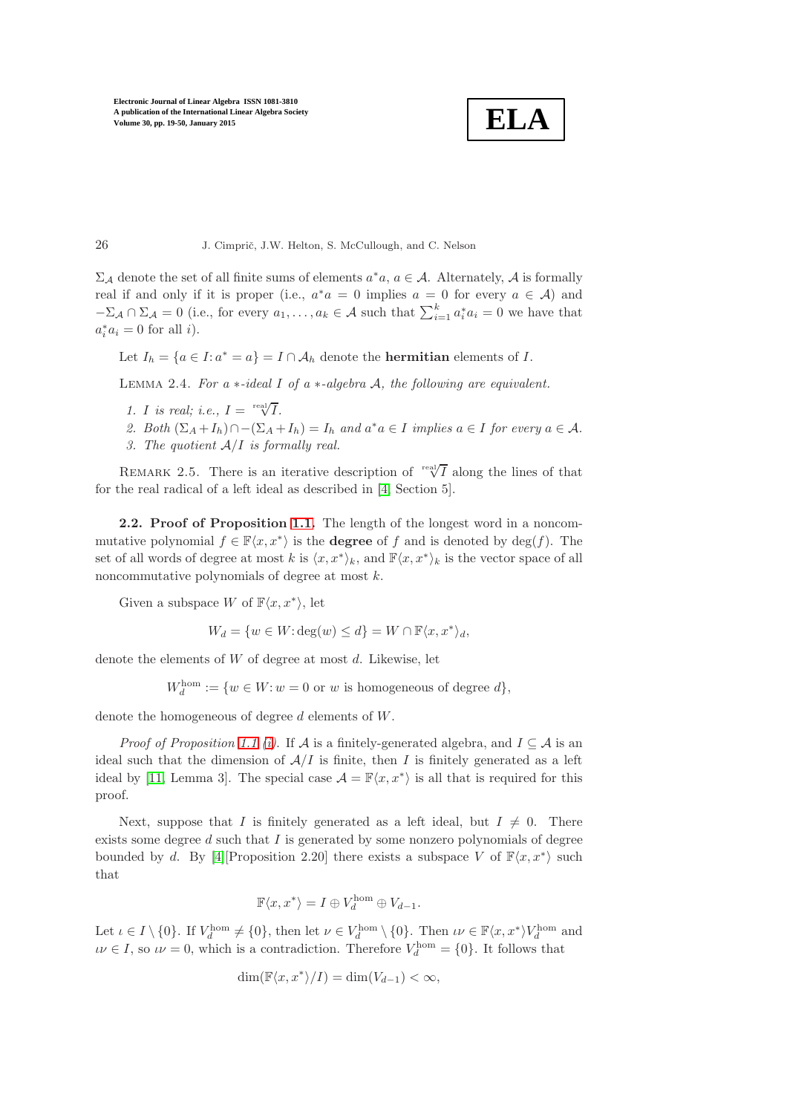$$
\fbox{ELA}
$$

 $\Sigma_{\mathcal{A}}$  denote the set of all finite sums of elements  $a^*a, a \in \mathcal{A}$ . Alternately,  $\mathcal{A}$  is formally real if and only if it is proper (i.e.,  $a^*a = 0$  implies  $a = 0$  for every  $a \in A$ ) and  $-\Sigma_{\mathcal{A}} \cap \Sigma_{\mathcal{A}} = 0$  (i.e., for every  $a_1, \ldots, a_k \in \mathcal{A}$  such that  $\sum_{i=1}^k a_i^* a_i = 0$  we have that  $a_i^* a_i = 0$  for all *i*).

<span id="page-7-0"></span>Let  $I_h = \{a \in I : a^* = a\} = I \cap \mathcal{A}_h$  denote the **hermitian** elements of  $I$ .

Lemma 2.4. *For a* ∗*-ideal* I *of a* ∗*-algebra* A*, the following are equivalent.*

- *1. I is real; i.e.,*  $I = \sqrt{\frac{rel}{I}}$ .
- 2. Both  $(\Sigma_A + I_h) \cap -(\Sigma_A + I_h) = I_h$  and  $a^*a \in I$  *implies*  $a \in I$  *for every*  $a \in A$ *.*
- *3. The quotient* A/I *is formally real.*

REMARK 2.5. There is an iterative description of  $\sqrt{\frac{real}{I}}$  along the lines of that for the real radical of a left ideal as described in [\[4,](#page-30-1) Section 5].

2.2. Proof of Proposition [1.1.](#page-3-0) The length of the longest word in a noncommutative polynomial  $f \in \mathbb{F}\langle x, x^*\rangle$  is the **degree** of f and is denoted by  $\deg(f)$ . The set of all words of degree at most k is  $\langle x, x^* \rangle_k$ , and  $\mathbb{F}\langle x, x^* \rangle_k$  is the vector space of all noncommutative polynomials of degree at most k.

Given a subspace W of  $\mathbb{F}\langle x, x^*\rangle$ , let

$$
W_d = \{ w \in W : \deg(w) \le d \} = W \cap \mathbb{F}\langle x, x^* \rangle_d,
$$

denote the elements of W of degree at most d. Likewise, let

 $W_d^{\text{hom}} := \{w \in W : w = 0 \text{ or } w \text{ is homogeneous of degree } d\},\$ 

denote the homogeneous of degree d elements of W.

*Proof of Proposition [1.1](#page-3-0) [\(i\)](#page-3-3)*. If A is a finitely-generated algebra, and  $I \subseteq A$  is an ideal such that the dimension of  $A/I$  is finite, then I is finitely generated as a left ideal by [\[11,](#page-30-6) Lemma 3]. The special case  $\mathcal{A} = \mathbb{F}\langle x, x^*\rangle$  is all that is required for this proof.

Next, suppose that I is finitely generated as a left ideal, but  $I \neq 0$ . There exists some degree  $d$  such that  $I$  is generated by some nonzero polynomials of degree bounded by d. By [\[4\]](#page-30-1)[Proposition 2.20] there exists a subspace V of  $\mathbb{F}\langle x, x^*\rangle$  such that

$$
\mathbb{F}\langle x, x^*\rangle = I \oplus V_d^{\text{hom}} \oplus V_{d-1}.
$$

Let  $\iota \in I \setminus \{0\}$ . If  $V_d^{\text{hom}} \neq \{0\}$ , then let  $\nu \in V_d^{\text{hom}} \setminus \{0\}$ . Then  $\iota \nu \in \mathbb{F}\langle x, x^* \rangle V_d^{\text{hom}}$  and  $\iota \nu \in I$ , so  $\iota \nu = 0$ , which is a contradiction. Therefore  $V_d^{\text{hom}} = \{0\}$ . It follows that

$$
\dim(\mathbb{F}\langle x, x^*\rangle/I) = \dim(V_{d-1}) < \infty,
$$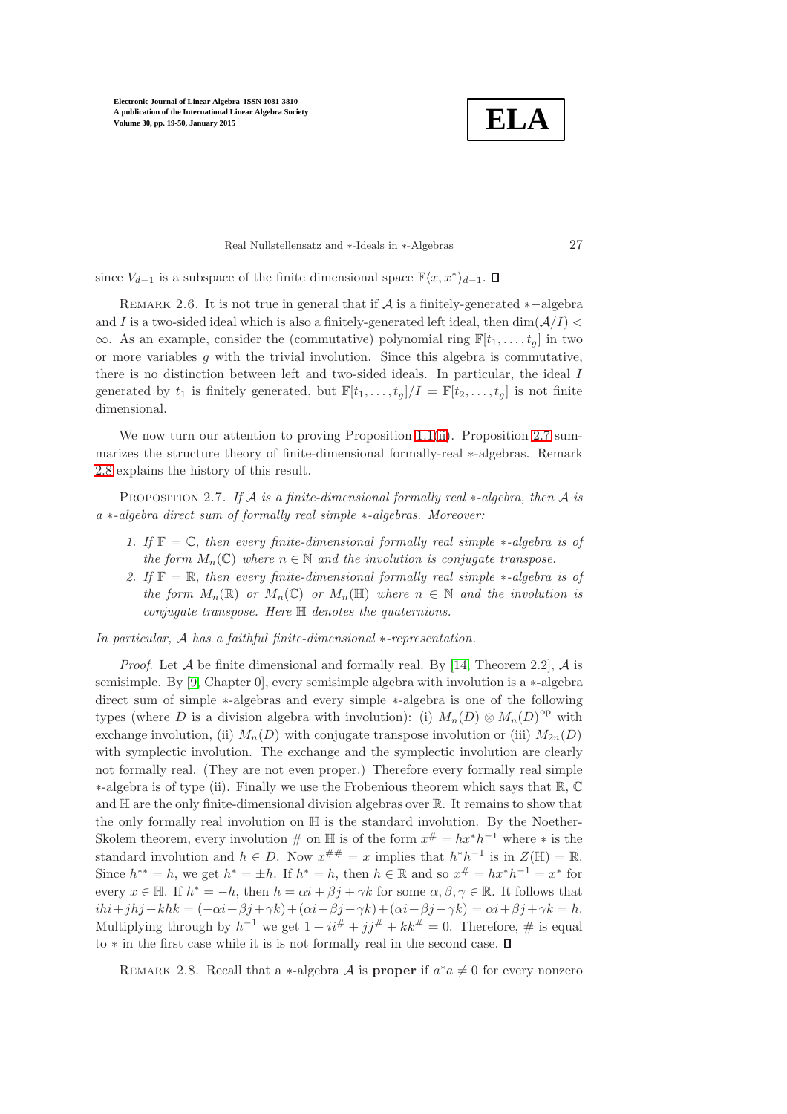**ELA**

Real Nullstellensatz and ∗-Ideals in ∗-Algebras 27

since  $V_{d-1}$  is a subspace of the finite dimensional space  $\mathbb{F}\langle x, x^*\rangle_{d-1}$ .

REMARK 2.6. It is not true in general that if  $\mathcal A$  is a finitely-generated  $*-\text{algebra}$ and I is a two-sided ideal which is also a finitely-generated left ideal, then  $\dim(\mathcal{A}/I)$  <  $\infty$ . As an example, consider the (commutative) polynomial ring  $\mathbb{F}[t_1, \ldots, t_q]$  in two or more variables  $g$  with the trivial involution. Since this algebra is commutative, there is no distinction between left and two-sided ideals. In particular, the ideal I generated by  $t_1$  is finitely generated, but  $\mathbb{F}[t_1,\ldots,t_g]/I = \mathbb{F}[t_2,\ldots,t_g]$  is not finite dimensional.

We now turn our attention to proving Proposition [1.1\(](#page-3-0)[ii\)](#page-3-1). Proposition [2.7](#page-8-0) summarizes the structure theory of finite-dimensional formally-real ∗-algebras. Remark [2.8](#page-8-1) explains the history of this result.

<span id="page-8-0"></span>Proposition 2.7. *If* A *is a finite-dimensional formally real* ∗*-algebra, then* A *is a* ∗*-algebra direct sum of formally real simple* ∗*-algebras. Moreover:*

- *1. If* F = C, *then every finite-dimensional formally real simple* ∗*-algebra is of the form*  $M_n(\mathbb{C})$  *where*  $n \in \mathbb{N}$  *and the involution is conjugate transpose.*
- *2. If* F = R, *then every finite-dimensional formally real simple* ∗*-algebra is of the form*  $M_n(\mathbb{R})$  *or*  $M_n(\mathbb{C})$  *or*  $M_n(\mathbb{H})$  *where*  $n \in \mathbb{N}$  *and the involution is conjugate transpose. Here* H *denotes the quaternions.*

*In particular,* A *has a faithful finite-dimensional* ∗*-representation.*

*Proof.* Let  $\mathcal A$  be finite dimensional and formally real. By [\[14,](#page-30-7) Theorem 2.2],  $\mathcal A$  is semisimple. By [\[9,](#page-30-8) Chapter 0], every semisimple algebra with involution is a ∗-algebra direct sum of simple ∗-algebras and every simple ∗-algebra is one of the following types (where D is a division algebra with involution): (i)  $M_n(D) \otimes M_n(D)$ <sup>op</sup> with exchange involution, (ii)  $M_n(D)$  with conjugate transpose involution or (iii)  $M_{2n}(D)$ with symplectic involution. The exchange and the symplectic involution are clearly not formally real. (They are not even proper.) Therefore every formally real simple ∗-algebra is of type (ii). Finally we use the Frobenious theorem which says that R, C and  $\mathbb H$  are the only finite-dimensional division algebras over  $\mathbb R$ . It remains to show that the only formally real involution on H is the standard involution. By the Noether-Skolem theorem, every involution  $\#$  on  $\mathbb{H}$  is of the form  $x^{\#} = hx^*h^{-1}$  where  $*$  is the standard involution and  $h \in D$ . Now  $x^{\# \#} = x$  implies that  $h^* h^{-1}$  is in  $Z(\mathbb{H}) = \mathbb{R}$ . Since  $h^{**} = h$ , we get  $h^* = \pm h$ . If  $h^* = h$ , then  $h \in \mathbb{R}$  and so  $x^{\#} = hx^*h^{-1} = x^*$  for every  $x \in \mathbb{H}$ . If  $h^* = -h$ , then  $h = \alpha i + \beta j + \gamma k$  for some  $\alpha, \beta, \gamma \in \mathbb{R}$ . It follows that  $ihi+jhj+khk = (-\alpha i+\beta j+\gamma k)+(\alpha i-\beta j+\gamma k)+(\alpha i+\beta j-\gamma k) = \alpha i+\beta j+\gamma k = h.$ Multiplying through by  $h^{-1}$  we get  $1 + i i^{\#} + j j^{\#} + k k^{\#} = 0$ . Therefore,  $\#$  is equal to ∗ in the first case while it is is not formally real in the second case.

<span id="page-8-1"></span>REMARK 2.8. Recall that a  $\ast$ -algebra  $\mathcal A$  is **proper** if  $a^*a \neq 0$  for every nonzero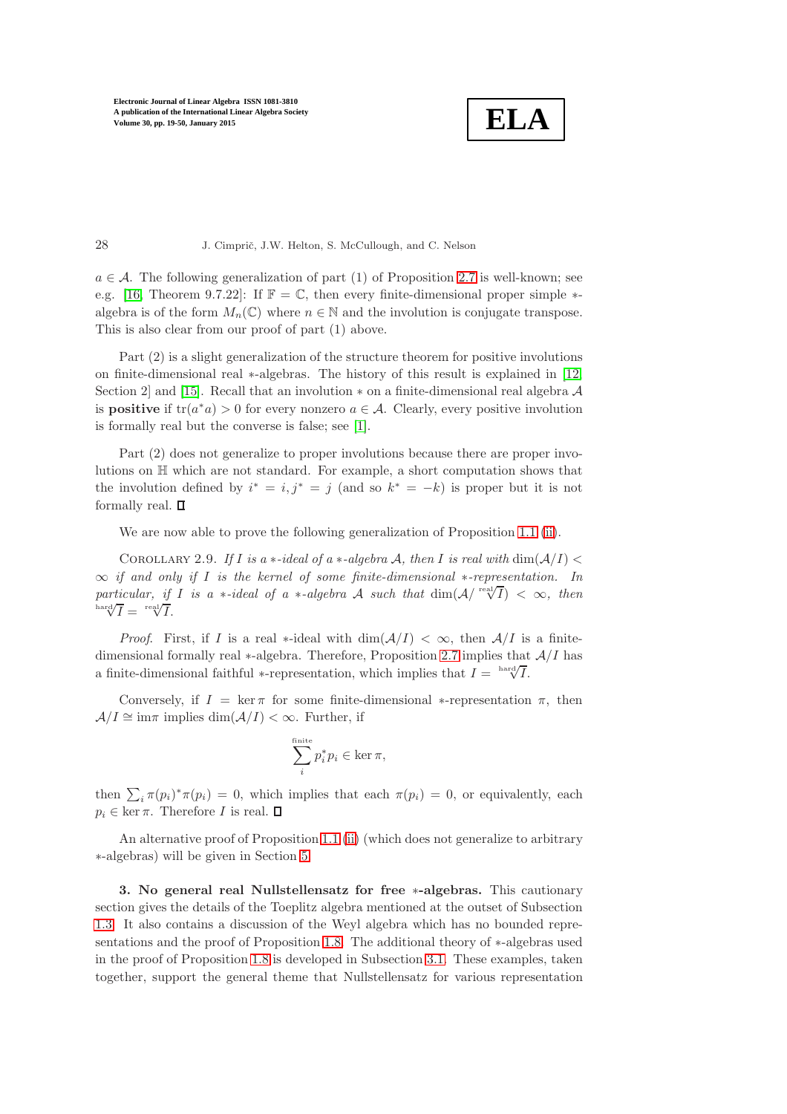

28 J. Cimprič, J.W. Helton, S. McCullough, and C. Nelson

 $a \in \mathcal{A}$ . The following generalization of part (1) of Proposition [2.7](#page-8-0) is well-known; see e.g. [\[16,](#page-31-3) Theorem 9.7.22]: If  $\mathbb{F} = \mathbb{C}$ , then every finite-dimensional proper simple  $*$ algebra is of the form  $M_n(\mathbb{C})$  where  $n \in \mathbb{N}$  and the involution is conjugate transpose. This is also clear from our proof of part (1) above.

Part (2) is a slight generalization of the structure theorem for positive involutions on finite-dimensional real ∗-algebras. The history of this result is explained in [\[12,](#page-30-9) Section 2] and [\[15\]](#page-31-4). Recall that an involution  $*$  on a finite-dimensional real algebra  $A$ is **positive** if  $tr(a^*a) > 0$  for every nonzero  $a \in \mathcal{A}$ . Clearly, every positive involution is formally real but the converse is false; see [\[1\]](#page-30-10).

Part (2) does not generalize to proper involutions because there are proper involutions on H which are not standard. For example, a short computation shows that the involution defined by  $i^* = i, j^* = j$  (and so  $k^* = -k$ ) is proper but it is not formally real.  $\square$ 

<span id="page-9-1"></span>We are now able to prove the following generalization of Proposition [1.1](#page-3-0) [\(ii\)](#page-3-1).

COROLLARY 2.9. If I is a  $\ast$ -ideal of a  $\ast$ -algebra A, then I is real with  $\dim(A/I)$ ∞ *if and only if* I *is the kernel of some finite-dimensional* ∗*-representation. In*  $particular, if I is a *-ideal of a *-algebra A such that dim(A/ \sqrt{rel}) < \infty$ , then  $\sqrt{\frac{\hbox{hard}}{I}} = \sqrt{\frac{\hbox{real}}{I}}$ .

*Proof.* First, if I is a real \*-ideal with  $\dim(\mathcal{A}/I) < \infty$ , then  $\mathcal{A}/I$  is a finitedimensional formally real  $*$ -algebra. Therefore, Proposition [2.7](#page-8-0) implies that  $A/I$  has a finite-dimensional faithful ∗-representation, which implies that  $I = \frac{\text{hard}}{\sqrt{I}}$ .

Conversely, if  $I = \ker \pi$  for some finite-dimensional  $\ast$ -representation  $\pi$ , then  $A/I \cong \text{im}\pi$  implies  $\dim(A/I) < \infty$ . Further, if

$$
\sum_{i}^{\text{finite}} p_i^* p_i \in \ker \pi,
$$

then  $\sum_i \pi(p_i)^* \pi(p_i) = 0$ , which implies that each  $\pi(p_i) = 0$ , or equivalently, each  $p_i \in \ker \pi$ . Therefore *I* is real.  $\Box$ 

<span id="page-9-0"></span>An alternative proof of Proposition [1.1](#page-3-0) [\(ii\)](#page-3-1) (which does not generalize to arbitrary ∗-algebras) will be given in Section [5.](#page-22-0)

3. No general real Nullstellensatz for free ∗-algebras. This cautionary section gives the details of the Toeplitz algebra mentioned at the outset of Subsection [1.3.](#page-3-4) It also contains a discussion of the Weyl algebra which has no bounded representations and the proof of Proposition [1.8.](#page-5-1) The additional theory of ∗-algebras used in the proof of Proposition [1.8](#page-5-1) is developed in Subsection [3.1.](#page-10-0) These examples, taken together, support the general theme that Nullstellensatz for various representation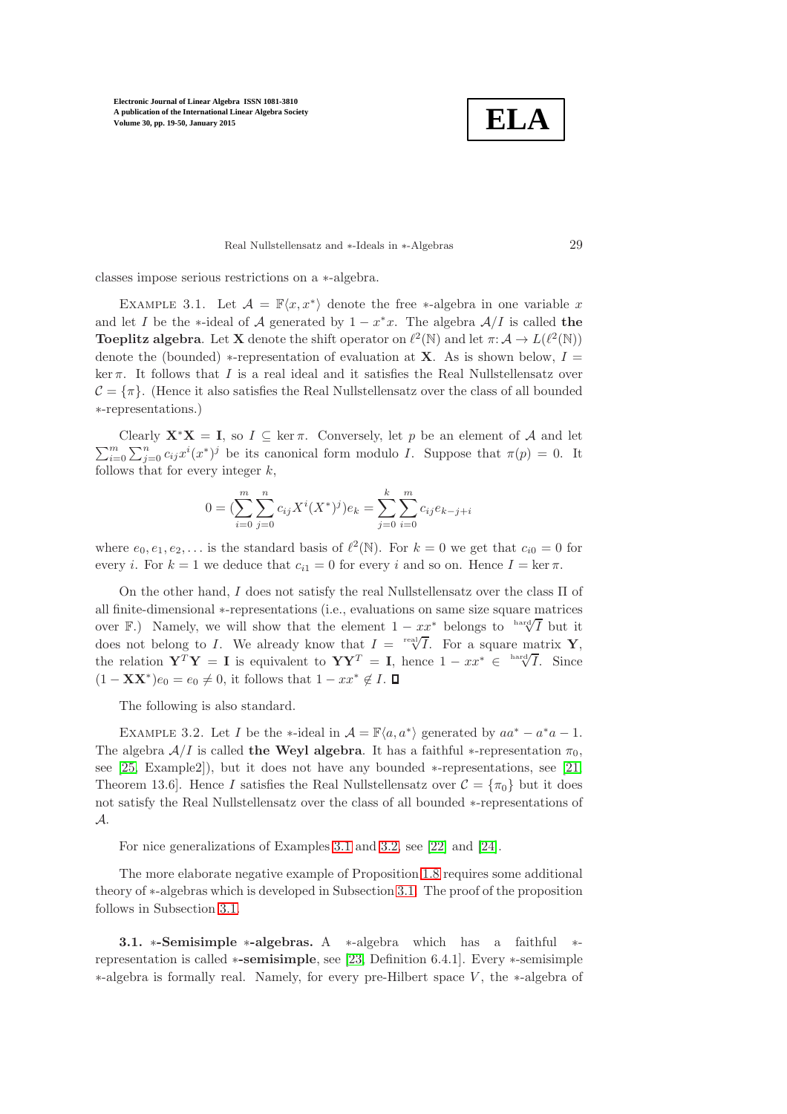**ELA**

#### Real Nullstellensatz and ∗-Ideals in ∗-Algebras 29

<span id="page-10-1"></span>classes impose serious restrictions on a ∗-algebra.

EXAMPLE 3.1. Let  $\mathcal{A} = \mathbb{F}\langle x, x^* \rangle$  denote the free \*-algebra in one variable x and let I be the ∗-ideal of A generated by  $1 - x^*x$ . The algebra  $A/I$  is called the **Toeplitz algebra.** Let **X** denote the shift operator on  $\ell^2(\mathbb{N})$  and let  $\pi: \mathcal{A} \to L(\ell^2(\mathbb{N}))$ denote the (bounded) \*-representation of evaluation at **X**. As is shown below,  $I =$ ker  $\pi$ . It follows that I is a real ideal and it satisfies the Real Nullstellensatz over  $C = \{\pi\}$ . (Hence it also satisfies the Real Nullstellensatz over the class of all bounded ∗-representations.)

Clearly  $X^*X = I$ , so  $I \subseteq \ker \pi$ . Conversely, let p be an element of A and let  $\sum_{i=0}^{m} \sum_{j=0}^{n} c_{ij} x^{i}(x^{*})^{j}$  be its canonical form modulo *I*. Suppose that  $\pi(p) = 0$ . It follows that for every integer  $k$ ,

$$
0 = \left(\sum_{i=0}^{m} \sum_{j=0}^{n} c_{ij} X^{i} (X^{*})^{j}\right) e_{k} = \sum_{j=0}^{k} \sum_{i=0}^{m} c_{ij} e_{k-j+i}
$$

where  $e_0, e_1, e_2, \ldots$  is the standard basis of  $\ell^2(\mathbb{N})$ . For  $k = 0$  we get that  $c_{i0} = 0$  for every *i*. For  $k = 1$  we deduce that  $c_{i1} = 0$  for every *i* and so on. Hence  $I = \ker \pi$ .

On the other hand,  $I$  does not satisfy the real Nullstellensatz over the class  $\Pi$  of all finite-dimensional ∗-representations (i.e., evaluations on same size square matrices over F.) Namely, we will show that the element  $1 - xx^*$  belongs to  $\frac{\text{hard}}{\sqrt{I}}$  but it does not belong to I. We already know that  $I = \sqrt{\int_0^{\infty} I$ . For a square matrix Y, the relation  $\mathbf{Y}^T \mathbf{Y} = \mathbf{I}$  is equivalent to  $\mathbf{Y} \mathbf{Y}^T = \mathbf{I}$ , hence  $1 - xx^* \in \sqrt{\text{Var}(\mathbf{X})}$ . Since  $(1 - \mathbf{XX}^*)e_0 = e_0 \neq 0$ , it follows that  $1 - xx^* \notin I$ .

<span id="page-10-2"></span>The following is also standard.

EXAMPLE 3.2. Let *I* be the \*-ideal in  $\mathcal{A} = \mathbb{F}\langle a, a^* \rangle$  generated by  $aa^* - a^*a - 1$ . The algebra  $A/I$  is called the Weyl algebra. It has a faithful  $*$ -representation  $\pi_0$ , see [\[25,](#page-31-5) Example2]), but it does not have any bounded ∗-representations, see [\[21,](#page-31-6) Theorem 13.6]. Hence I satisfies the Real Nullstellensatz over  $\mathcal{C} = {\lbrace \pi_0 \rbrace}$  but it does not satisfy the Real Nullstellensatz over the class of all bounded ∗-representations of A.

For nice generalizations of Examples [3.1](#page-10-1) and [3.2,](#page-10-2) see [\[22\]](#page-31-7) and [\[24\]](#page-31-8).

The more elaborate negative example of Proposition [1.8](#page-5-1) requires some additional theory of ∗-algebras which is developed in Subsection [3.1.](#page-10-0) The proof of the proposition follows in Subsection [3.1.](#page-11-0)

<span id="page-10-0"></span>3.1. ∗-Semisimple ∗-algebras. A ∗-algebra which has a faithful ∗ representation is called ∗-semisimple, see [\[23,](#page-31-9) Definition 6.4.1]. Every ∗-semisimple ∗-algebra is formally real. Namely, for every pre-Hilbert space V , the ∗-algebra of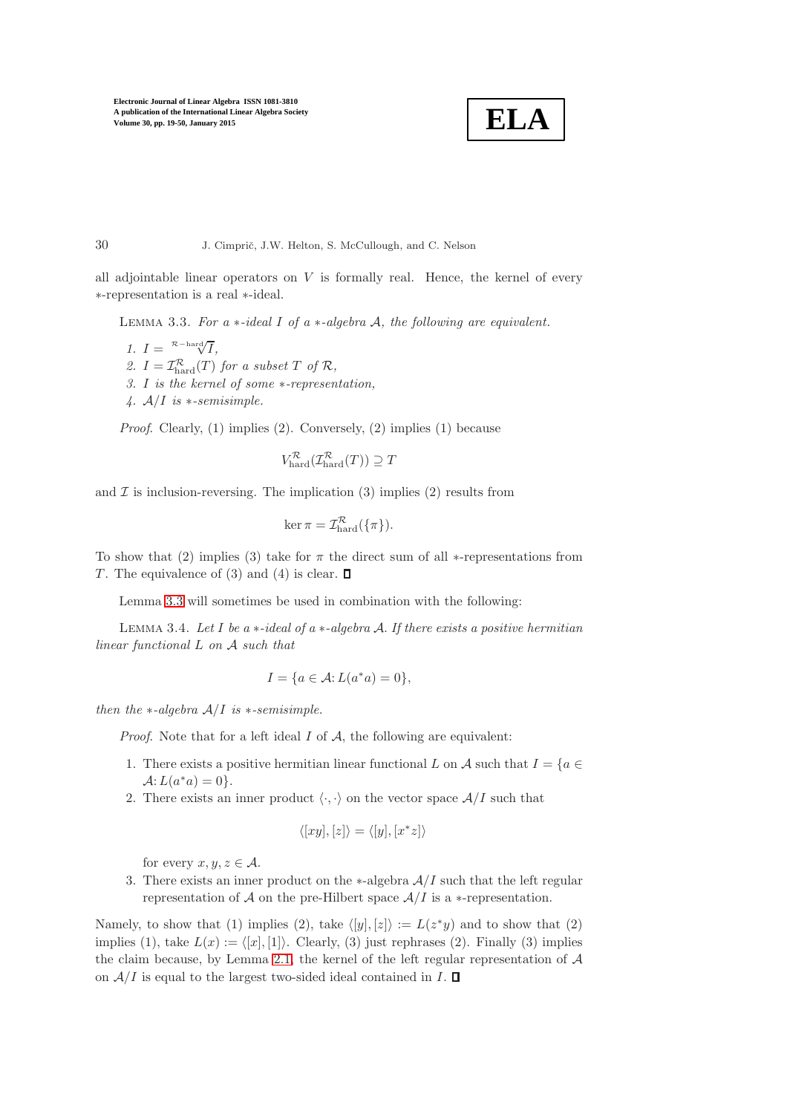

<span id="page-11-1"></span>all adjointable linear operators on  $V$  is formally real. Hence, the kernel of every ∗-representation is a real ∗-ideal.

Lemma 3.3. *For a* ∗*-ideal* I *of a* ∗*-algebra* A*, the following are equivalent.*

*1.*  $I = \sqrt{\frac{\mathcal{R} - \text{hard}}{\mathcal{V}}I},$ 2.  $I = \mathcal{I}_{\text{hard}}^{\mathcal{R}}(T)$  *for a subset*  $T$  *of*  $\mathcal{R}$ *, 3.* I *is the kernel of some* ∗*-representation, 4.* A/I *is* ∗*-semisimple.*

*Proof.* Clearly, (1) implies (2). Conversely, (2) implies (1) because

$$
V_{\text{hard}}^{\mathcal{R}}(\mathcal{I}_{\text{hard}}^{\mathcal{R}}(T)) \supseteq T
$$

and  $\mathcal I$  is inclusion-reversing. The implication (3) implies (2) results from

$$
\ker \pi = \mathcal{I}^{\mathcal{R}}_{\text{hard}}(\{\pi\}).
$$

To show that (2) implies (3) take for  $\pi$  the direct sum of all ∗-representations from T. The equivalence of (3) and (4) is clear.  $\Box$ 

Lemma [3.3](#page-11-1) will sometimes be used in combination with the following:

Lemma 3.4. *Let* I *be a* ∗*-ideal of a* ∗*-algebra* A. *If there exists a positive hermitian linear functional* L *on* A *such that*

$$
I=\{a\in \mathcal{A}\hbox{\rm :}\ L(a^*a)=0\},
$$

*then the* ∗*-algebra* A/I *is* ∗*-semisimple.*

*Proof.* Note that for a left ideal  $I$  of  $A$ , the following are equivalent:

- 1. There exists a positive hermitian linear functional L on A such that  $I = \{a \in$  $\mathcal{A}$ :  $L(a^*a) = 0$ .
- 2. There exists an inner product  $\langle \cdot, \cdot \rangle$  on the vector space  $A/I$  such that

$$
\langle [xy],[z] \rangle = \langle [y],[x^*z] \rangle
$$

for every  $x, y, z \in A$ .

<span id="page-11-0"></span>3. There exists an inner product on the  $\ast$ -algebra  $A/I$  such that the left regular representation of A on the pre-Hilbert space  $A/I$  is a  $*$ -representation.

Namely, to show that (1) implies (2), take  $\langle [y], [z] \rangle := L(z^*y)$  and to show that (2) implies (1), take  $L(x) := \langle [x], [1] \rangle$ . Clearly, (3) just rephrases (2). Finally (3) implies the claim because, by Lemma [2.1,](#page-5-3) the kernel of the left regular representation of  $A$ on  $A/I$  is equal to the largest two-sided ideal contained in  $I. \square$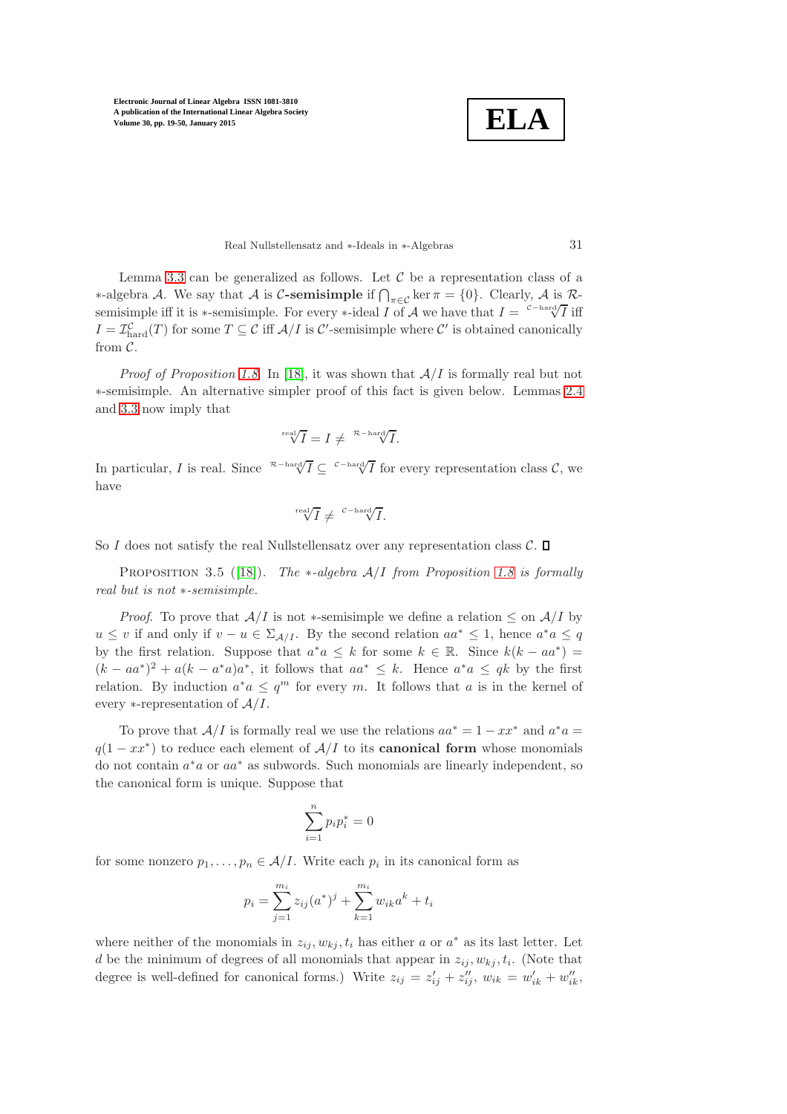**ELA**

Real Nullstellensatz and ∗-Ideals in ∗-Algebras 31

Lemma [3.3](#page-11-1) can be generalized as follows. Let  $\mathcal C$  be a representation class of a  $∗-algebra A. We say that A is C-semisimple if ∩<sub>π∈C</sub> ker π = {0}. Clearly, A is R$ semisimple iff it is ∗-semisimple. For every ∗-ideal I of A we have that  $I = \frac{c - \text{hard}}{\sqrt{I}}$  iff  $I = \mathcal{I}_{\text{hard}}^{\mathcal{C}}(T)$  for some  $T \subseteq \mathcal{C}$  iff  $\mathcal{A}/I$  is  $\mathcal{C}'$ -semisimple where  $\mathcal{C}'$  is obtained canonically from  $\mathcal{C}$ .

*Proof of Proposition [1.8](#page-5-1).* In [\[18\]](#page-31-2), it was shown that  $A/I$  is formally real but not ∗-semisimple. An alternative simpler proof of this fact is given below. Lemmas [2.4](#page-7-0) and [3.3](#page-11-1) now imply that

$$
\sqrt[\text{real}]{I} = I \neq \sqrt[\mathcal{R}-\text{hard}]{I}.
$$

In particular, I is real. Since  $\sqrt[R-\text{hard}]{I} \subseteq \sqrt[\text{Card}]{I}$  for every representation class C, we have

$$
\sqrt[\text{real}]{I} \neq \sqrt[\text{C-hard}]{I}.
$$

So I does not satisfy the real Nullstellensatz over any representation class  $\mathcal{C}$ .  $\Box$ 

Proposition 3.5 ([\[18\]](#page-31-2)). *The* ∗*-algebra* A/I *from Proposition [1.8](#page-5-1) is formally real but is not* ∗*-semisimple.*

*Proof.* To prove that  $A/I$  is not \*-semisimple we define a relation  $\leq$  on  $A/I$  by  $u \le v$  if and only if  $v - u \in \Sigma_{\mathcal{A}/I}$ . By the second relation  $aa^* \le 1$ , hence  $a^*a \le q$ by the first relation. Suppose that  $a^*a \leq k$  for some  $k \in \mathbb{R}$ . Since  $k(k - aa^*)$  $(k - aa^*)^2 + a(k - a^*a)a^*$ , it follows that  $aa^* \leq k$ . Hence  $a^*a \leq qk$  by the first relation. By induction  $a^*a \leq q^m$  for every m. It follows that a is in the kernel of every  $*$ -representation of  $A/I$ .

To prove that  $A/I$  is formally real we use the relations  $aa^* = 1 - xx^*$  and  $a^*a =$  $q(1 - xx^*)$  to reduce each element of  $A/I$  to its **canonical form** whose monomials do not contain  $a^*a$  or  $aa^*$  as subwords. Such monomials are linearly independent, so the canonical form is unique. Suppose that

$$
\sum_{i=1}^{n} p_i p_i^* = 0
$$

for some nonzero  $p_1, \ldots, p_n \in \mathcal{A}/I$ . Write each  $p_i$  in its canonical form as

$$
p_i = \sum_{j=1}^{m_i} z_{ij}(a^*)^j + \sum_{k=1}^{m_i} w_{ik}a^k + t_i
$$

where neither of the monomials in  $z_{ij}$ ,  $w_{kj}$ ,  $t_i$  has either a or  $a^*$  as its last letter. Let d be the minimum of degrees of all monomials that appear in  $z_{ij}$ ,  $w_{kj}$ ,  $t_i$ . (Note that degree is well-defined for canonical forms.) Write  $z_{ij} = z'_{ij} + z''_{ij}$ ,  $w_{ik} = w'_{ik} + w''_{ik}$ ,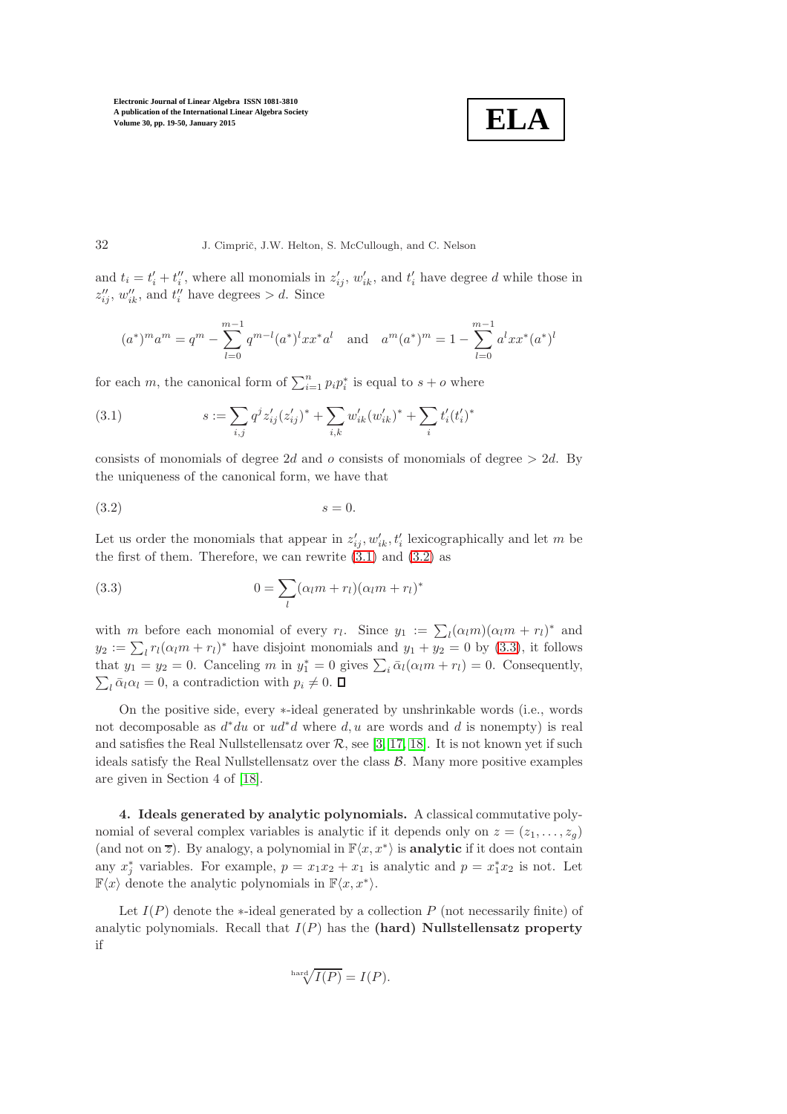$$
\boxed{\textbf{ELA}}
$$

#### 32 J. Cimprič, J.W. Helton, S. McCullough, and C. Nelson

and  $t_i = t'_i + t''_i$ , where all monomials in  $z'_{ij}$ ,  $w'_{ik}$ , and  $t'_i$  have degree d while those in  $z''_{ij}$ ,  $w''_{ik}$ , and  $t''_i$  have degrees  $> d$ . Since

$$
(a^*)^m a^m = q^m - \sum_{l=0}^{m-1} q^{m-l} (a^*)^l x x^* a^l \quad \text{and} \quad a^m (a^*)^m = 1 - \sum_{l=0}^{m-1} a^l x x^* (a^*)^l
$$

for each m, the canonical form of  $\sum_{i=1}^{n} p_i p_i^*$  is equal to  $s + o$  where

<span id="page-13-1"></span>(3.1) 
$$
s := \sum_{i,j} q^j z'_{ij} (z'_{ij})^* + \sum_{i,k} w'_{ik} (w'_{ik})^* + \sum_i t'_i (t'_i)^*
$$

consists of monomials of degree 2d and o consists of monomials of degree  $> 2d$ . By the uniqueness of the canonical form, we have that

<span id="page-13-2"></span>
$$
(3.2) \t\t s = 0.
$$

Let us order the monomials that appear in  $z'_{ij}$ ,  $w'_{ik}$ ,  $t'_{i}$  lexicographically and let m be the first of them. Therefore, we can rewrite  $(3.1)$  and  $(3.2)$  as

<span id="page-13-3"></span>(3.3) 
$$
0 = \sum_{l} (\alpha_l m + r_l)(\alpha_l m + r_l)^*
$$

with m before each monomial of every  $r_l$ . Since  $y_1 := \sum_l (\alpha_l m)(\alpha_l m + r_l)^*$  and  $y_2 := \sum_l r_l (\alpha_l m + r_l)^*$  have disjoint monomials and  $y_1 + y_2 = 0$  by [\(3.3\)](#page-13-3), it follows that  $y_1 = y_2 = 0$ . Canceling m in  $y_1^* = 0$  gives  $\sum_i \bar{\alpha}_l(\alpha_l m + r_l) = 0$ . Consequently,  $\sum_l \bar{\alpha}_l \alpha_l = 0$ , a contradiction with  $p_i \neq 0$ .

On the positive side, every ∗-ideal generated by unshrinkable words (i.e., words not decomposable as  $d^*du$  or  $ud^*d$  where  $d, u$  are words and  $d$  is nonempty) is real and satisfies the Real Nullstellensatz over  $\mathcal{R}$ , see [\[3,](#page-30-0) [17,](#page-31-10) [18\]](#page-31-2). It is not known yet if such ideals satisfy the Real Nullstellensatz over the class  $\mathcal{B}$ . Many more positive examples are given in Section 4 of [\[18\]](#page-31-2).

<span id="page-13-0"></span>4. Ideals generated by analytic polynomials. A classical commutative polynomial of several complex variables is analytic if it depends only on  $z = (z_1, \ldots, z_g)$ (and not on  $\overline{z}$ ). By analogy, a polynomial in  $\mathbb{F}\langle x, x^*\rangle$  is **analytic** if it does not contain any  $x_j^*$  variables. For example,  $p = x_1x_2 + x_1$  is analytic and  $p = x_1^*x_2$  is not. Let  $\mathbb{F}\langle x \rangle$  denote the analytic polynomials in  $\mathbb{F}\langle x, x^* \rangle$ .

Let  $I(P)$  denote the  $\ast$ -ideal generated by a collection P (not necessarily finite) of analytic polynomials. Recall that  $I(P)$  has the (hard) Nullstellensatz property if

$$
^{\mathrm{hard}}\sqrt{I(P)}=I(P).
$$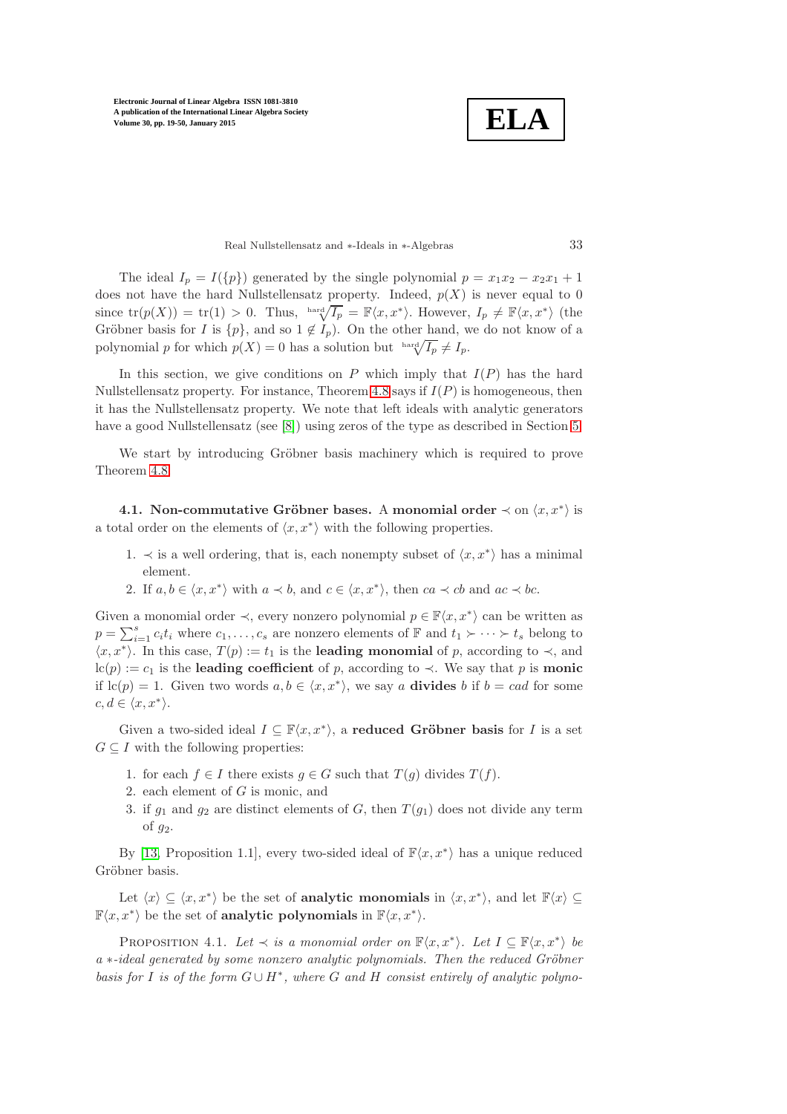**ELA**

Real Nullstellensatz and ∗-Ideals in ∗-Algebras 33

The ideal  $I_p = I(\{p\})$  generated by the single polynomial  $p = x_1x_2 - x_2x_1 + 1$ does not have the hard Nullstellensatz property. Indeed,  $p(X)$  is never equal to 0 since  $tr(p(X)) = tr(1) > 0$ . Thus,  $\lim_{X \to \infty} \sqrt{I_p} = \mathbb{F}\langle x, x^* \rangle$ . However,  $I_p \neq \mathbb{F}\langle x, x^* \rangle$  (the Gröbner basis for I is  $\{p\}$ , and so  $1 \notin I_p$ ). On the other hand, we do not know of a polynomial p for which  $p(X) = 0$  has a solution but  $\sqrt{\ln X} \neq I_p$ .

In this section, we give conditions on P which imply that  $I(P)$  has the hard Nullstellensatz property. For instance, Theorem [4.8](#page-21-0) says if  $I(P)$  is homogeneous, then it has the Nullstellensatz property. We note that left ideals with analytic generators have a good Nullstellensatz (see [\[8\]](#page-30-2)) using zeros of the type as described in Section [5.](#page-22-0)

We start by introducing Gröbner basis machinery which is required to prove Theorem [4.8.](#page-21-0)

4.1. Non-commutative Gröbner bases. A monomial order  $\prec$  on  $\langle x, x^* \rangle$  is a total order on the elements of  $\langle x, x^* \rangle$  with the following properties.

- 1.  $\prec$  is a well ordering, that is, each nonempty subset of  $\langle x, x^* \rangle$  has a minimal element.
- 2. If  $a, b \in \langle x, x^* \rangle$  with  $a \prec b$ , and  $c \in \langle x, x^* \rangle$ , then  $ca \prec cb$  and  $ac \prec bc$ .

Given a monomial order  $\prec$ , every nonzero polynomial  $p \in \mathbb{F}\langle x, x^*\rangle$  can be written as  $p = \sum_{i=1}^{s} c_i t_i$  where  $c_1, \ldots, c_s$  are nonzero elements of  $\mathbb{F}$  and  $t_1 \succ \cdots \succ t_s$  belong to  $\langle x, x^* \rangle$ . In this case,  $T(p) := t_1$  is the **leading monomial** of p, according to  $\prec$ , and lc(p) := c<sub>1</sub> is the leading coefficient of p, according to  $\prec$ . We say that p is monic if  $lc(p) = 1$ . Given two words  $a, b \in \langle x, x^* \rangle$ , we say a **divides** b if  $b = cad$  for some  $c, d \in \langle x, x^* \rangle.$ 

Given a two-sided ideal  $I \subseteq \mathbb{F}\langle x, x^*\rangle$ , a **reduced Gröbner basis** for I is a set  $G \subseteq I$  with the following properties:

- 1. for each  $f \in I$  there exists  $g \in G$  such that  $T(g)$  divides  $T(f)$ .
- 2. each element of G is monic, and
- 3. if  $g_1$  and  $g_2$  are distinct elements of G, then  $T(g_1)$  does not divide any term of  $g_2$ .

By [\[13,](#page-30-11) Proposition 1.1], every two-sided ideal of  $\mathbb{F}\langle x, x^*\rangle$  has a unique reduced Gröbner basis.

<span id="page-14-0"></span>Let  $\langle x \rangle \subseteq \langle x, x^* \rangle$  be the set of **analytic monomials** in  $\langle x, x^* \rangle$ , and let  $\mathbb{F}\langle x \rangle \subseteq$  $\mathbb{F}\langle x, x^*\rangle$  be the set of **analytic polynomials** in  $\mathbb{F}\langle x, x^*\rangle$ .

PROPOSITION 4.1. *Let*  $\prec$  *is a monomial order on*  $\mathbb{F}\langle x, x^* \rangle$ *. Let*  $I \subseteq \mathbb{F}\langle x, x^* \rangle$  *be a* ∗*-ideal generated by some nonzero analytic polynomials. Then the reduced Gröbner basis for* <sup>I</sup> *is of the form* <sup>G</sup> <sup>∪</sup> <sup>H</sup><sup>∗</sup> *, where* G *and* H *consist entirely of analytic polyno-*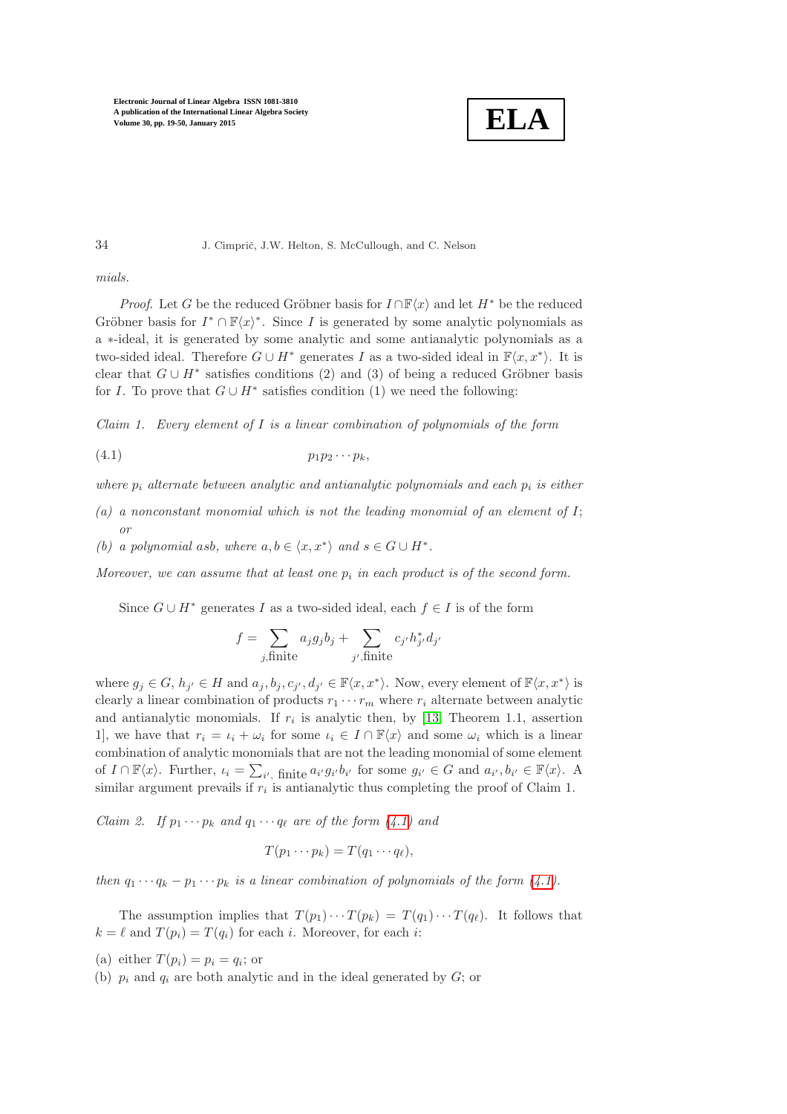

34 J. Cimprič, J.W. Helton, S. McCullough, and C. Nelson

*mials.*

*Proof.* Let G be the reduced Gröbner basis for  $I \cap \mathbb{F}\langle x \rangle$  and let  $H^*$  be the reduced Gröbner basis for  $I^* \cap \mathbb{F}\langle x \rangle^*$ . Since I is generated by some analytic polynomials as a ∗-ideal, it is generated by some analytic and some antianalytic polynomials as a two-sided ideal. Therefore  $G \cup H^*$  generates I as a two-sided ideal in  $\mathbb{F}\langle x, x^*\rangle$ . It is clear that  $G \cup H^*$  satisfies conditions (2) and (3) of being a reduced Gröbner basis for I. To prove that  $G \cup H^*$  satisfies condition (1) we need the following:

*Claim 1. Every element of* I *is a linear combination of polynomials of the form*

$$
(4.1) \t\t\t\t p_1p_2\cdots p_k,
$$

*where*  $p_i$  *alternate between analytic and antianalytic polynomials and each*  $p_i$  *is either* 

- *(a) a nonconstant monomial which is not the leading monomial of an element of* I; *or*
- *(b)* a polynomial asb, where  $a, b \in \langle x, x^* \rangle$  and  $s \in G \cup H^*$ .

*Moreover, we can assume that at least one*  $p_i$  *in each product is of the second form.* 

Since  $G \cup H^*$  generates I as a two-sided ideal, each  $f \in I$  is of the form

<span id="page-15-0"></span>
$$
f = \sum_{j,\text{finite}} a_j g_j b_j + \sum_{j',\text{finite}} c_{j'} h_{j'}^* d_{j'}
$$

where  $g_j \in G$ ,  $h_{j'} \in H$  and  $a_j, b_j, c_{j'}, d_{j'} \in \mathbb{F}\langle x, x^* \rangle$ . Now, every element of  $\mathbb{F}\langle x, x^* \rangle$  is clearly a linear combination of products  $r_1 \cdots r_m$  where  $r_i$  alternate between analytic and antianalytic monomials. If  $r_i$  is analytic then, by [\[13,](#page-30-11) Theorem 1.1, assertion 1], we have that  $r_i = \iota_i + \omega_i$  for some  $\iota_i \in I \cap \mathbb{F}\langle x \rangle$  and some  $\omega_i$  which is a linear combination of analytic monomials that are not the leading monomial of some element of  $I \cap \mathbb{F}\langle x \rangle$ . Further,  $\iota_i = \sum_{i'}$  finite  $a_{i'}g_{i'}b_{i'}$  for some  $g_{i'} \in G$  and  $a_{i'}, b_{i'} \in \mathbb{F}\langle x \rangle$ . A similar argument prevails if  $r_i$  is antianalytic thus completing the proof of Claim 1.

*Claim 2. If*  $p_1 \cdots p_k$  *and*  $q_1 \cdots q_\ell$  *are of the form [\(4.1\)](#page-15-0) and* 

$$
T(p_1\cdots p_k)=T(q_1\cdots q_\ell),
$$

*then*  $q_1 \cdots q_k - p_1 \cdots p_k$  *is a linear combination of polynomials of the form [\(4.1\)](#page-15-0).* 

The assumption implies that  $T(p_1)\cdots T(p_k) = T(q_1)\cdots T(q_\ell)$ . It follows that  $k = \ell$  and  $T(p_i) = T(q_i)$  for each i. Moreover, for each i:

- (a) either  $T(p_i) = p_i = q_i$ ; or
- (b)  $p_i$  and  $q_i$  are both analytic and in the ideal generated by  $G$ ; or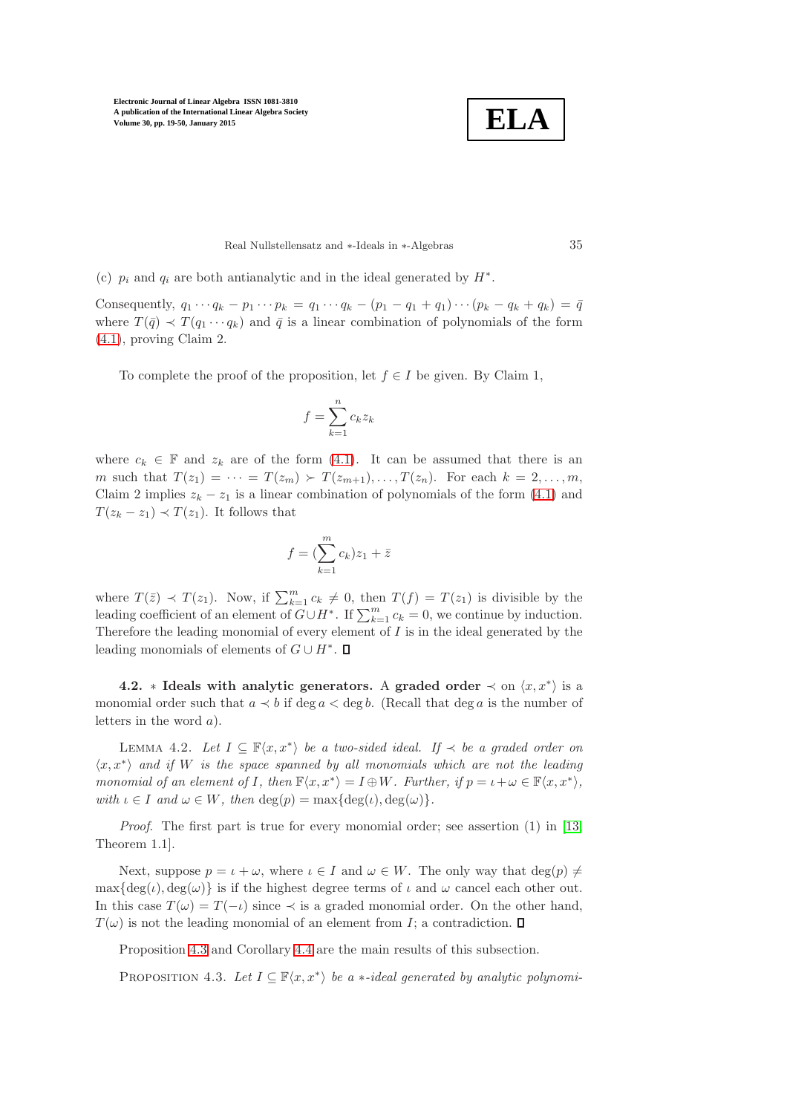

#### Real Nullstellensatz and ∗-Ideals in ∗-Algebras 35

(c)  $p_i$  and  $q_i$  are both antianalytic and in the ideal generated by  $H^*$ .

Consequently,  $q_1 \cdots q_k - p_1 \cdots p_k = q_1 \cdots q_k - (p_1 - q_1 + q_1) \cdots (p_k - q_k + q_k) = \bar{q}$ where  $T(\bar{q}) \prec T(q_1 \cdots q_k)$  and  $\bar{q}$  is a linear combination of polynomials of the form [\(4.1\)](#page-15-0), proving Claim 2.

To complete the proof of the proposition, let  $f \in I$  be given. By Claim 1,

$$
f = \sum_{k=1}^{n} c_k z_k
$$

where  $c_k \in \mathbb{F}$  and  $z_k$  are of the form [\(4.1\)](#page-15-0). It can be assumed that there is an m such that  $T(z_1) = \cdots = T(z_m) \succ T(z_{m+1}), \ldots, T(z_n)$ . For each  $k = 2, \ldots, m$ , Claim 2 implies  $z_k - z_1$  is a linear combination of polynomials of the form [\(4.1\)](#page-15-0) and  $T(z_k - z_1) \prec T(z_1)$ . It follows that

$$
f = (\sum_{k=1}^{m} c_k) z_1 + \bar{z}
$$

where  $T(\bar{z}) \prec T(z_1)$ . Now, if  $\sum_{k=1}^m c_k \neq 0$ , then  $T(f) = T(z_1)$  is divisible by the leading coefficient of an element of  $G \cup H^*$ . If  $\sum_{k=1}^m c_k = 0$ , we continue by induction. Therefore the leading monomial of every element of  $I$  is in the ideal generated by the leading monomials of elements of  $G \cup H^*$ .

**4.2.** \* Ideals with analytic generators. A graded order  $\prec$  on  $\langle x, x^* \rangle$  is a monomial order such that  $a \lt b$  if deg  $a \lt \deg b$ . (Recall that deg a is the number of letters in the word a).

<span id="page-16-1"></span>LEMMA 4.2. Let  $I \subseteq \mathbb{F}\langle x, x^*\rangle$  be a two-sided ideal. If  $\prec$  be a graded order on  $\langle x, x^* \rangle$  and if W is the space spanned by all monomials which are not the leading *monomial of an element of* I, then  $\mathbb{F}\langle x, x^* \rangle = I \oplus W$ *. Further, if*  $p = \iota + \omega \in \mathbb{F}\langle x, x^* \rangle$ , *with*  $\iota \in I$  *and*  $\omega \in W$ *, then* deg(*p*) = max{deg(*ι*), deg( $\omega$ )}.

*Proof*. The first part is true for every monomial order; see assertion (1) in [\[13,](#page-30-11) Theorem 1.1].

Next, suppose  $p = \iota + \omega$ , where  $\iota \in I$  and  $\omega \in W$ . The only way that  $deg(p) \neq$  $\max\{\deg(i), \deg(\omega)\}\$ is if the highest degree terms of  $\iota$  and  $\omega$  cancel each other out. In this case  $T(\omega) = T(-\iota)$  since  $\prec$  is a graded monomial order. On the other hand,  $T(\omega)$  is not the leading monomial of an element from I; a contradiction.  $\Box$ 

<span id="page-16-0"></span>Proposition [4.3](#page-16-0) and Corollary [4.4](#page-17-0) are the main results of this subsection.

PROPOSITION 4.3. Let  $I \subseteq \mathbb{F}\langle x, x^*\rangle$  be a  $\ast$ *-ideal generated by analytic polynomi-*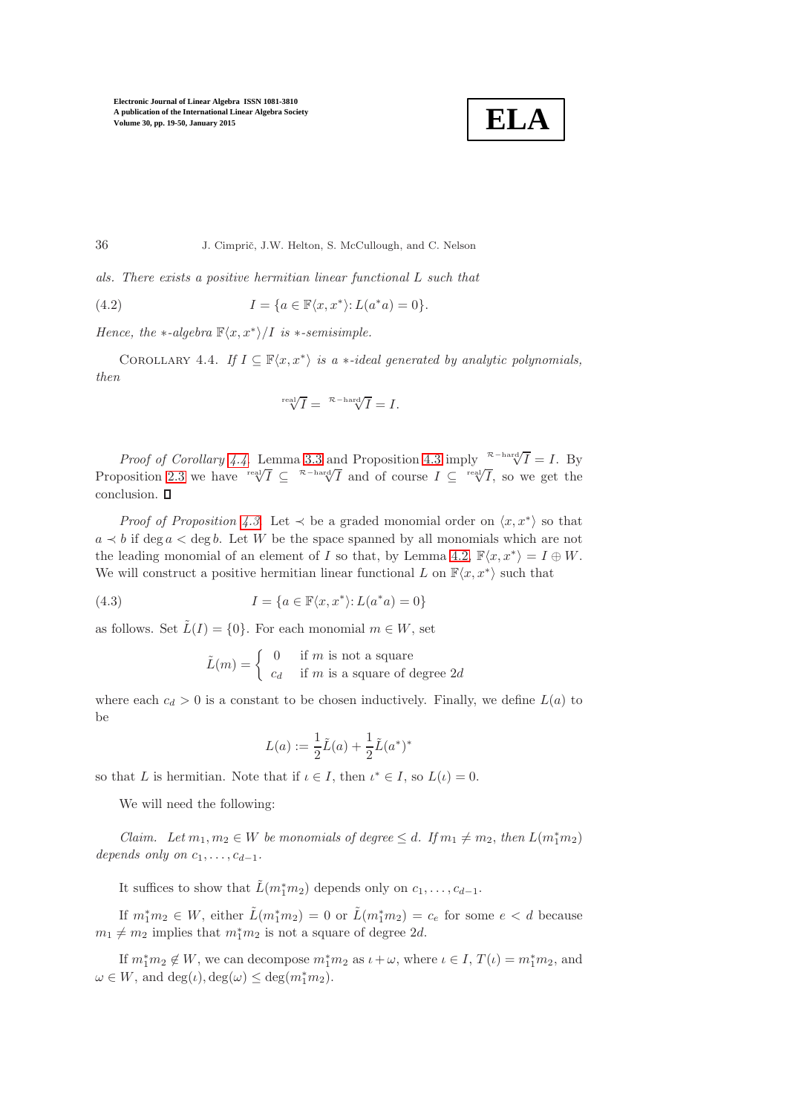

*als. There exists a positive hermitian linear functional* L *such that*

(4.2) 
$$
I = \{a \in \mathbb{F}\langle x, x^*\rangle : L(a^*a) = 0\}.
$$

<span id="page-17-0"></span>*Hence, the*  $*$ *-algebra*  $\mathbb{F}\langle x, x^* \rangle / I$  *is*  $*$ *-semisimple.* 

COROLLARY 4.4. *If*  $I \subseteq \mathbb{F}\langle x, x^* \rangle$  *is a* \*-*ideal generated by analytic polynomials, then*

$$
\sqrt[\text{real}]{I} = \sqrt[\mathcal{R} - \text{hard}]{I} = I.
$$

*Proof of Corollary* [4.4](#page-17-0). Lemma [3.3](#page-11-1) and Proposition [4.3](#page-16-0) imply <sup> $R-\text{hard}}/I = I$ . By</sup> Proposition [2.3](#page-6-3) we have  $\sqrt[n]{I} \subseteq \sqrt[n]{T}$  and of course  $I \subseteq \sqrt[n]{I}$ , so we get the conclusion.  $\square$ 

*Proof of Proposition [4.3](#page-16-0).* Let  $\prec$  be a graded monomial order on  $\langle x, x^* \rangle$  so that  $a \prec b$  if deg  $a < \text{deg } b$ . Let W be the space spanned by all monomials which are not the leading monomial of an element of I so that, by Lemma [4.2,](#page-16-1)  $\mathbb{F}\langle x, x^*\rangle = I \oplus W$ . We will construct a positive hermitian linear functional L on  $\mathbb{F}\langle x, x^*\rangle$  such that

(4.3) 
$$
I = \{a \in \mathbb{F}\langle x, x^* \rangle : L(a^*a) = 0\}
$$

as follows. Set  $\tilde{L}(I) = \{0\}$ . For each monomial  $m \in W$ , set

$$
\tilde{L}(m) = \begin{cases}\n0 & \text{if } m \text{ is not a square} \\
c_d & \text{if } m \text{ is a square of degree } 2d\n\end{cases}
$$

where each  $c_d > 0$  is a constant to be chosen inductively. Finally, we define  $L(a)$  to be

$$
L(a) := \frac{1}{2}\tilde{L}(a) + \frac{1}{2}\tilde{L}(a^*)^*
$$

so that L is hermitian. Note that if  $\iota \in I$ , then  $\iota^* \in I$ , so  $L(\iota) = 0$ .

We will need the following:

*Claim.* Let  $m_1, m_2 \in W$  be monomials of degree  $\leq d$ . If  $m_1 \neq m_2$ , then  $L(m_1^* m_2)$ *depends only on*  $c_1, \ldots, c_{d-1}$ .

It suffices to show that  $\tilde{L}(m_1^*m_2)$  depends only on  $c_1, \ldots, c_{d-1}$ .

If  $m_1^* m_2 \in W$ , either  $\tilde{L}(m_1^* m_2) = 0$  or  $\tilde{L}(m_1^* m_2) = c_e$  for some  $e < d$  because  $m_1 \neq m_2$  implies that  $m_1^* m_2$  is not a square of degree 2d.

If  $m_1^* m_2 \notin W$ , we can decompose  $m_1^* m_2$  as  $\iota + \omega$ , where  $\iota \in I$ ,  $T(\iota) = m_1^* m_2$ , and  $\omega \in W$ , and  $\deg(\iota)$ ,  $\deg(\omega) \leq \deg(m_1^* m_2)$ .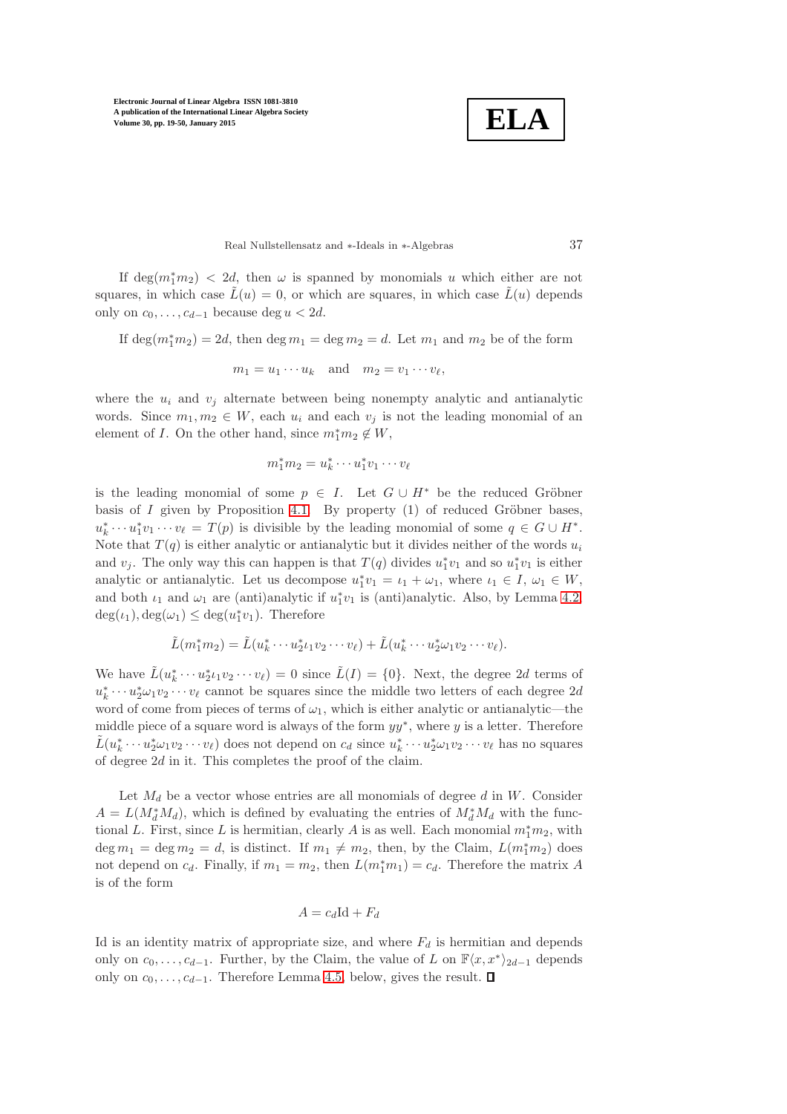**ELA**

Real Nullstellensatz and ∗-Ideals in ∗-Algebras 37

If  $\deg(m_1^*m_2) < 2d$ , then  $\omega$  is spanned by monomials u which either are not squares, in which case  $\tilde{L}(u) = 0$ , or which are squares, in which case  $\tilde{L}(u)$  depends only on  $c_0, \ldots, c_{d-1}$  because deg  $u < 2d$ .

If  $\deg(m_1^*m_2) = 2d$ , then  $\deg m_1 = \deg m_2 = d$ . Let  $m_1$  and  $m_2$  be of the form

$$
m_1 = u_1 \cdots u_k \quad \text{and} \quad m_2 = v_1 \cdots v_\ell,
$$

where the  $u_i$  and  $v_i$  alternate between being nonempty analytic and antianalytic words. Since  $m_1, m_2 \in W$ , each  $u_i$  and each  $v_j$  is not the leading monomial of an element of *I*. On the other hand, since  $m_1^* m_2 \notin W$ ,

$$
m_1^*m_2=u_k^*\cdots u_1^*v_1\cdots v_\ell
$$

is the leading monomial of some  $p \in I$ . Let  $G \cup H^*$  be the reduced Gröbner basis of  $I$  given by Proposition [4.1.](#page-14-0) By property  $(1)$  of reduced Gröbner bases,  $u_k^* \cdots u_1^* v_1 \cdots v_\ell = T(p)$  is divisible by the leading monomial of some  $q \in G \cup H^*$ . Note that  $T(q)$  is either analytic or antianalytic but it divides neither of the words  $u_i$ and  $v_j$ . The only way this can happen is that  $T(q)$  divides  $u_1^*v_1$  and so  $u_1^*v_1$  is either analytic or antianalytic. Let us decompose  $u_1^*v_1 = \iota_1 + \omega_1$ , where  $\iota_1 \in I$ ,  $\omega_1 \in W$ , and both  $\iota_1$  and  $\omega_1$  are (anti)analytic if  $u_1^*v_1$  is (anti)analytic. Also, by Lemma [4.2,](#page-16-1)  $deg(i_1), deg(\omega_1) \leq deg(u_1^*v_1)$ . Therefore

$$
\tilde{L}(m_1^*m_2)=\tilde{L}(u_k^*\cdots u_2^*u_1v_2\cdots v_\ell)+\tilde{L}(u_k^*\cdots u_2^*\omega_1v_2\cdots v_\ell).
$$

We have  $\tilde{L}(u_k^* \cdots u_2^* \iota_1 v_2 \cdots v_\ell) = 0$  since  $\tilde{L}(I) = \{0\}$ . Next, the degree 2d terms of  $u_k^* \cdots u_2^* \omega_1 v_2 \cdots v_\ell$  cannot be squares since the middle two letters of each degree  $2d$ word of come from pieces of terms of  $\omega_1$ , which is either analytic or antianalytic—the middle piece of a square word is always of the form  $yy^*$ , where y is a letter. Therefore  $\tilde{L}(u_k^*\cdots u_2^*\omega_1v_2\cdots v_\ell)$  does not depend on  $c_d$  since  $u_k^*\cdots u_2^*\omega_1v_2\cdots v_\ell$  has no squares of degree 2d in it. This completes the proof of the claim.

Let  $M_d$  be a vector whose entries are all monomials of degree  $d$  in  $W$ . Consider  $A = L(M_d^* M_d)$ , which is defined by evaluating the entries of  $M_d^* M_d$  with the functional L. First, since L is hermitian, clearly A is as well. Each monomial  $m_1^*m_2$ , with  $\deg m_1 = \deg m_2 = d$ , is distinct. If  $m_1 \neq m_2$ , then, by the Claim,  $L(m_1^* m_2)$  does not depend on  $c_d$ . Finally, if  $m_1 = m_2$ , then  $L(m_1^*m_1) = c_d$ . Therefore the matrix A is of the form

$$
A = c_d \mathrm{Id} + F_d
$$

Id is an identity matrix of appropriate size, and where  $F_d$  is hermitian and depends only on  $c_0, \ldots, c_{d-1}$ . Further, by the Claim, the value of L on  $\mathbb{F}\langle x, x^*\rangle_{2d-1}$  depends only on  $c_0, \ldots, c_{d-1}$ . Therefore Lemma [4.5,](#page-19-0) below, gives the result.  $\square$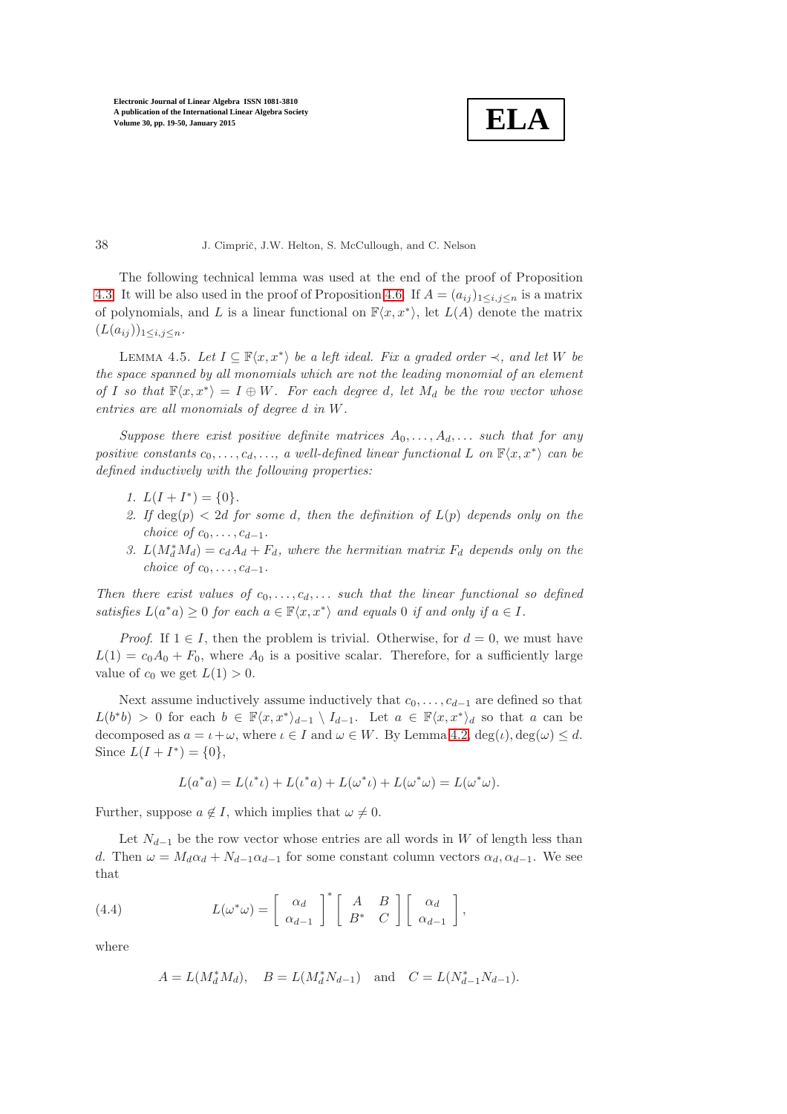**ELA**

The following technical lemma was used at the end of the proof of Proposition [4.3.](#page-16-0) It will be also used in the proof of Proposition [4.6.](#page-20-1) If  $A = (a_{ij})_{1 \le i,j \le n}$  is a matrix of polynomials, and L is a linear functional on  $\mathbb{F}\langle x, x^*\rangle$ , let  $L(A)$  denote the matrix  $(L(a_{ij}))_{1\leq i,j\leq n}.$ 

<span id="page-19-0"></span>LEMMA 4.5. Let  $I \subseteq \mathbb{F}\langle x, x^*\rangle$  be a left ideal. Fix a graded order  $\prec$ , and let W be *the space spanned by all monomials which are not the leading monomial of an element of* I so that  $\mathbb{F}\langle x, x^* \rangle = I \oplus W$ . For each degree d, let  $M_d$  be the row vector whose *entries are all monomials of degree* d *in* W*.*

*Suppose there exist positive definite matrices*  $A_0, \ldots, A_d, \ldots$  *such that for any*  $positive \; constants \; c_0, \ldots, c_d, \ldots, \; a \; well-defined \; linear \; functional \; L \; \; on \; \mathbb{F}\langle x, x^*\rangle \; can \; be$ *defined inductively with the following properties:*

- *1.*  $L(I + I^*) = \{0\}.$
- 2. If  $deg(p) < 2d$  for some d, then the definition of  $L(p)$  depends only on the *choice of*  $c_0, \ldots, c_{d-1}$ *.*
- 3.  $L(M_d^*M_d) = c_dA_d + F_d$ , where the hermitian matrix  $F_d$  depends only on the *choice of*  $c_0, \ldots, c_{d-1}$ *.*

*Then there exist values of*  $c_0, \ldots, c_d, \ldots$  *such that the linear functional so defined satisfies*  $L(a^*a) \geq 0$  *for each*  $a \in \mathbb{F}\langle x, x^* \rangle$  *and equals* 0 *if and only if*  $a \in I$ *.* 

*Proof.* If  $1 \in I$ , then the problem is trivial. Otherwise, for  $d = 0$ , we must have  $L(1) = c_0A_0 + F_0$ , where  $A_0$  is a positive scalar. Therefore, for a sufficiently large value of  $c_0$  we get  $L(1) > 0$ .

Next assume inductively assume inductively that  $c_0, \ldots, c_{d-1}$  are defined so that  $L(b^*b) > 0$  for each  $b \in \mathbb{F}\langle x, x^*\rangle_{d-1} \setminus I_{d-1}$ . Let  $a \in \mathbb{F}\langle x, x^*\rangle_d$  so that a can be decomposed as  $a = \iota + \omega$ , where  $\iota \in I$  and  $\omega \in W$ . By Lemma [4.2,](#page-16-1) deg $(\iota)$ , deg $(\omega) \leq d$ . Since  $L(I + I^*) = \{0\},\$ 

$$
L(a^*a) = L(\iota^*\iota) + L(\iota^*a) + L(\omega^*\iota) + L(\omega^*\omega) = L(\omega^*\omega).
$$

Further, suppose  $a \notin I$ , which implies that  $\omega \neq 0$ .

Let  $N_{d-1}$  be the row vector whose entries are all words in W of length less than d. Then  $\omega = M_d \alpha_d + N_{d-1} \alpha_{d-1}$  for some constant column vectors  $\alpha_d, \alpha_{d-1}$ . We see that

(4.4) 
$$
L(\omega^*\omega) = \begin{bmatrix} \alpha_d \\ \alpha_{d-1} \end{bmatrix}^* \begin{bmatrix} A & B \\ B^* & C \end{bmatrix} \begin{bmatrix} \alpha_d \\ \alpha_{d-1} \end{bmatrix},
$$

where

<span id="page-19-1"></span>
$$
A=L(M_d^*M_d), \quad B=L(M_d^*N_{d-1}) \quad \text{and} \quad C=L(N_{d-1}^*N_{d-1}).
$$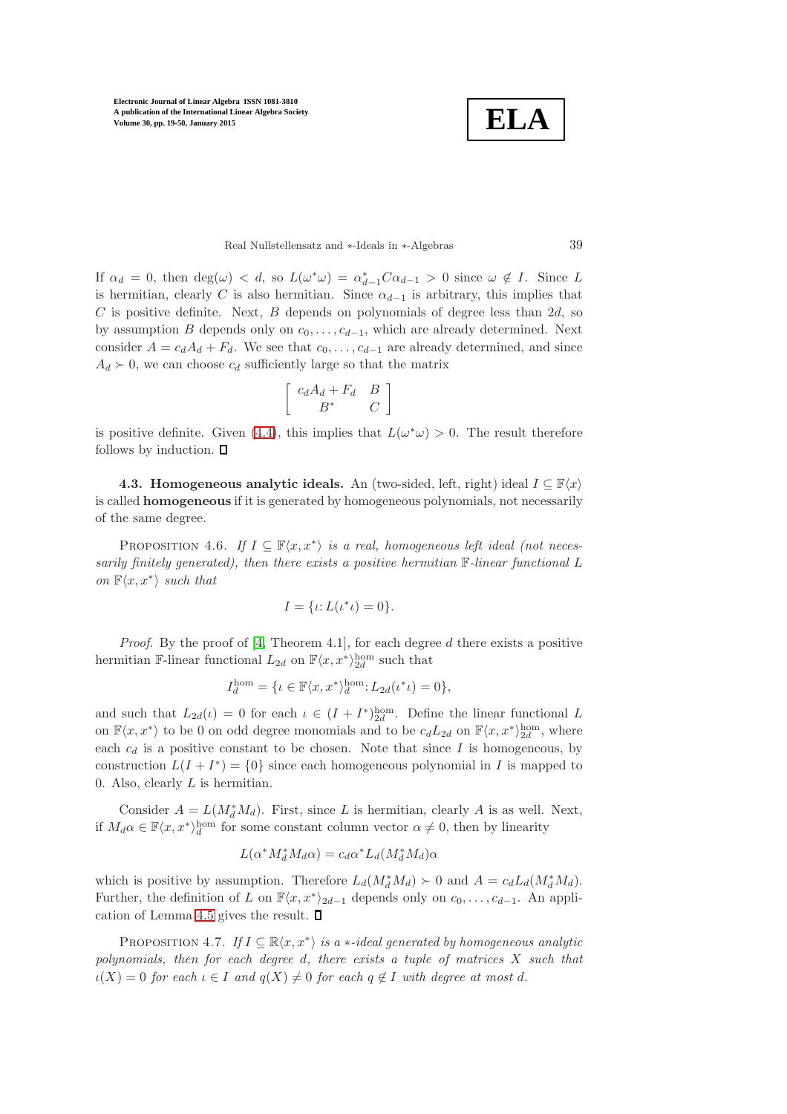**ELA**

Real Nullstellensatz and ∗-Ideals in ∗-Algebras 39

If  $\alpha_d = 0$ , then  $\deg(\omega) < d$ , so  $L(\omega^*\omega) = \alpha_{d-1}^*C\alpha_{d-1} > 0$  since  $\omega \notin I$ . Since L is hermitian, clearly C is also hermitian. Since  $\alpha_{d-1}$  is arbitrary, this implies that C is positive definite. Next, B depends on polynomials of degree less than  $2d$ , so by assumption B depends only on  $c_0, \ldots, c_{d-1}$ , which are already determined. Next consider  $A = c_d A_d + F_d$ . We see that  $c_0, \ldots, c_{d-1}$  are already determined, and since  $A_d \succ 0$ , we can choose  $c_d$  sufficiently large so that the matrix

$$
\left[ \begin{array}{cc} c_d A_d + F_d & B \\ B^* & C \end{array} \right]
$$

<span id="page-20-0"></span>is positive definite. Given [\(4.4\)](#page-19-1), this implies that  $L(\omega^*\omega) > 0$ . The result therefore follows by induction.  $\square$ 

4.3. Homogeneous analytic ideals. An (two-sided, left, right) ideal  $I \subseteq \mathbb{F}\langle x \rangle$ is called homogeneous if it is generated by homogeneous polynomials, not necessarily of the same degree.

<span id="page-20-1"></span>PROPOSITION 4.6. *If*  $I \subseteq \mathbb{F}\langle x, x^*\rangle$  *is a real, homogeneous left ideal (not necessarily finitely generated), then there exists a positive hermitian* F*-linear functional* L *on*  $\mathbb{F}\langle x, x^*\rangle$  *such that* 

$$
I=\{\iota;L(\iota^*\iota)=0\}.
$$

*Proof.* By the proof of [\[4,](#page-30-1) Theorem 4.1], for each degree d there exists a positive hermitian F-linear functional  $L_{2d}$  on  $\mathbb{F}\langle x, x^*\rangle_{2d}^{\text{hom}}$  such that

$$
I_d^{\text{hom}} = \{ \iota \in \mathbb{F}\langle x, x^* \rangle_d^{\text{hom}} : L_{2d}(\iota^* \iota) = 0 \},
$$

and such that  $L_{2d}(\iota) = 0$  for each  $\iota \in (I + I^*)_{2d}^{\text{hom}}$ . Define the linear functional L on  $\mathbb{F}\langle x, x^*\rangle$  to be 0 on odd degree monomials and to be  $c_dL_{2d}$  on  $\mathbb{F}\langle x, x^*\rangle^{\text{hom}}_{2d}$ , where each  $c_d$  is a positive constant to be chosen. Note that since I is homogeneous, by construction  $L(I + I^*) = \{0\}$  since each homogeneous polynomial in I is mapped to 0. Also, clearly  $L$  is hermitian.

Consider  $A = L(M_d^* M_d)$ . First, since L is hermitian, clearly A is as well. Next, if  $M_d \alpha \in \mathbb{F}\langle x, x^*\rangle_d^{\text{hom}}$  for some constant column vector  $\alpha \neq 0$ , then by linearity

$$
L(\alpha^* M_d^* M_d \alpha) = c_d \alpha^* L_d(M_d^* M_d) \alpha
$$

which is positive by assumption. Therefore  $L_d(M_d^*M_d) \succ 0$  and  $A = c_d L_d(M_d^*M_d)$ . Further, the definition of L on  $\mathbb{F}\langle x, x^*\rangle_{2d-1}$  depends only on  $c_0, \ldots, c_{d-1}$ . An appli-cation of Lemma [4.5](#page-19-0) gives the result.  $\Box$ 

<span id="page-20-2"></span>PROPOSITION 4.7. *If*  $I \subseteq \mathbb{R}\langle x, x^* \rangle$  *is a*  $*$ *-ideal generated by homogeneous analytic polynomials, then for each degree* d*, there exists a tuple of matrices* X *such that*  $\iota(X) = 0$  *for each*  $\iota \in I$  *and*  $q(X) \neq 0$  *for each*  $q \notin I$  *with degree at most* d.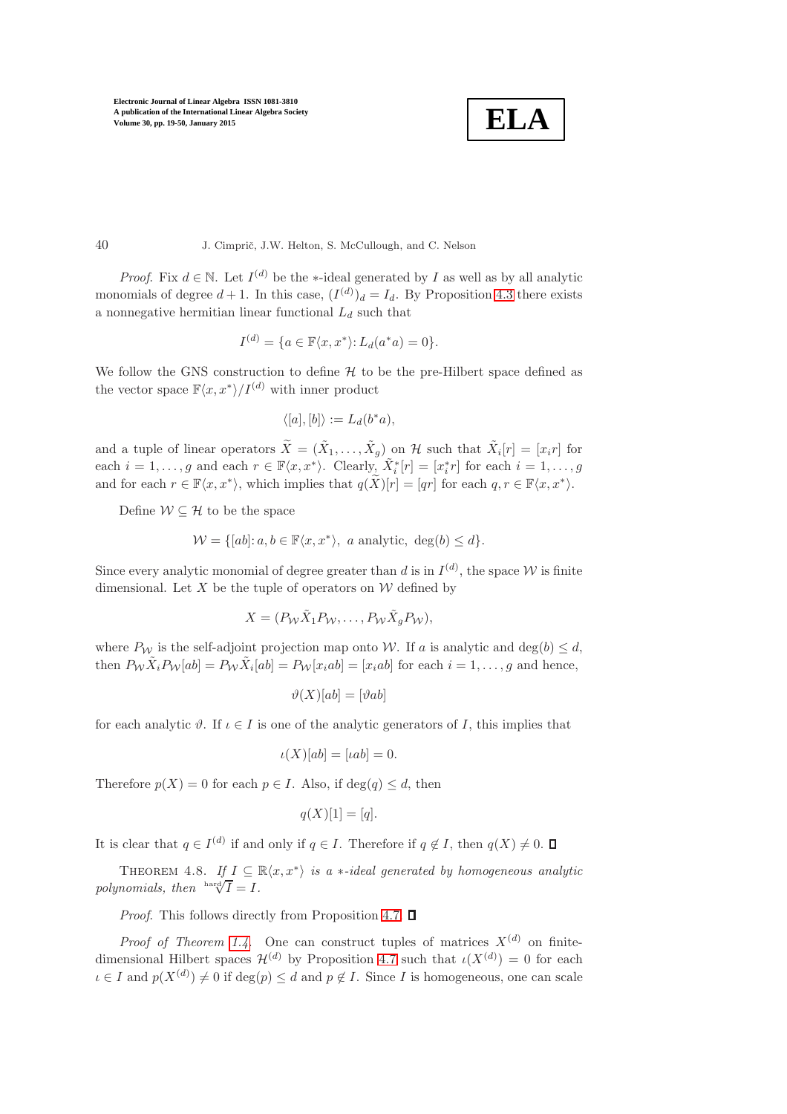$$
\boxed{\textbf{ELA}}
$$

40 J. Cimprič, J.W. Helton, S. McCullough, and C. Nelson

*Proof.* Fix  $d \in \mathbb{N}$ . Let  $I^{(d)}$  be the  $\ast$ -ideal generated by I as well as by all analytic monomials of degree  $d+1$ . In this case,  $(I^{(d)})_d = I_d$ . By Proposition [4.3](#page-16-0) there exists a nonnegative hermitian linear functional  $L_d$  such that

$$
I^{(d)} = \{a \in \mathbb{F}\langle x, x^*\rangle : L_d(a^*a) = 0\}.
$$

We follow the GNS construction to define  $H$  to be the pre-Hilbert space defined as the vector space  $\mathbb{F}\langle x, x^*\rangle / I^{(d)}$  with inner product

$$
\langle [a],[b]\rangle := L_d(b^*a),
$$

and a tuple of linear operators  $\tilde{X} = (\tilde{X}_1, \ldots, \tilde{X}_g)$  on H such that  $\tilde{X}_i[r] = [x_i r]$  for each  $i = 1, \ldots, g$  and each  $r \in \mathbb{F}\langle x, x^* \rangle$ . Clearly,  $\tilde{X}_i^*[r] = [x_i^*r]$  for each  $i = 1, \ldots, g$ and for each  $r \in \mathbb{F}\langle x, x^*\rangle$ , which implies that  $q(\widetilde{X})[r] = [qr]$  for each  $q, r \in \mathbb{F}\langle x, x^*\rangle$ .

Define  $\mathcal{W} \subseteq \mathcal{H}$  to be the space

$$
\mathcal{W} = \{ [ab] : a, b \in \mathbb{F}\langle x, x^* \rangle, \ a \text{ analytic}, \ \deg(b) \le d \}.
$$

Since every analytic monomial of degree greater than d is in  $I^{(d)}$ , the space W is finite dimensional. Let X be the tuple of operators on  $W$  defined by

$$
X = (P_{\mathcal{W}} \tilde{X}_1 P_{\mathcal{W}}, \dots, P_{\mathcal{W}} \tilde{X}_g P_{\mathcal{W}}),
$$

where  $P_W$  is the self-adjoint projection map onto W. If a is analytic and deg(b)  $\leq d$ , then  $P_{\mathcal{W}} \tilde{X}_i P_{\mathcal{W}}[ab] = P_{\mathcal{W}} \tilde{X}_i[ab] = P_{\mathcal{W}}[x_iab] = [x_iab]$  for each  $i = 1, \ldots, g$  and hence,

$$
\vartheta(X)[ab] = [\vartheta ab]
$$

for each analytic  $\vartheta$ . If  $\iota \in I$  is one of the analytic generators of I, this implies that

$$
\iota(X)[ab] = [iab] = 0.
$$

Therefore  $p(X) = 0$  for each  $p \in I$ . Also, if  $\deg(q) \leq d$ , then

$$
q(X)[1] = [q].
$$

<span id="page-21-0"></span>It is clear that  $q \in I^{(d)}$  if and only if  $q \in I$ . Therefore if  $q \notin I$ , then  $q(X) \neq 0$ .

THEOREM 4.8. If  $I \subseteq \mathbb{R}\langle x, x^*\rangle$  is a  $\ast$ -ideal generated by homogeneous analytic polynomials, then  $\overline{A} = I$ .

*Proof.* This follows directly from Proposition [4.7.](#page-20-2)  $\Box$ 

*Proof of Theorem [1.4](#page-3-2).* One can construct tuples of matrices  $X^{(d)}$  on finitedimensional Hilbert spaces  $\mathcal{H}^{(d)}$  by Proposition [4.7](#page-20-2) such that  $\iota(X^{(d)}) = 0$  for each  $\iota \in I$  and  $p(X^{(d)}) \neq 0$  if  $\deg(p) \leq d$  and  $p \notin I$ . Since I is homogeneous, one can scale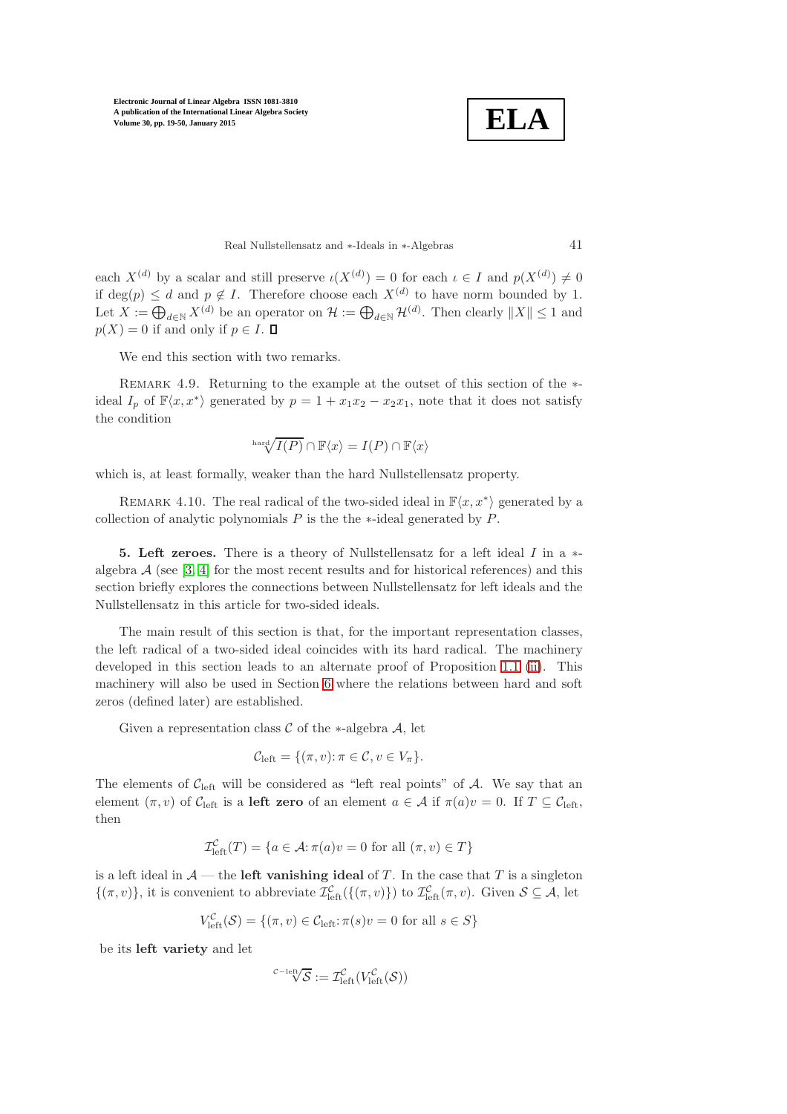$$
\boxed{\textbf{ELA}}
$$

Real Nullstellensatz and ∗-Ideals in ∗-Algebras 41

each  $X^{(d)}$  by a scalar and still preserve  $\iota(X^{(d)}) = 0$  for each  $\iota \in I$  and  $p(X^{(d)}) \neq 0$ if deg(p)  $\leq d$  and  $p \notin I$ . Therefore choose each  $X^{(d)}$  to have norm bounded by 1. Let  $X := \bigoplus_{d \in \mathbb{N}} X^{(d)}$  be an operator on  $\mathcal{H} := \bigoplus_{d \in \mathbb{N}} \mathcal{H}^{(d)}$ . Then clearly  $||X|| \leq 1$  and  $p(X) = 0$  if and only if  $p \in I$ .

We end this section with two remarks.

REMARK 4.9. Returning to the example at the outset of this section of the  $*$ ideal  $I_p$  of  $\mathbb{F}\langle x, x^*\rangle$  generated by  $p = 1 + x_1x_2 - x_2x_1$ , note that it does not satisfy the condition

$$
\sqrt[\mathrm{hard}]{I(P)} \cap \mathbb{F}\langle x \rangle = I(P) \cap \mathbb{F}\langle x \rangle
$$

which is, at least formally, weaker than the hard Nullstellensatz property.

<span id="page-22-0"></span>REMARK 4.10. The real radical of the two-sided ideal in  $\mathbb{F}\langle x, x^*\rangle$  generated by a collection of analytic polynomials  $P$  is the the ∗-ideal generated by  $P$ .

5. Left zeroes. There is a theory of Nullstellensatz for a left ideal  $I$  in a  $*$ algebra  $A$  (see [\[3,](#page-30-0) [4\]](#page-30-1) for the most recent results and for historical references) and this section briefly explores the connections between Nullstellensatz for left ideals and the Nullstellensatz in this article for two-sided ideals.

The main result of this section is that, for the important representation classes, the left radical of a two-sided ideal coincides with its hard radical. The machinery developed in this section leads to an alternate proof of Proposition [1.1](#page-3-0) [\(ii\)](#page-3-1). This machinery will also be used in Section [6](#page-25-0) where the relations between hard and soft zeros (defined later) are established.

Given a representation class  $\mathcal C$  of the ∗-algebra  $\mathcal A$ , let

$$
\mathcal{C}_{\text{left}} = \{(\pi, v) : \pi \in \mathcal{C}, v \in V_{\pi}\}.
$$

The elements of  $C_{\text{left}}$  will be considered as "left real points" of A. We say that an element  $(\pi, v)$  of  $\mathcal{C}_{\text{left}}$  is a **left zero** of an element  $a \in \mathcal{A}$  if  $\pi(a)v = 0$ . If  $T \subseteq \mathcal{C}_{\text{left}}$ , then

$$
\mathcal{I}_{\text{left}}^{\mathcal{C}}(T) = \{ a \in \mathcal{A} : \pi(a)v = 0 \text{ for all } (\pi, v) \in T \}
$$

is a left ideal in  $\mathcal{A}$  — the **left vanishing ideal** of T. In the case that T is a singleton  $\{(\pi, v)\}\$ , it is convenient to abbreviate  $\mathcal{I}^{\mathcal{C}}_{\text{left}}(\{(\pi, v)\})$  to  $\mathcal{I}^{\mathcal{C}}_{\text{left}}(\pi, v)$ . Given  $\mathcal{S} \subseteq \mathcal{A}$ , let

$$
V_{\text{left}}^{\mathcal{C}}(\mathcal{S}) = \{ (\pi, v) \in \mathcal{C}_{\text{left}} : \pi(s)v = 0 \text{ for all } s \in S \}
$$

be its left variety and let

$$
{}^{^{\mathcal C-\text{left}}}\overline{\mathcal S}:=\mathcal I_{\text{left}}^{\mathcal C}(V_{\text{left}}^{\mathcal C}(\mathcal S))
$$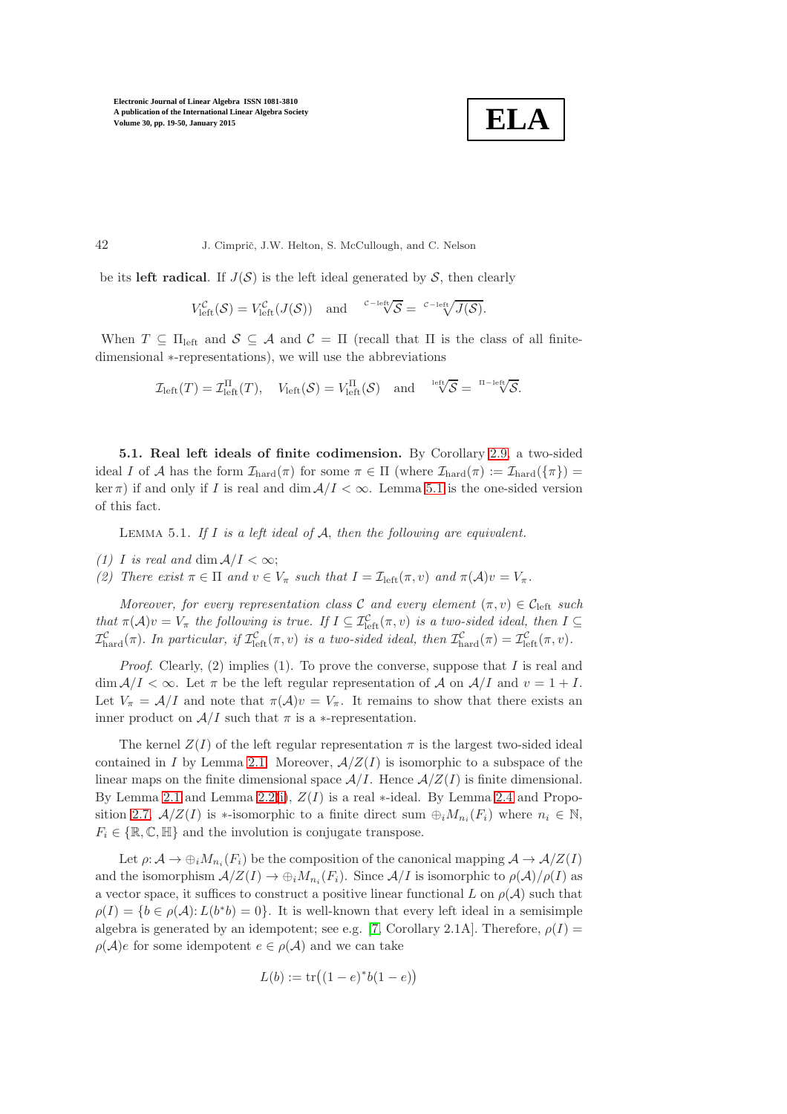

be its left radical. If  $J(S)$  is the left ideal generated by S, then clearly

$$
V_{\text{left}}^{\mathcal{C}}(\mathcal{S})=V_{\text{left}}^{\mathcal{C}}(J(\mathcal{S})) \text{ and } {}^{\mathcal{C}-\text{left}}\overline{\sqrt{\mathcal{S}}}={}^{\mathcal{C}-\text{left}}\overline{\sqrt{\mathcal{J}(\mathcal{S})}}.
$$

When  $T \subseteq \Pi_{\text{left}}$  and  $S \subseteq \mathcal{A}$  and  $\mathcal{C} = \Pi$  (recall that  $\Pi$  is the class of all finitedimensional ∗-representations), we will use the abbreviations

$$
\mathcal{I}_{\text{left}}(T) = \mathcal{I}_{\text{left}}^{\text{II}}(T), \quad V_{\text{left}}(\mathcal{S}) = V_{\text{left}}^{\text{II}}(\mathcal{S}) \quad \text{and} \quad \sqrt[\text{left}]{\mathcal{S}} = \sqrt[\text{right}]{\mathcal{S}}.
$$

5.1. Real left ideals of finite codimension. By Corollary [2.9,](#page-9-1) a two-sided ideal I of A has the form  $\mathcal{I}_{\text{hard}}(\pi)$  for some  $\pi \in \Pi$  (where  $\mathcal{I}_{\text{hard}}(\pi) := \mathcal{I}_{\text{hard}}(\{\pi\}) =$ ker  $\pi$ ) if and only if I is real and dim  $A/I < \infty$ . Lemma [5.1](#page-23-0) is the one-sided version of this fact.

<span id="page-23-0"></span>Lemma 5.1. *If* I *is a left ideal of* A, *then the following are equivalent.*

- *(1) I is real and* dim  $A/I < \infty$ ;
- *(2)* There exist  $\pi \in \Pi$  and  $v \in V_{\pi}$  such that  $I = \mathcal{I}_{\text{left}}(\pi, v)$  and  $\pi(\mathcal{A})v = V_{\pi}$ .

*Moreover, for every representation class* C *and every element*  $(\pi, v) \in C_{\text{left}}$  *such that*  $\pi(\mathcal{A})v = V_{\pi}$  *the following is true. If*  $I \subseteq \mathcal{I}^{\mathcal{C}}_{\text{left}}(\pi, v)$  *is a two-sided ideal, then*  $I \subseteq$  $\mathcal{I}^{\mathcal{C}}_{\text{hard}}(\pi)$ . In particular, if  $\mathcal{I}^{\mathcal{C}}_{\text{left}}(\pi, v)$  is a two-sided ideal, then  $\mathcal{I}^{\mathcal{C}}_{\text{hard}}(\pi) = \mathcal{I}^{\mathcal{C}}_{\text{left}}(\pi, v)$ .

*Proof.* Clearly, (2) implies (1). To prove the converse, suppose that I is real and  $\dim \mathcal{A}/I < \infty$ . Let  $\pi$  be the left regular representation of A on  $\mathcal{A}/I$  and  $v = 1 + I$ . Let  $V_{\pi} = A/I$  and note that  $\pi(A)v = V_{\pi}$ . It remains to show that there exists an inner product on  $A/I$  such that  $\pi$  is a ∗-representation.

The kernel  $Z(I)$  of the left regular representation  $\pi$  is the largest two-sided ideal contained in I by Lemma [2.1.](#page-5-3) Moreover,  $A/Z(I)$  is isomorphic to a subspace of the linear maps on the finite dimensional space  $\mathcal{A}/I$ . Hence  $\mathcal{A}/Z(I)$  is finite dimensional. By Lemma [2.1](#page-5-3) and Lemma [2.2\(](#page-6-0)[i\)](#page-6-1),  $Z(I)$  is a real \*-ideal. By Lemma [2.4](#page-7-0) and Propo-sition [2.7,](#page-8-0)  $A/Z(I)$  is \*-isomorphic to a finite direct sum  $\bigoplus_i M_{n_i}(F_i)$  where  $n_i \in \mathbb{N}$ ,  $F_i \in \{\mathbb{R}, \mathbb{C}, \mathbb{H}\}\$  and the involution is conjugate transpose.

Let  $\rho: \mathcal{A} \to \bigoplus_i M_{n_i}(F_i)$  be the composition of the canonical mapping  $\mathcal{A} \to \mathcal{A}/Z(I)$ and the isomorphism  $A/Z(I) \to \bigoplus_i M_{n_i}(F_i)$ . Since  $A/I$  is isomorphic to  $\rho(A)/\rho(I)$  as a vector space, it suffices to construct a positive linear functional L on  $\rho(\mathcal{A})$  such that  $\rho(I) = \{b \in \rho(\mathcal{A}) : L(b^*b) = 0\}.$  It is well-known that every left ideal in a semisimple algebra is generated by an idempotent; see e.g. [\[7,](#page-30-12) Corollary 2.1A]. Therefore,  $\rho(I)$  =  $\rho(\mathcal{A})e$  for some idempotent  $e \in \rho(\mathcal{A})$  and we can take

$$
L(b) := \text{tr}\big((1 - e)^*b(1 - e)\big)
$$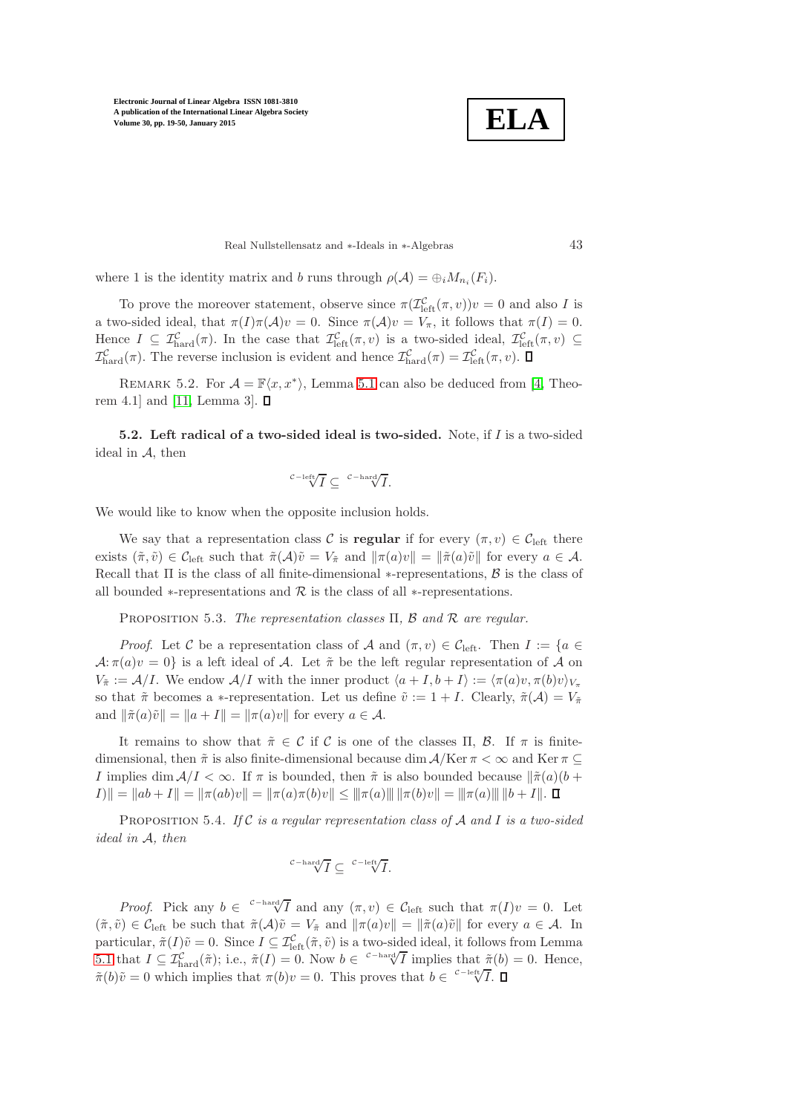**ELA**

Real Nullstellensatz and ∗-Ideals in ∗-Algebras 43

where 1 is the identity matrix and b runs through  $\rho(\mathcal{A}) = \bigoplus_i M_{n_i}(F_i)$ .

To prove the moreover statement, observe since  $\pi(\mathcal{I}_{\text{left}}^{\mathcal{C}}(\pi,v))v = 0$  and also I is a two-sided ideal, that  $\pi(I)\pi(\mathcal{A})v = 0$ . Since  $\pi(\mathcal{A})v = V_{\pi}$ , it follows that  $\pi(I) = 0$ . Hence  $I \subseteq \mathcal{I}_{\text{hard}}^{\mathcal{C}}(\pi)$ . In the case that  $\mathcal{I}_{\text{left}}^{\mathcal{C}}(\pi, v)$  is a two-sided ideal,  $\mathcal{I}_{\text{left}}^{\mathcal{C}}(\pi, v) \subseteq$  $\mathcal{I}^{\mathcal{C}}_{\text{hard}}(\pi)$ . The reverse inclusion is evident and hence  $\mathcal{I}^{\mathcal{C}}_{\text{hard}}(\pi) = \mathcal{I}^{\mathcal{C}}_{\text{left}}(\pi, v)$ .

REMARK 5.2. For  $\mathcal{A} = \mathbb{F}\langle x, x^* \rangle$ , Lemma [5.1](#page-23-0) can also be deduced from [\[4,](#page-30-1) Theo-rem 4.1 and [\[11,](#page-30-6) Lemma 3].  $\square$ 

5.2. Left radical of a two-sided ideal is two-sided. Note, if  $I$  is a two-sided ideal in  $A$ , then

$$
{}^{\mathcal{C}-{\rm left}}\!\!\!\!\sqrt{I}\subseteq\ ^{\mathcal{C}-{\rm hard}}\!\!\!\!\sqrt{I}.
$$

We would like to know when the opposite inclusion holds.

We say that a representation class C is **regular** if for every  $(\pi, v) \in C_{\text{left}}$  there exists  $(\tilde{\pi}, \tilde{v}) \in C_{\text{left}}$  such that  $\tilde{\pi}(A)\tilde{v} = V_{\tilde{\pi}}$  and  $\|\pi(a)v\| = \|\tilde{\pi}(a)\tilde{v}\|$  for every  $a \in \mathcal{A}$ . Recall that  $\Pi$  is the class of all finite-dimensional  $*$ -representations,  $\beta$  is the class of all bounded  $*$ -representations and  $R$  is the class of all  $*$ -representations.

<span id="page-24-1"></span>Proposition 5.3. *The representation classes* Π*,* B *and* R *are regular.*

*Proof.* Let C be a representation class of A and  $(\pi, v) \in C_{\text{left}}$ . Then  $I := \{a \in$  $\mathcal{A}:\pi(a)v=0$  is a left ideal of  $\mathcal{A}$ . Let  $\tilde{\pi}$  be the left regular representation of  $\mathcal{A}$  on  $V_{\tilde{\pi}} := \mathcal{A}/I$ . We endow  $\mathcal{A}/I$  with the inner product  $\langle a + I, b + I \rangle := \langle \pi(a)v, \pi(b)v \rangle_{V_{\pi}}$ so that  $\tilde{\pi}$  becomes a ∗-representation. Let us define  $\tilde{v} := 1 + I$ . Clearly,  $\tilde{\pi}(\mathcal{A}) = V_{\tilde{\pi}}$ and  $\|\tilde{\pi}(a)\tilde{v}\| = \|a + I\| = \|\pi(a)v\|$  for every  $a \in \mathcal{A}$ .

It remains to show that  $\tilde{\pi} \in \mathcal{C}$  if  $\mathcal{C}$  is one of the classes  $\Pi$ ,  $\mathcal{B}$ . If  $\pi$  is finitedimensional, then  $\tilde{\pi}$  is also finite-dimensional because dim  $A/\mathrm{Ker} \pi < \infty$  and  $\mathrm{Ker} \pi \subseteq$ I implies dim  $A/I < \infty$ . If  $\pi$  is bounded, then  $\tilde{\pi}$  is also bounded because  $\|\tilde{\pi}(a)(b +$  $\|I\| = \|ab + I\| = \|\pi(ab)v\| = \|\pi(a)\pi(b)v\| \le \|\pi(a)\| \|\pi(b)v\| = \|\pi(a)\| \|b + I\|.$ 

<span id="page-24-0"></span>Proposition 5.4. *If* C *is a regular representation class of* A *and* I *is a two-sided ideal in* A*, then*

$$
{}^{c-\mathrm{hard}}\hspace{-0.1cm}\sqrt{I}\subseteq \, {}^{c-\mathrm{left}}\hspace{-0.1cm}\sqrt{I}.
$$

*Proof.* Pick any  $b \in {\text{C}^{-\text{hard}} \overline{I}}$  and any  $(\pi, v) \in C_{\text{left}}$  such that  $\pi(I)v = 0$ . Let  $(\tilde{\pi}, \tilde{v}) \in C_{\text{left}}$  be such that  $\tilde{\pi}(\mathcal{A})\tilde{v} = V_{\tilde{\pi}}$  and  $\|\pi(a)v\| = \|\tilde{\pi}(a)\tilde{v}\|$  for every  $a \in \mathcal{A}$ . In particular,  $\tilde{\pi}(I)\tilde{v} = 0$ . Since  $I \subseteq \mathcal{I}^{\mathcal{C}}_{\text{left}}(\tilde{\pi}, \tilde{v})$  is a two-sided ideal, it follows from Lemma [5.1](#page-23-0) that  $I \subseteq \mathcal{I}_{\text{hard}}^{\mathcal{C}}(\tilde{\pi});$  i.e.,  $\tilde{\pi}(I) = 0$ . Now  $b \in {\text{c}^{-\text{hard}}}\overline{I}$  implies that  $\tilde{\pi}(b) = 0$ . Hence,  $\tilde{\pi}(b)\tilde{v} = 0$  which implies that  $\pi(b)v = 0$ . This proves that  $b \in \sqrt{C-1}$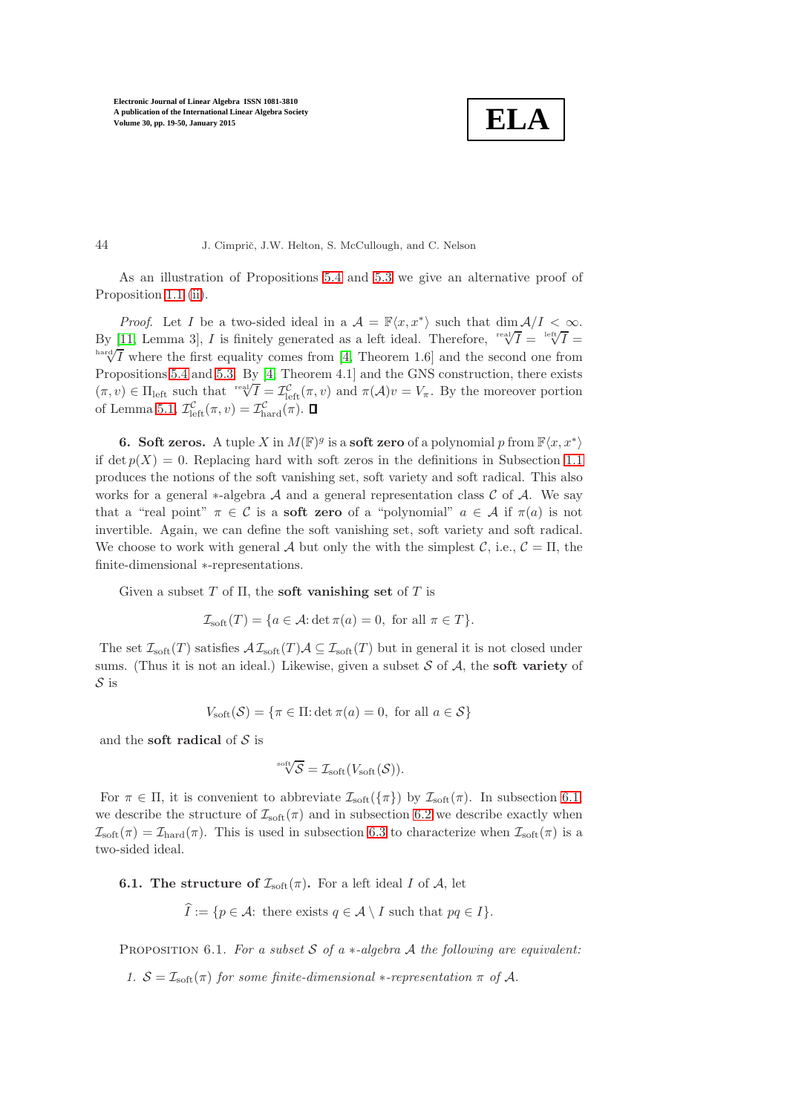$$
\boxed{\textbf{ELA}}
$$

44 J. Cimprič, J.W. Helton, S. McCullough, and C. Nelson

As an illustration of Propositions [5.4](#page-24-0) and [5.3](#page-24-1) we give an alternative proof of Proposition [1.1](#page-3-0) [\(ii\)](#page-3-1).

*Proof.* Let I be a two-sided ideal in a  $\mathcal{A} = \mathbb{F}\langle x, x^* \rangle$  such that  $\dim \mathcal{A}/I < \infty$ . By [\[11,](#page-30-6) Lemma 3], I is finitely generated as a left ideal. Therefore,  $\sqrt{\frac{\text{real}}{I}} = \sqrt{\frac{\text{left}}{I}} = \sqrt{\frac{I}{I}}$  $\frac{\partial^2 f}{\partial x^2}$  where the first equality comes from [\[4,](#page-30-1) Theorem 1.6] and the second one from Propositions [5.4](#page-24-0) and [5.3.](#page-24-1) By [\[4,](#page-30-1) Theorem 4.1] and the GNS construction, there exists  $(\pi, v) \in \Pi_{\text{left}}$  such that  $\operatorname{rel}(\mathcal{T}) = \mathcal{I}_{\text{left}}^{\mathcal{C}}(\pi, v)$  and  $\pi(\mathcal{A})v = V_{\pi}$ . By the moreover portion of Lemma [5.1,](#page-23-0)  $\mathcal{I}_{\text{left}}^{\mathcal{C}}(\pi, v) = \mathcal{I}_{\text{hard}}^{\mathcal{C}}(\pi)$ .

<span id="page-25-0"></span>**6.** Soft zeros. A tuple X in  $M(\mathbb{F})^g$  is a soft zero of a polynomial p from  $\mathbb{F}\langle x, x^*\rangle$ if det  $p(X) = 0$ . Replacing hard with soft zeros in the definitions in Subsection [1.1](#page-2-0) produces the notions of the soft vanishing set, soft variety and soft radical. This also works for a general  $*$ -algebra A and a general representation class C of A. We say that a "real point"  $\pi \in C$  is a **soft zero** of a "polynomial"  $a \in A$  if  $\pi(a)$  is not invertible. Again, we can define the soft vanishing set, soft variety and soft radical. We choose to work with general A but only the with the simplest C, i.e.,  $C = \Pi$ , the finite-dimensional ∗-representations.

Given a subset T of  $\Pi$ , the **soft vanishing set** of T is

 $\mathcal{I}_{\text{soft}}(T) = \{a \in \mathcal{A} : \det \pi(a) = 0, \text{ for all } \pi \in T\}.$ 

The set  $\mathcal{I}_{\text{soft}}(T)$  satisfies  $\mathcal{AI}_{\text{soft}}(T)\mathcal{A} \subseteq \mathcal{I}_{\text{soft}}(T)$  but in general it is not closed under sums. (Thus it is not an ideal.) Likewise, given a subset  $S$  of  $A$ , the **soft variety** of S is

$$
V_{\text{soft}}(\mathcal{S}) = \{ \pi \in \Pi : \det \pi(a) = 0, \text{ for all } a \in \mathcal{S} \}
$$

and the **soft radical** of  $S$  is

$$
\sqrt[3]{\mathcal{S}} = \mathcal{I}_{\text{soft}}(V_{\text{soft}}(\mathcal{S})).
$$

For  $\pi \in \Pi$ , it is convenient to abbreviate  $\mathcal{I}_{\text{soft}}(\{\pi\})$  by  $\mathcal{I}_{\text{soft}}(\pi)$ . In subsection [6.1,](#page-25-1) we describe the structure of  $\mathcal{I}_{\text{soft}}(\pi)$  and in subsection [6.2](#page-26-0) we describe exactly when  $\mathcal{I}_{\text{soft}}(\pi) = \mathcal{I}_{\text{hard}}(\pi)$ . This is used in subsection [6.3](#page-27-0) to characterize when  $\mathcal{I}_{\text{soft}}(\pi)$  is a two-sided ideal.

## <span id="page-25-1"></span>**6.1.** The structure of  $\mathcal{I}_{\text{soft}}(\pi)$ . For a left ideal I of A, let

$$
I := \{ p \in \mathcal{A} : \text{ there exists } q \in \mathcal{A} \setminus I \text{ such that } pq \in I \}.
$$

Proposition 6.1. *For a subset* S *of a* ∗*-algebra* A *the following are equivalent:*

*1.*  $S = \mathcal{I}_{\text{soft}}(\pi)$  *for some finite-dimensional*  $*$ -*representation*  $\pi$  *of*  $\mathcal{A}$ *.*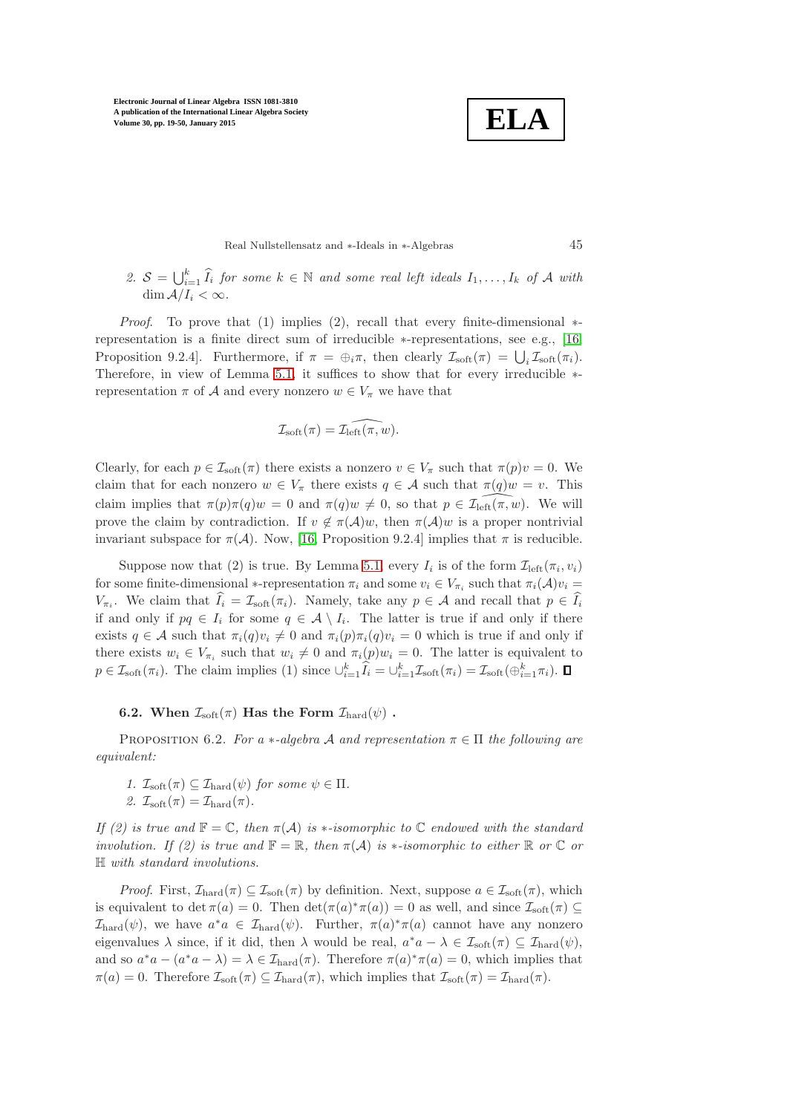**ELA**

Real Nullstellensatz and ∗-Ideals in ∗-Algebras 45

2.  $S = \bigcup_{i=1}^k \widehat{I}_i$  for some  $k \in \mathbb{N}$  and some real left ideals  $I_1, \ldots, I_k$  of A with dim  $A/I_i < \infty$ .

*Proof.* To prove that (1) implies (2), recall that every finite-dimensional  $*$ representation is a finite direct sum of irreducible ∗-representations, see e.g., [\[16,](#page-31-3) Proposition 9.2.4]. Furthermore, if  $\pi = \bigoplus_i \pi$ , then clearly  $\mathcal{I}_{soft}(\pi) = \bigcup_i \mathcal{I}_{soft}(\pi_i)$ . Therefore, in view of Lemma [5.1,](#page-23-0) it suffices to show that for every irreducible ∗ representation  $\pi$  of A and every nonzero  $w \in V_{\pi}$  we have that

$$
\mathcal{I}_{\text{soft}}(\pi) = \widehat{\mathcal{I}_{\text{left}}(\pi, w)}.
$$

Clearly, for each  $p \in \mathcal{I}_{soft}(\pi)$  there exists a nonzero  $v \in V_{\pi}$  such that  $\pi(p)v = 0$ . We claim that for each nonzero  $w \in V_\pi$  there exists  $q \in \mathcal{A}$  such that  $\pi(q)w = v$ . This claim implies that  $\pi(p)\pi(q)w = 0$  and  $\pi(q)w \neq 0$ , so that  $p \in \mathcal{I}_{\text{left}}(\pi, w)$ . We will prove the claim by contradiction. If  $v \notin \pi(\mathcal{A})w$ , then  $\pi(\mathcal{A})w$  is a proper nontrivial invariant subspace for  $\pi(\mathcal{A})$ . Now, [\[16,](#page-31-3) Proposition 9.2.4] implies that  $\pi$  is reducible.

Suppose now that (2) is true. By Lemma [5.1,](#page-23-0) every  $I_i$  is of the form  $\mathcal{I}_{\text{left}}(\pi_i, v_i)$ for some finite-dimensional \*-representation  $\pi_i$  and some  $v_i \in V_{\pi_i}$  such that  $\pi_i(A)v_i =$  $V_{\pi_i}$ . We claim that  $I_i = \mathcal{I}_{soft}(\pi_i)$ . Namely, take any  $p \in \mathcal{A}$  and recall that  $p \in I_i$ if and only if  $pq \in I_i$  for some  $q \in A \setminus I_i$ . The latter is true if and only if there exists  $q \in \mathcal{A}$  such that  $\pi_i(q)v_i \neq 0$  and  $\pi_i(p)\pi_i(q)v_i = 0$  which is true if and only if there exists  $w_i \in V_{\pi_i}$  such that  $w_i \neq 0$  and  $\pi_i(p)w_i = 0$ . The latter is equivalent to  $p \in \mathcal{I}_{\text{soft}}(\pi_i)$ . The claim implies (1) since  $\bigcup_{i=1}^k \widetilde{I}_i = \bigcup_{i=1}^k \mathcal{I}_{\text{soft}}(\pi_i) = \mathcal{I}_{\text{soft}}(\bigoplus_{i=1}^k \pi_i)$ .

<span id="page-26-1"></span><span id="page-26-0"></span>**6.2.** When  $\mathcal{I}_{\text{soft}}(\pi)$  Has the Form  $\mathcal{I}_{\text{hard}}(\psi)$ .

PROPOSITION 6.2. *For a*  $*$ *-algebra* A *and representation*  $\pi \in \Pi$  *the following are equivalent:*

*1.*  $\mathcal{I}_{\text{soft}}(\pi) \subseteq \mathcal{I}_{\text{hard}}(\psi)$  *for some*  $\psi \in \Pi$ *.* 2.  $\mathcal{I}_{\text{soft}}(\pi) = \mathcal{I}_{\text{hard}}(\pi)$ .

*If (2) is true and*  $\mathbb{F} = \mathbb{C}$ , then  $\pi(\mathcal{A})$  *is* \*-*isomorphic to*  $\mathbb{C}$  *endowed with the standard involution. If (2) is true and*  $\mathbb{F} = \mathbb{R}$ *, then*  $\pi(\mathcal{A})$  *is*  $*$ *-isomorphic to either*  $\mathbb{R}$  *or*  $\mathbb{C}$  *or* H *with standard involutions.*

*Proof.* First,  $\mathcal{I}_{\text{hard}}(\pi) \subseteq \mathcal{I}_{\text{soft}}(\pi)$  by definition. Next, suppose  $a \in \mathcal{I}_{\text{soft}}(\pi)$ , which is equivalent to det  $\pi(a) = 0$ . Then  $\det(\pi(a)^*\pi(a)) = 0$  as well, and since  $\mathcal{I}_{soft}(\pi) \subseteq$  $\mathcal{I}_{\text{hard}}(\psi)$ , we have  $a^*a \in \mathcal{I}_{\text{hard}}(\psi)$ . Further,  $\pi(a)^*\pi(a)$  cannot have any nonzero eigenvalues  $\lambda$  since, if it did, then  $\lambda$  would be real,  $a^*a - \lambda \in \mathcal{I}_{soft}(\pi) \subseteq \mathcal{I}_{hard}(\psi)$ , and so  $a^*a - (a^*a - \lambda) = \lambda \in \mathcal{I}_{\text{hard}}(\pi)$ . Therefore  $\pi(a)^* \pi(a) = 0$ , which implies that  $\pi(a) = 0$ . Therefore  $\mathcal{I}_{\text{soft}}(\pi) \subseteq \mathcal{I}_{\text{hard}}(\pi)$ , which implies that  $\mathcal{I}_{\text{soft}}(\pi) = \mathcal{I}_{\text{hard}}(\pi)$ .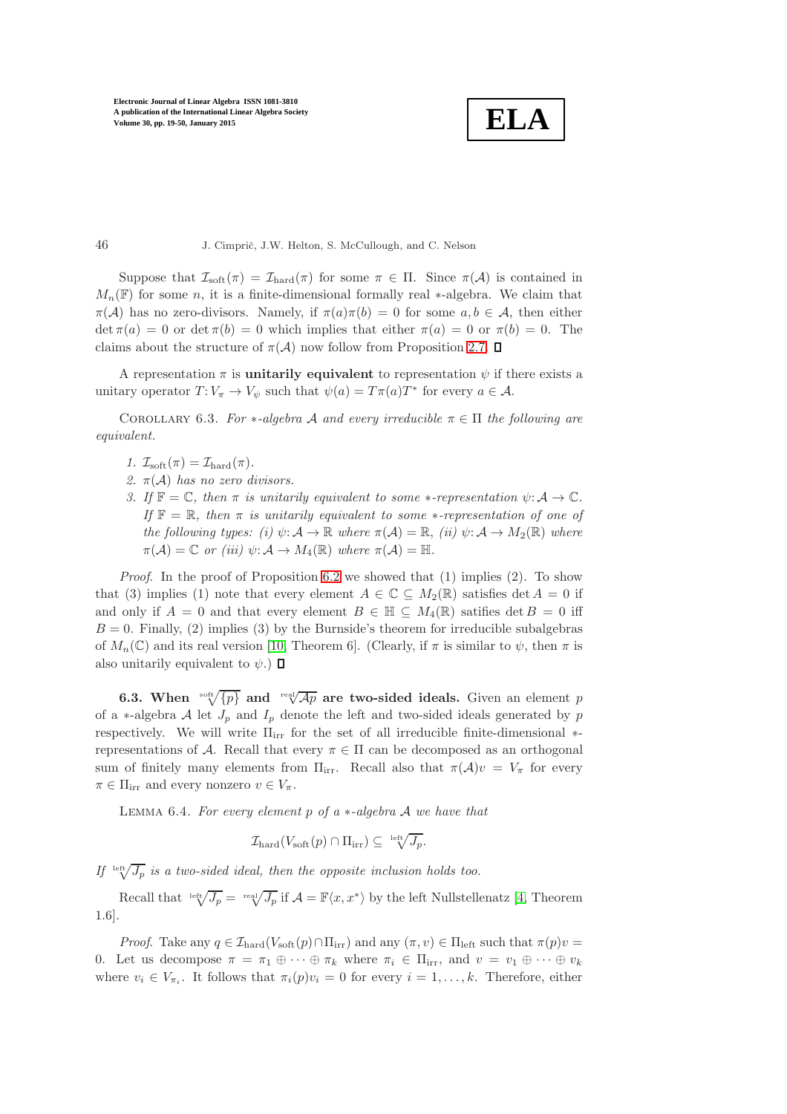**ELA**

Suppose that  $\mathcal{I}_{\text{soft}}(\pi) = \mathcal{I}_{\text{hard}}(\pi)$  for some  $\pi \in \Pi$ . Since  $\pi(\mathcal{A})$  is contained in  $M_n(\mathbb{F})$  for some n, it is a finite-dimensional formally real \*-algebra. We claim that  $\pi(\mathcal{A})$  has no zero-divisors. Namely, if  $\pi(a)\pi(b) = 0$  for some  $a, b \in \mathcal{A}$ , then either  $\det \pi(a) = 0$  or  $\det \pi(b) = 0$  which implies that either  $\pi(a) = 0$  or  $\pi(b) = 0$ . The claims about the structure of  $\pi(\mathcal{A})$  now follow from Proposition [2.7.](#page-8-0)  $\Box$ 

<span id="page-27-2"></span>A representation  $\pi$  is **unitarily equivalent** to representation  $\psi$  if there exists a unitary operator  $T: V_{\pi} \to V_{\psi}$  such that  $\psi(a) = T\pi(a)T^*$  for every  $a \in \mathcal{A}$ .

COROLLARY 6.3. *For*  $*$ -*algebra* A *and every irreducible*  $\pi \in \Pi$  *the following are equivalent.*

- 1.  $\mathcal{I}_{\text{soft}}(\pi) = \mathcal{I}_{\text{hard}}(\pi)$ .
- *2.* π(A) *has no zero divisors.*
- *3.* If  $\mathbb{F} = \mathbb{C}$ *, then*  $\pi$  *is unitarily equivalent to some* \*-*representation*  $\psi: \mathcal{A} \to \mathbb{C}$ *. If*  $\mathbb{F} = \mathbb{R}$ *, then*  $\pi$  *is unitarily equivalent to some* \**-representation of one of the following types: (i)*  $\psi: \mathcal{A} \to \mathbb{R}$  *where*  $\pi(\mathcal{A}) = \mathbb{R}$ , *(ii)*  $\psi: \mathcal{A} \to M_2(\mathbb{R})$  *where*  $\pi(\mathcal{A}) = \mathbb{C}$  *or (iii)*  $\psi: \mathcal{A} \to M_4(\mathbb{R})$  where  $\pi(\mathcal{A}) = \mathbb{H}$ .

*Proof.* In the proof of Proposition [6.2](#page-26-1) we showed that (1) implies (2). To show that (3) implies (1) note that every element  $A \in \mathbb{C} \subseteq M_2(\mathbb{R})$  satisfies det  $A = 0$  if and only if  $A = 0$  and that every element  $B \in \mathbb{H} \subseteq M_4(\mathbb{R})$  satifies det  $B = 0$  iff  $B = 0$ . Finally, (2) implies (3) by the Burnside's theorem for irreducible subalgebras of  $M_n(\mathbb{C})$  and its real version [\[10,](#page-30-13) Theorem 6]. (Clearly, if  $\pi$  is similar to  $\psi$ , then  $\pi$  is also unitarily equivalent to  $\psi$ .)  $\Box$ 

<span id="page-27-0"></span>**6.3.** When  $\sqrt[3]{p}$  and  $\sqrt[{\text{real}}$  are two-sided ideals. Given an element p of a ∗-algebra  $A$  let  $J_p$  and  $I_p$  denote the left and two-sided ideals generated by p respectively. We will write  $\Pi_{irr}$  for the set of all irreducible finite-dimensional  $*$ representations of A. Recall that every  $\pi \in \Pi$  can be decomposed as an orthogonal sum of finitely many elements from  $\Pi_{irr}$ . Recall also that  $\pi(\mathcal{A})v = V_{\pi}$  for every  $\pi \in \Pi_{irr}$  and every nonzero  $v \in V_{\pi}$ .

<span id="page-27-1"></span>Lemma 6.4. *For every element* p *of a* ∗*-algebra* A *we have that*

$$
\mathcal{I}_{\text{hard}}(V_{\text{soft}}(p) \cap \Pi_{\text{irr}}) \subseteq {}^{\text{left}}\sqrt{J_p}.
$$

If  $\frac{\text{left}}{\sqrt{J_p}}$  *is a two-sided ideal, then the opposite inclusion holds too.* 

Recall that  $\sqrt[\text{left}]{J_p} = \sqrt[\text{right}]{J_p}$  if  $\mathcal{A} = \mathbb{F}\langle x, x^* \rangle$  by the left Nullstellenatz [\[4,](#page-30-1) Theorem 1.6].

*Proof.* Take any  $q \in \mathcal{I}_{\text{hard}}(V_{\text{soft}}(p) \cap \Pi_{\text{irr}})$  and any  $(\pi, v) \in \Pi_{\text{left}}$  such that  $\pi(p)v =$ 0. Let us decompose  $\pi = \pi_1 \oplus \cdots \oplus \pi_k$  where  $\pi_i \in \Pi_{irr}$ , and  $v = v_1 \oplus \cdots \oplus v_k$ where  $v_i \in V_{\pi_i}$ . It follows that  $\pi_i(p)v_i = 0$  for every  $i = 1, ..., k$ . Therefore, either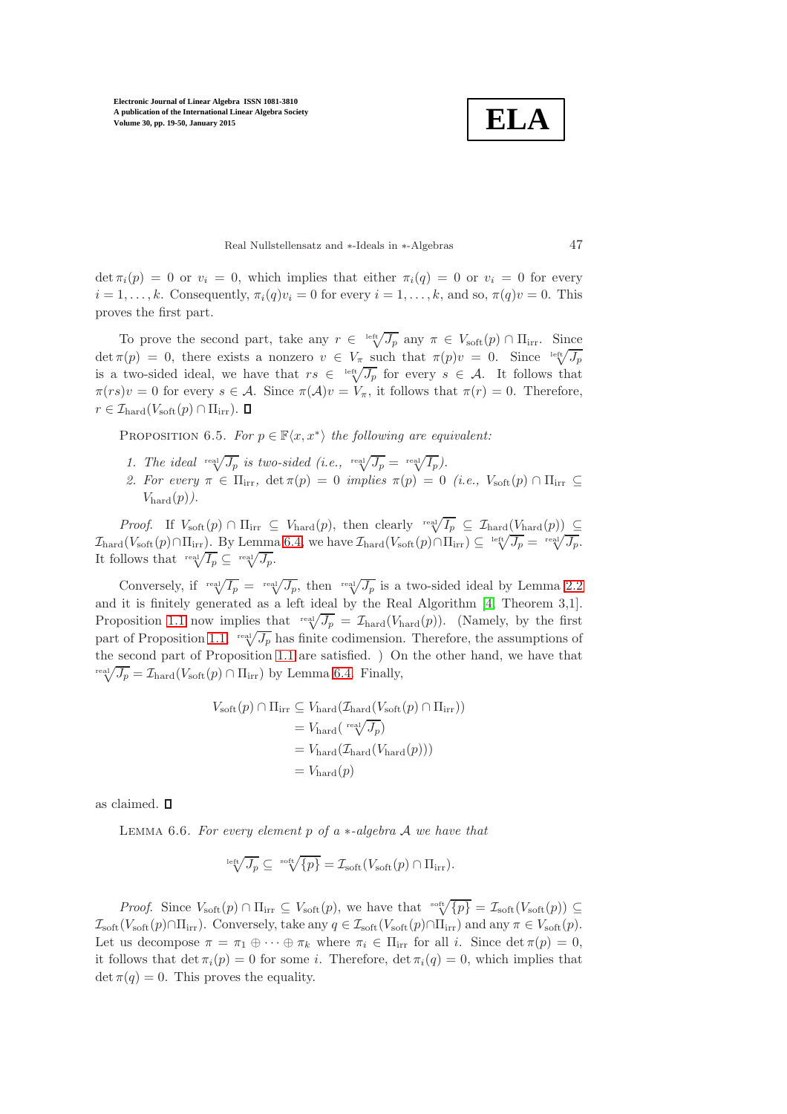**ELA**

Real Nullstellensatz and ∗-Ideals in ∗-Algebras 47

 $\det \pi_i(p) = 0$  or  $v_i = 0$ , which implies that either  $\pi_i(q) = 0$  or  $v_i = 0$  for every  $i = 1, \ldots, k$ . Consequently,  $\pi_i(q)v_i = 0$  for every  $i = 1, \ldots, k$ , and so,  $\pi(q)v = 0$ . This proves the first part.

To prove the second part, take any  $r \in \sqrt[\text{left}]{J_p}$  any  $\pi \in V_{\text{soft}}(p) \cap \Pi_{\text{irr}}$ . Since det  $\pi(p) = 0$ , there exists a nonzero  $v \in V_{\pi}$  such that  $\pi(p)v = 0$ . Since  $\sqrt[1e_n t \sqrt{J_p}}$ is a two-sided ideal, we have that  $rs \in \sqrt[16]{J_p}$  for every  $s \in A$ . It follows that  $\pi(rs)v = 0$  for every  $s \in \mathcal{A}$ . Since  $\pi(\mathcal{A})v = V_\pi$ , it follows that  $\pi(r) = 0$ . Therefore,  $r \in \mathcal{I}_{\text{hard}}(V_{\text{soft}}(p) \cap \Pi_{\text{irr}}).$ 

PROPOSITION 6.5. *For*  $p \in \mathbb{F}\langle x, x^* \rangle$  *the following are equivalent:* 

- 1. The ideal  $\sqrt[\text{real}]{J_p}$  is two-sided (i.e.,  $\sqrt[\text{real}]{J_p} = \sqrt[\text{real}]{I_p}$ ).
- *2. For every*  $\pi \in \Pi_{irr}$ ,  $\det \pi(p) = 0$  *implies*  $\pi(p) = 0$  *(i.e.,*  $V_{soft}(p) \cap \Pi_{irr} \subseteq$  $V_{\text{hard}}(p)$ .

*Proof.* If  $V_{\text{soft}}(p) \cap \Pi_{irr} \subseteq V_{\text{hard}}(p)$ , then clearly  $\sqrt[r]{I_p} \subseteq \mathcal{I}_{\text{hard}}(V_{\text{hard}}(p)) \subseteq$  $\mathcal{I}_{\text{hard}}(V_{\text{soft}}(p) \cap \Pi_{\text{irr}})$ . By Lemma [6.4,](#page-27-1) we have  $\mathcal{I}_{\text{hard}}(V_{\text{soft}}(p) \cap \Pi_{\text{irr}}) \subseteq \sqrt[\text{left}(J_p = \sqrt[\text{left}(J_p - \Pi_{\text{irr}}))$ It follows that  $\sqrt[\text{real}]{I_p} \subseteq \sqrt[\text{real}]{J_p}$ .

Conversely, if real  $\overline{I_p}$  = real  $\overline{J_p}$ , then real  $\overline{J_p}$  is a two-sided ideal by Lemma [2.2](#page-6-0) and it is finitely generated as a left ideal by the Real Algorithm [\[4,](#page-30-1) Theorem 3,1]. Proposition [1.1](#page-3-0) now implies that  $\sqrt[\text{real}]{J_p} = \mathcal{I}_{\text{hard}}(V_{\text{hard}}(p))$ . (Namely, by the first part of Proposition [1.1,](#page-3-0)  $\sqrt[\text{real}]{J_p}$  has finite codimension. Therefore, the assumptions of the second part of Proposition [1.1](#page-3-0) are satisfied. ) On the other hand, we have that  $T_{\text{rad}}^{\text{real}}/\overline{J_p} = \mathcal{I}_{\text{hard}}(V_{\text{soft}}(p) \cap \Pi_{\text{irr}})$  by Lemma [6.4.](#page-27-1) Finally,

$$
V_{\text{soft}}(p) \cap \Pi_{\text{irr}} \subseteq V_{\text{hard}}(T_{\text{hard}}(V_{\text{soft}}(p) \cap \Pi_{\text{irr}}))
$$
  
=  $V_{\text{hard}}(\text{real}/\overline{J_p})$   
=  $V_{\text{hard}}(T_{\text{hard}}(V_{\text{hard}}(p)))$   
=  $V_{\text{hard}}(p)$ 

<span id="page-28-0"></span>as claimed.

Lemma 6.6. *For every element* p *of a* ∗*-algebra* A *we have that*

$$
\sqrt[16ft]{J_p} \subseteq \sqrt[16pt]{{}}\sqrt[16pt]{{}}\sqrt[p]{\{p\}} = \mathcal{I}_{soft}(V_{soft}(p) \cap \Pi_{irr}).
$$

*Proof.* Since  $V_{\text{soft}}(p) \cap \Pi_{irr} \subseteq V_{\text{soft}}(p)$ , we have that  $\sqrt[\text{soft}]{p} = \mathcal{I}_{\text{soft}}(V_{\text{soft}}(p)) \subseteq$  $\mathcal{I}_{\text{soft}}(V_{\text{soft}}(p) \cap \Pi_{\text{irr}})$ . Conversely, take any  $q \in \mathcal{I}_{\text{soft}}(V_{\text{soft}}(p) \cap \Pi_{\text{irr}})$  and any  $\pi \in V_{\text{soft}}(p)$ . Let us decompose  $\pi = \pi_1 \oplus \cdots \oplus \pi_k$  where  $\pi_i \in \Pi_{irr}$  for all i. Since  $\det \pi(p) = 0$ , it follows that  $\det \pi_i(p) = 0$  for some *i*. Therefore,  $\det \pi_i(q) = 0$ , which implies that  $\det \pi(q) = 0$ . This proves the equality.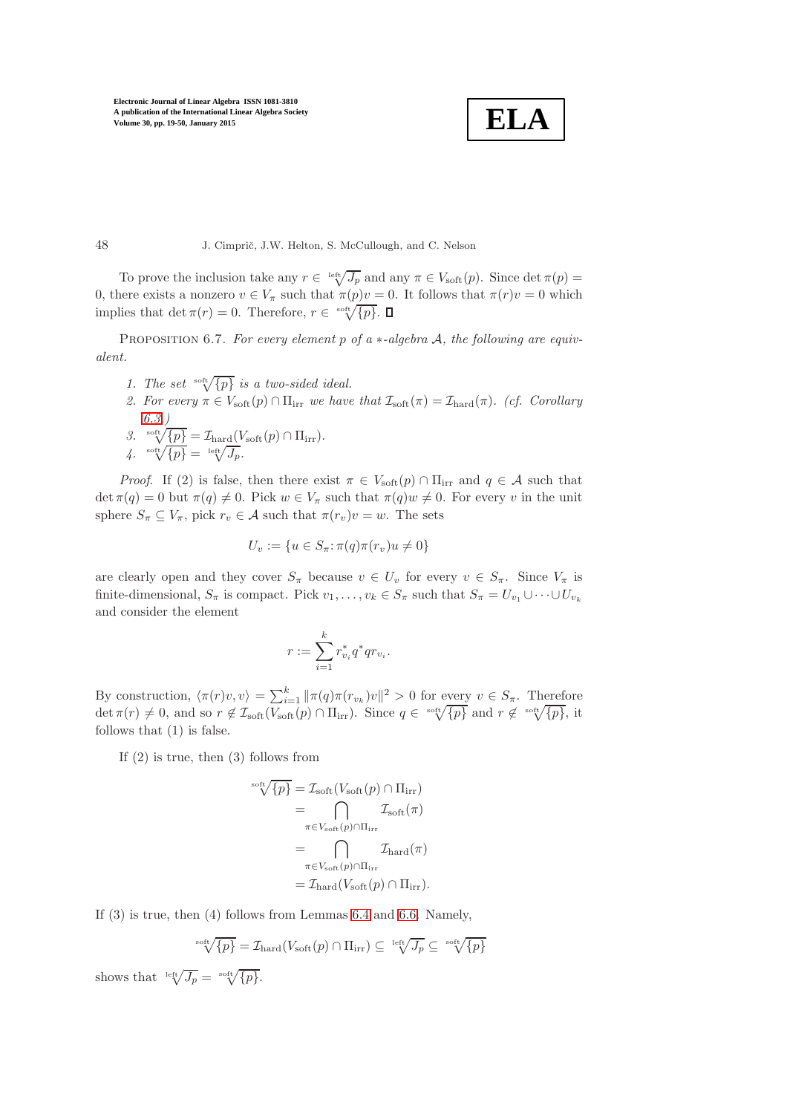$$
\boxed{\textbf{ELA}}
$$

48 J. Cimprič, J.W. Helton, S. McCullough, and C. Nelson

To prove the inclusion take any  $r \in \sqrt[\text{left}]{J_p}$  and any  $\pi \in V_{\text{soft}}(p)$ . Since  $\det \pi(p) =$ 0, there exists a nonzero  $v \in V_\pi$  such that  $\pi(p)v = 0$ . It follows that  $\pi(r)v = 0$  which implies that  $\det \pi(r) = 0$ . Therefore,  $r \in \sqrt{\{p\}}$ .

Proposition 6.7. *For every element* p *of a* ∗*-algebra* A*, the following are equivalent.*

- *1. The set*  $\sqrt[5]{p}$  *is a two-sided ideal.*
- 2. For every  $\pi \in V_{\text{soft}}(p) \cap \Pi_{\text{irr}}$  *we have that*  $\mathcal{I}_{\text{soft}}(\pi) = \mathcal{I}_{\text{hard}}(\pi)$ *. (cf. Corollary [6.3.](#page-27-2))*
- 3. soft $\underline{\sqrt{\{p\}}} = \mathcal{I}_{\text{hard}}(V_{\text{soft}}(p) \cap \Pi_{\text{irr}}).$  $\sqrt{4}$ .  $\sqrt[3]{\{p\}} = \sqrt[16ft]{J_p}$ .

*Proof.* If (2) is false, then there exist  $\pi \in V_{\text{soft}}(p) \cap \Pi_{irr}$  and  $q \in \mathcal{A}$  such that  $\det \pi(q) = 0$  but  $\pi(q) \neq 0$ . Pick  $w \in V_\pi$  such that  $\pi(q)w \neq 0$ . For every v in the unit sphere  $S_{\pi} \subseteq V_{\pi}$ , pick  $r_v \in A$  such that  $\pi(r_v)v = w$ . The sets

$$
U_v := \{ u \in S_{\pi} : \pi(q)\pi(r_v)u \neq 0 \}
$$

are clearly open and they cover  $S_{\pi}$  because  $v \in U_v$  for every  $v \in S_{\pi}$ . Since  $V_{\pi}$  is finite-dimensional,  $S_{\pi}$  is compact. Pick  $v_1, \ldots, v_k \in S_{\pi}$  such that  $S_{\pi} = U_{v_1} \cup \cdots \cup U_{v_k}$ and consider the element

$$
r:=\sum_{i=1}^kr_{v_i}^*q^*qr_{v_i}
$$

.

By construction,  $\langle \pi(r)v, v \rangle = \sum_{i=1}^k \|\pi(q)\pi(r_{v_k})v\|^2 > 0$  for every  $v \in S_{\pi}$ . Therefore det  $\pi(r) \neq 0$ , and so  $r \notin \mathcal{I}_{\text{soft}}(\overline{V_{\text{soft}}(p)} \cap \Pi_{\text{irr}})$ . Since  $q \in {}^{\text{soft}}\sqrt{\{p\}}$  and  $r \notin {}^{\text{soft}}\sqrt{\{p\}}$ , it follows that (1) is false.

If (2) is true, then (3) follows from

$$
\begin{split} \mathbb{I}_{\text{soft}}(\text{F}) &= \mathcal{I}_{\text{soft}}(V_{\text{soft}}(p) \cap \Pi_{\text{irr}}) \\ &= \bigcap_{\pi \in V_{\text{soft}}(p) \cap \Pi_{\text{irr}}} \mathcal{I}_{\text{soft}}(\pi) \\ &= \bigcap_{\pi \in V_{\text{soft}}(p) \cap \Pi_{\text{irr}}} \mathcal{I}_{\text{hard}}(\pi) \\ &= \mathcal{I}_{\text{hard}}(V_{\text{soft}}(p) \cap \Pi_{\text{irr}}). \end{split}
$$

If (3) is true, then (4) follows from Lemmas [6.4](#page-27-1) and [6.6.](#page-28-0) Namely,

$$
\sqrt[3]{\text{Set}}\sqrt{p} = \mathcal{I}_{\text{hard}}(V_{\text{soft}}(p) \cap \Pi_{\text{irr}}) \subseteq \sqrt[164]{J_p} \subseteq \sqrt[364]{p}
$$

shows that  $\sqrt[\text{left}]{J_p} = \sqrt[\text{soft}]{p}$ .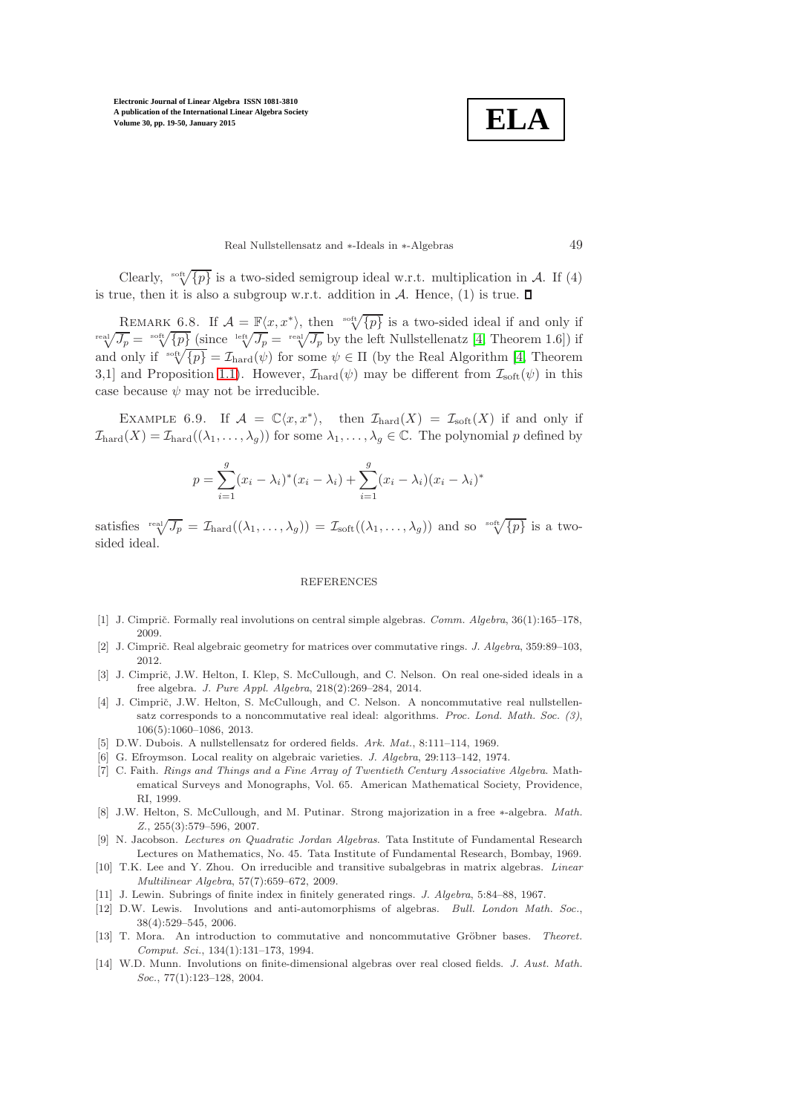**ELA**

Real Nullstellensatz and ∗-Ideals in ∗-Algebras 49

Clearly,  $\sqrt[3]{p}$  is a two-sided semigroup ideal w.r.t. multiplication in A. If (4) is true, then it is also a subgroup w.r.t. addition in  $\mathcal{A}$ . Hence, (1) is true.  $\square$ 

REMARK 6.8. If  $\mathcal{A} = \mathbb{F}\langle x, x^* \rangle$ , then  $\sqrt[15]{\{p\}}$  is a two-sided ideal if and only if  $T_{\text{real}}^{\text{real}}/\overline{J_p} = \text{real}'\sqrt{J_p}$  (since  $\text{left}[J_p = \text{right}[J_p]$  by the left Nullstellenatz [\[4,](#page-30-1) Theorem 1.6]) if and only if  $\sqrt[\text{soft}]{p} = \mathcal{I}_{\text{hard}}(\psi)$  for some  $\psi \in \Pi$  (by the Real Algorithm [\[4,](#page-30-1) Theorem 3,1] and Proposition [1.1\)](#page-3-0). However,  $\mathcal{I}_{\text{hard}}(\psi)$  may be different from  $\mathcal{I}_{\text{soft}}(\psi)$  in this case because  $\psi$  may not be irreducible.

EXAMPLE 6.9. If  $\mathcal{A} = \mathbb{C}\langle x, x^* \rangle$ , then  $\mathcal{I}_{\text{hard}}(X) = \mathcal{I}_{\text{soft}}(X)$  if and only if  $\mathcal{I}_{\text{hard}}(X) = \mathcal{I}_{\text{hard}}((\lambda_1, \ldots, \lambda_q))$  for some  $\lambda_1, \ldots, \lambda_q \in \mathbb{C}$ . The polynomial p defined by

$$
p = \sum_{i=1}^{g} (x_i - \lambda_i)^* (x_i - \lambda_i) + \sum_{i=1}^{g} (x_i - \lambda_i)(x_i - \lambda_i)^*
$$

satisfies  $\operatorname{real}(\overline{J_p} = \mathcal{I}_{\text{hard}}((\lambda_1, \ldots, \lambda_g)) = \mathcal{I}_{\text{soft}}((\lambda_1, \ldots, \lambda_g))$  and so  $\operatorname{real}(\overline{\{p\}})$  is a twosided ideal.

#### **REFERENCES**

- <span id="page-30-10"></span><span id="page-30-3"></span>[1] J. Cimprič. Formally real involutions on central simple algebras. Comm. Algebra, 36(1):165–178, 2009.
- <span id="page-30-0"></span>[2] J. Cimprič. Real algebraic geometry for matrices over commutative rings. *J. Algebra*, 359:89–103, 2012.
- [3] J. Cimprič, J.W. Helton, I. Klep, S. McCullough, and C. Nelson. On real one-sided ideals in a free algebra. J. Pure Appl. Algebra, 218(2):269–284, 2014.
- <span id="page-30-1"></span>[4] J. Cimprič, J.W. Helton, S. McCullough, and C. Nelson. A noncommutative real nullstellensatz corresponds to a noncommutative real ideal: algorithms. Proc. Lond. Math. Soc. (3), 106(5):1060–1086, 2013.
- <span id="page-30-5"></span><span id="page-30-4"></span>[5] D.W. Dubois. A nullstellensatz for ordered fields. Ark. Mat., 8:111–114, 1969.
- <span id="page-30-12"></span>[6] G. Efroymson. Local reality on algebraic varieties. J. Algebra, 29:113–142, 1974.
- [7] C. Faith. Rings and Things and a Fine Array of Twentieth Century Associative Algebra. Mathematical Surveys and Monographs, Vol. 65. American Mathematical Society, Providence, RI, 1999.
- <span id="page-30-2"></span>[8] J.W. Helton, S. McCullough, and M. Putinar. Strong majorization in a free ∗-algebra. Math. Z., 255(3):579–596, 2007.
- <span id="page-30-8"></span>[9] N. Jacobson. Lectures on Quadratic Jordan Algebras. Tata Institute of Fundamental Research Lectures on Mathematics, No. 45. Tata Institute of Fundamental Research, Bombay, 1969.
- <span id="page-30-13"></span>[10] T.K. Lee and Y. Zhou. On irreducible and transitive subalgebras in matrix algebras. Linear Multilinear Algebra, 57(7):659–672, 2009.
- <span id="page-30-9"></span><span id="page-30-6"></span>[11] J. Lewin. Subrings of finite index in finitely generated rings. J. Algebra, 5:84–88, 1967.
- [12] D.W. Lewis. Involutions and anti-automorphisms of algebras. Bull. London Math. Soc., 38(4):529–545, 2006.
- <span id="page-30-11"></span>[13] T. Mora. An introduction to commutative and noncommutative Gröbner bases. Theoret. Comput. Sci., 134(1):131–173, 1994.
- <span id="page-30-7"></span>[14] W.D. Munn. Involutions on finite-dimensional algebras over real closed fields. J. Aust. Math. Soc., 77(1):123-128, 2004.